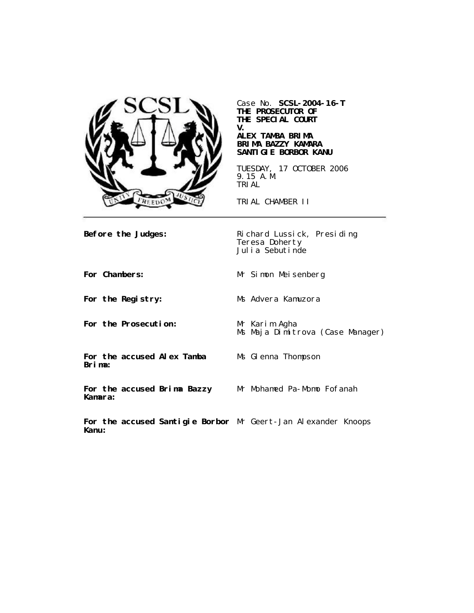

Case No. **SCSL-2004-16-T THE PROSECUTOR OF THE SPECIAL COURT V.**

### **ALEX TAMBA BRIMA BRIMA BAZZY KAMARA SANTIGIE BORBOR KANU**

TUESDAY, 17 OCTOBER 2006 9.15 A.M. TRIAL

TRIAL CHAMBER II

**Before the Judges:** Richard Lussick, Presiding Teresa Doherty Julia Sebutinde

**For Chambers:** Mr Simon Meisenberg

**For the Registry:** Ms Advera Kamuzora

**For the Prosecution:** Mr Karim Agha

Ms Maja Dimitrova (Case Manager)

**For the accused Alex Tamba Brima:**

Ms Glenna Thompson

**For the accused Brima Bazzy Kamara:** Mr Mohamed Pa-Momo Fofanah

**For the accused Santigie Borbor** Mr Geert-Jan Alexander Knoops**Kanu:**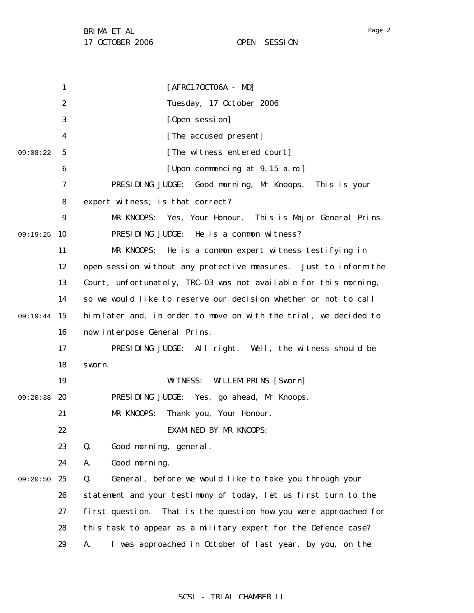1 2 3 4 5 6 7 8 9 09:19:25 10 11 12 13 14 09:19:44 15 16 17 18 19 09:20:38 20 21 22 23 24 09:20:50 25 26 27 28 29 09:08:22 [AFRC17OCT06A - MD] Tuesday, 17 October 2006 [Open session] [The accused present] [The witness entered court] [Upon commencing at 9.15 a.m.] PRESIDING JUDGE: Good morning, Mr Knoops. This is your expert witness; is that correct? MR KNOOPS: Yes, Your Honour. This is Major General Prins. PRESIDING JUDGE: He is a common witness? MR KNOOPS: He is a common expert witness testifying in open session without any protective measures. Just to inform the Court, unfortunately, TRC-03 was not available for this morning, so we would like to reserve our decision whether or not to call him later and, in order to move on with the trial, we decided to now interpose General Prins. PRESIDING JUDGE: All right. Well, the witness should be sworn. WITNESS: WILLEM PRINS [Sworn] PRESIDING JUDGE: Yes, go ahead, Mr Knoops. MR KNOOPS: Thank you, Your Honour. EXAMINED BY MR KNOOPS: Q. Good morning, general. A. Good morning. Q. General, before we would like to take you through your statement and your testimony of today, let us first turn to the first question. That is the question how you were approached for this task to appear as a military expert for the Defence case? A. I was approached in October of last year, by you, on the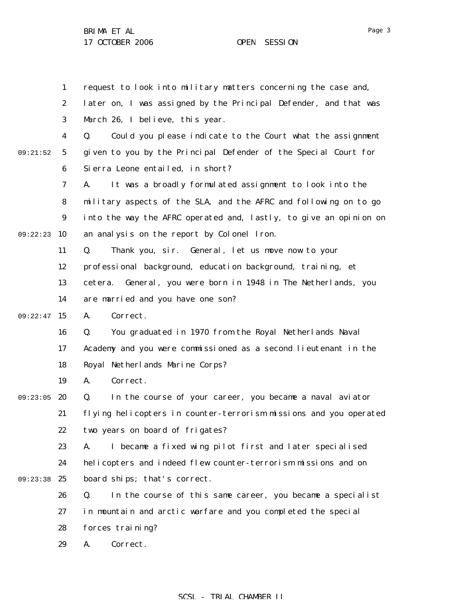Page 3

1 2 3 4 5 6 7 8 9 09:22:23 10 11 12 13 14 09:22:47 15 16 17 18 19 09:23:05 20 21 22 23 24 09:23:38 25 26 27 28 29 09:21:52 request to look into military matters concerning the case and, later on, I was assigned by the Principal Defender, and that was March 26, I believe, this year. Q. Could you please indicate to the Court what the assignment given to you by the Principal Defender of the Special Court for Sierra Leone entailed, in short? A. It was a broadly formulated assignment to look into the military aspects of the SLA, and the AFRC and following on to go into the way the AFRC operated and, lastly, to give an opinion on an analysis on the report by Colonel Iron. Q. Thank you, sir. General, let us move now to your professional background, education background, training, et cetera. General, you were born in 1948 in The Netherlands, you are married and you have one son? A. Correct. Q. You graduated in 1970 from the Royal Netherlands Naval Academy and you were commissioned as a second lieutenant in the Royal Netherlands Marine Corps? A. Correct. Q. In the course of your career, you became a naval aviator flying helicopters in counter-terrorism missions and you operated two years on board of frigates? A. I became a fixed wing pilot first and later specialised helicopters and indeed flew counter-terrorism missions and on board ships; that's correct. Q. In the course of this same career, you became a specialist in mountain and arctic warfare and you completed the special forces training? A. Correct.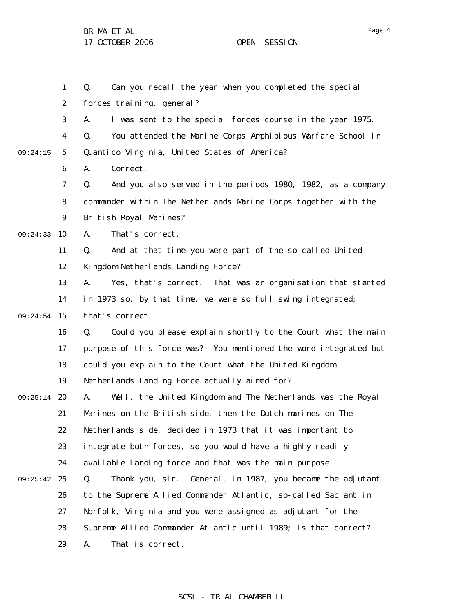1 2 3 4 5 6 7 8 9 09:24:33 10 11 12 13 14 09:24:54 15 16 17 18 19 09:25:14 20 21 22 23 24 09:25:42 25 26 27 28 29 09:24:15 Q. Can you recall the year when you completed the special forces training, general? A. I was sent to the special forces course in the year 1975. Q. You attended the Marine Corps Amphibious Warfare School in Quantico Virginia, United States of America? A. Correct. Q. And you also served in the periods 1980, 1982, as a company commander within The Netherlands Marine Corps together with the British Royal Marines? A. That's correct. Q. And at that time you were part of the so-called United Kingdom Netherlands Landing Force? A. Yes, that's correct. That was an organisation that started in 1973 so, by that time, we were so full swing integrated; that's correct. Q. Could you please explain shortly to the Court what the main purpose of this force was? You mentioned the word integrated but could you explain to the Court what the United Kingdom Netherlands Landing Force actually aimed for? A. Well, the United Kingdom and The Netherlands was the Royal Marines on the British side, then the Dutch marines on The Netherlands side, decided in 1973 that it was important to integrate both forces, so you would have a highly readily available landing force and that was the main purpose. Q. Thank you, sir. General, in 1987, you became the adjutant to the Supreme Allied Commander Atlantic, so-called Saclant in Norfolk, Virginia and you were assigned as adjutant for the Supreme Allied Commander Atlantic until 1989; is that correct? A. That is correct.

### SCSL - TRIAL CHAMBER II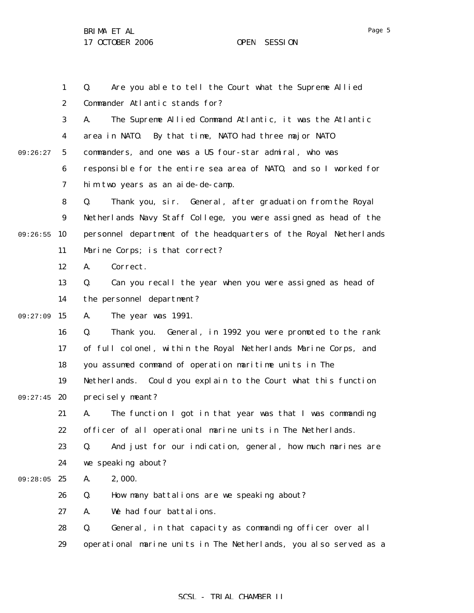BRIMA ET AL

1 2 3 4 5 6 7 8 9 09:26:55 10 11 12 13 14 09:27:09 15 16 17 18 19 09:27:45 20 21 22 23 24 09:28:05 25 26 27 28 29 09:26:27 Q. Are you able to tell the Court what the Supreme Allied Commander Atlantic stands for? A. The Supreme Allied Command Atlantic, it was the Atlantic area in NATO. By that time, NATO had three major NATO commanders, and one was a US four-star admiral, who was responsible for the entire sea area of NATO, and so I worked for him two years as an aide-de-camp. Q. Thank you, sir. General, after graduation from the Royal Netherlands Navy Staff College, you were assigned as head of the personnel department of the headquarters of the Royal Netherlands Marine Corps; is that correct? A. Correct. Q. Can you recall the year when you were assigned as head of the personnel department? A. The year was 1991. Q. Thank you. General, in 1992 you were promoted to the rank of full colonel, within the Royal Netherlands Marine Corps, and you assumed command of operation maritime units in The Netherlands. Could you explain to the Court what this function precisely meant? A. The function I got in that year was that I was commanding officer of all operational marine units in The Netherlands. Q. And just for our indication, general, how much marines are we speaking about? A. 2,000. Q. How many battalions are we speaking about? A. We had four battalions. Q. General, in that capacity as commanding officer over all operational marine units in The Netherlands, you also served as a

## SCSL - TRIAL CHAMBER II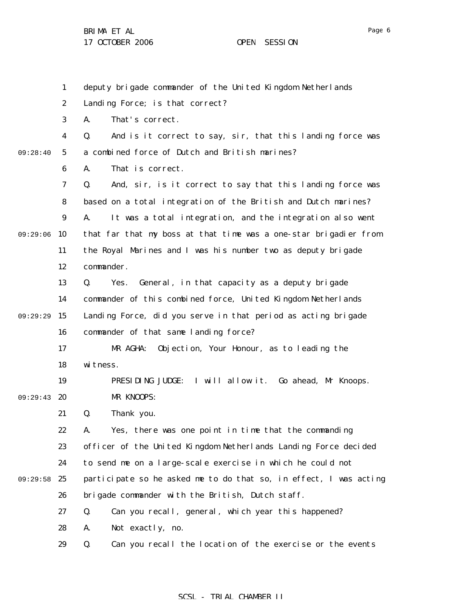1 2 3 4 5 6 7 8 9 09:29:06 10 11 12 13 14 09:29:29 15 16 17 18 19 09:29:43 20 21 22 23 24 09:29:58 25 26 27 28 29 09:28:40 deputy brigade commander of the United Kingdom Netherlands Landing Force; is that correct? A. That's correct. Q. And is it correct to say, sir, that this landing force was a combined force of Dutch and British marines? A. That is correct. Q. And, sir, is it correct to say that this landing force was based on a total integration of the British and Dutch marines? A. It was a total integration, and the integration also went that far that my boss at that time was a one-star brigadier from the Royal Marines and I was his number two as deputy brigade commander. Q. Yes. General, in that capacity as a deputy brigade commander of this combined force, United Kingdom Netherlands Landing Force, did you serve in that period as acting brigade commander of that same landing force? MR AGHA: Objection, Your Honour, as to leading the witness. PRESIDING JUDGE: I will allow it. Go ahead, Mr Knoops. MR KNOOPS: Q. Thank you. A. Yes, there was one point in time that the commanding officer of the United Kingdom Netherlands Landing Force decided to send me on a large-scale exercise in which he could not participate so he asked me to do that so, in effect, I was acting brigade commander with the British, Dutch staff. Q. Can you recall, general, which year this happened? A. Not exactly, no. Q. Can you recall the location of the exercise or the events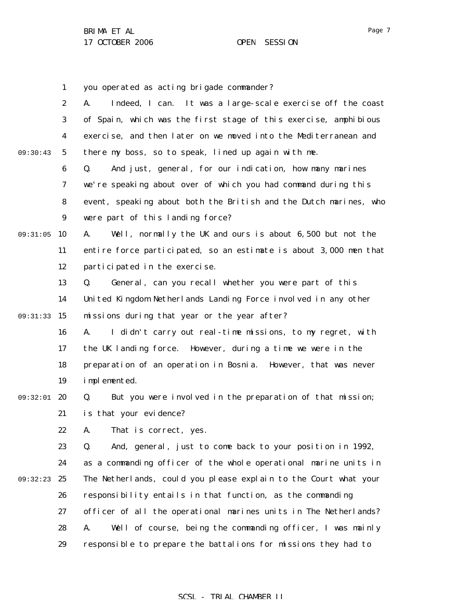Page 7

1 you operated as acting brigade commander?

|          | $\boldsymbol{2}$ | Indeed, I can. It was a large-scale exercise off the coast<br>A.  |
|----------|------------------|-------------------------------------------------------------------|
|          | 3                | of Spain, which was the first stage of this exercise, amphibious  |
|          | $\boldsymbol{4}$ | exercise, and then later on we moved into the Mediterranean and   |
| 09:30:43 | $\mathbf 5$      | there my boss, so to speak, lined up again with me.               |
|          | $\boldsymbol{6}$ | And just, general, for our indication, how many marines<br>Q.     |
|          | $\boldsymbol{7}$ | we're speaking about over of which you had command during this    |
|          | 8                | event, speaking about both the British and the Dutch marines, who |
|          | $\boldsymbol{9}$ | were part of this landing force?                                  |
| 09:31:05 | 10               | Well, normally the UK and ours is about 6,500 but not the<br>A.   |
|          | 11               | entire force participated, so an estimate is about 3,000 men that |
|          | 12               | participated in the exercise.                                     |
|          | 13               | General, can you recall whether you were part of this<br>Q.       |
|          | 14               | United Kingdom Netherlands Landing Force involved in any other    |
| 09:31:33 | 15               | missions during that year or the year after?                      |
|          | 16               | I didn't carry out real-time missions, to my regret, with<br>A.   |
|          | 17               | the UK landing force. However, during a time we were in the       |
|          | 18               | preparation of an operation in Bosnia. However, that was never    |
|          | 19               | implemented.                                                      |
| 09:32:01 | 20               | But you were involved in the preparation of that mission;<br>Q.   |
|          | 21               | is that your evidence?                                            |
|          | 22               | That is correct, yes.<br>A.                                       |
|          | 23               | Q.<br>And, general, just to come back to your position in 1992,   |
|          | 24               | as a commanding officer of the whole operational marine units in  |
| 09:32:23 | 25               | The Netherlands, could you please explain to the Court what your  |
|          | 26               | responsibility entails in that function, as the commanding        |
|          | 27               | officer of all the operational marines units in The Netherlands?  |
|          | 28               | Well of course, being the commanding officer, I was mainly<br>A.  |
|          | 29               | responsible to prepare the battalions for missions they had to    |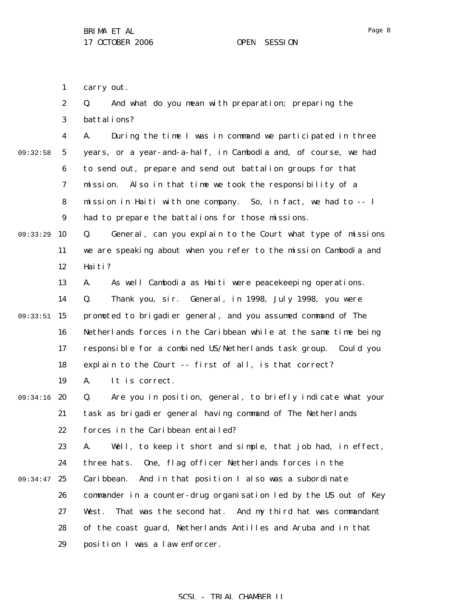1 carry out.

|          | $\boldsymbol{2}$ | And what do you mean with preparation; preparing the<br>Q.        |
|----------|------------------|-------------------------------------------------------------------|
|          | 3                | battalions?                                                       |
|          | $\boldsymbol{4}$ | During the time I was in command we participated in three<br>A.   |
| 09:32:58 | $5\phantom{.0}$  | years, or a year-and-a-half, in Cambodia and, of course, we had   |
|          | 6                | to send out, prepare and send out battalion groups for that       |
|          | $\boldsymbol{7}$ | Also in that time we took the responsibility of a<br>mission.     |
|          | 8                | mission in Haiti with one company. So, in fact, we had to -- I    |
|          | $\boldsymbol{9}$ | had to prepare the battalions for those missions.                 |
| 09:33:29 | 10               | General, can you explain to the Court what type of missions<br>Q. |
|          | 11               | we are speaking about when you refer to the mission Cambodia and  |
|          | 12               | Haiti?                                                            |
|          | 13               | As well Cambodia as Haiti were peacekeeping operations.<br>A.     |
|          | 14               | Thank you, sir. General, in 1998, July 1998, you were<br>Q.       |
| 09:33:51 | 15               | promoted to brigadier general, and you assumed command of The     |
|          | 16               | Netherlands forces in the Caribbean while at the same time being  |
|          | 17               | responsible for a combined US/Netherlands task group. Could you   |
|          | 18               | explain to the Court -- first of all, is that correct?            |
|          | 19               | A.<br>It is correct.                                              |
| 09:34:16 | 20               | Are you in position, general, to briefly indicate what your<br>Q. |
|          | 21               | task as brigadier general having command of The Netherlands       |
|          | 22               | forces in the Caribbean entailed?                                 |
|          | 23               | Well, to keep it short and simple, that job had, in effect,<br>A. |
|          | 24               | three hats.<br>One, flag officer Netherlands forces in the        |
| 09:34:47 | 25               | Cari bbean.<br>And in that position I also was a subordinate      |
|          | 26               | commander in a counter-drug organisation led by the US out of Key |
|          | 27               | That was the second hat. And my third hat was commandant<br>West. |
|          | 28               | of the coast guard, Netherlands Antilles and Aruba and in that    |
|          | 29               | position I was a law enforcer.                                    |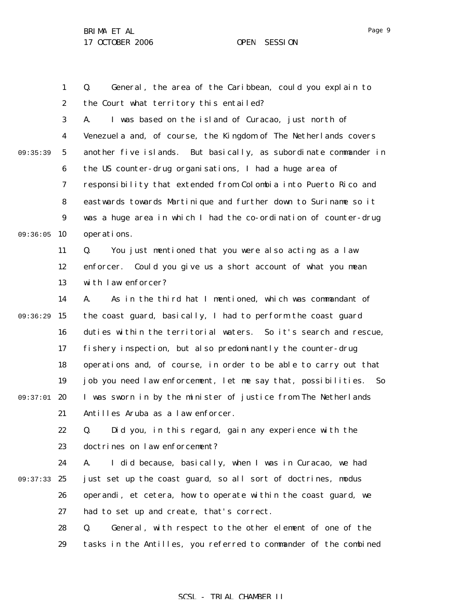Page 9

1 2 3 4 5 6 7 8 9 09:36:05 10 11 12 13 14 09:36:29 15 16 17 18 19 09:37:01 20 21 22 23 24 09:37:33 25 26 27 28 29 09:35:39 Q. General, the area of the Caribbean, could you explain to the Court what territory this entailed? A. I was based on the island of Curacao, just north of Venezuela and, of course, the Kingdom of The Netherlands covers another five islands. But basically, as subordinate commander in the US counter-drug organisations, I had a huge area of responsibility that extended from Colombia into Puerto Rico and eastwards towards Martinique and further down to Suriname so it was a huge area in which I had the co-ordination of counter-drug operations. Q. You just mentioned that you were also acting as a law enforcer. Could you give us a short account of what you mean with law enforcer? A. As in the third hat I mentioned, which was commandant of the coast guard, basically, I had to perform the coast guard duties within the territorial waters. So it's search and rescue, fishery inspection, but also predominantly the counter-drug operations and, of course, in order to be able to carry out that job you need law enforcement, let me say that, possibilities. So I was sworn in by the minister of justice from The Netherlands Antilles Aruba as a law enforcer. Q. Did you, in this regard, gain any experience with the doctrines on law enforcement? A. I did because, basically, when I was in Curacao, we had just set up the coast guard, so all sort of doctrines, modus operandi, et cetera, how to operate within the coast guard, we had to set up and create, that's correct. Q. General, with respect to the other element of one of the tasks in the Antilles, you referred to commander of the combined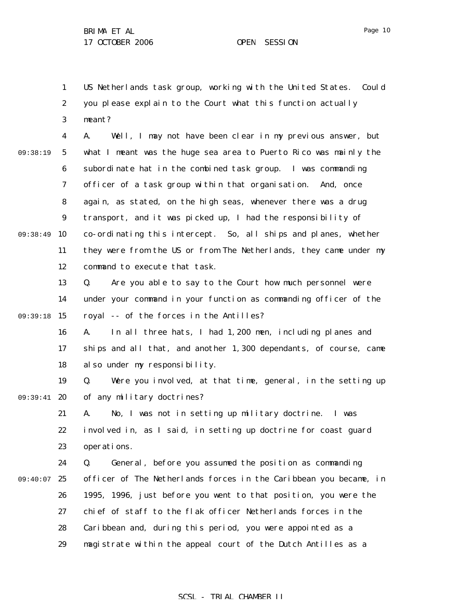1 2 3 US Netherlands task group, working with the United States. Could you please explain to the Court what this function actually meant?

4 5 6 7 8 9 09:38:49 10 11 12 09:38:19 A. Well, I may not have been clear in my previous answer, but what I meant was the huge sea area to Puerto Rico was mainly the subordinate hat in the combined task group. I was commanding officer of a task group within that organisation. And, once again, as stated, on the high seas, whenever there was a drug transport, and it was picked up, I had the responsibility of co-ordinating this intercept. So, all ships and planes, whether they were from the US or from The Netherlands, they came under my command to execute that task.

13 14 09:39:18 15 Q. Are you able to say to the Court how much personnel were under your command in your function as commanding officer of the royal -- of the forces in the Antilles?

> 16 17 18 A. In all three hats, I had 1,200 men, including planes and ships and all that, and another 1,300 dependants, of course, came also under my responsibility.

19 09:39:41 20 Q. Were you involved, at that time, general, in the setting up of any military doctrines?

21 22 23 A. No, I was not in setting up military doctrine. I was involved in, as I said, in setting up doctrine for coast guard operations.

24 09:40:07 25 26 27 28 29 Q. General, before you assumed the position as commanding officer of The Netherlands forces in the Caribbean you became, in 1995, 1996, just before you went to that position, you were the chief of staff to the flak officer Netherlands forces in the Caribbean and, during this period, you were appointed as a magistrate within the appeal court of the Dutch Antilles as a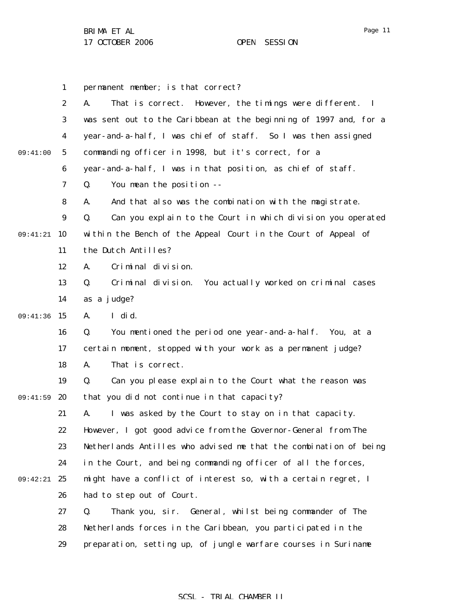| $\mathbf{1}$     | permanent member; is that correct?                                |
|------------------|-------------------------------------------------------------------|
| $\boldsymbol{2}$ | That is correct. However, the timings were different. I<br>A.     |
| 3                | was sent out to the Caribbean at the beginning of 1997 and, for a |
| 4                | year-and-a-half, I was chief of staff. So I was then assigned     |
| 5                | commanding officer in 1998, but it's correct, for a               |
| 6                | year-and-a-half, I was in that position, as chief of staff.       |
| 7                | You mean the position --<br>Q.                                    |
| 8                | And that also was the combination with the magistrate.<br>A.      |
| 9                | Can you explain to the Court in which division you operated<br>Q. |
| 10               | within the Bench of the Appeal Court in the Court of Appeal of    |
| 11               | the Dutch Antilles?                                               |
| 12               | Criminal division.<br>A.                                          |
| 13               | Criminal division.<br>You actually worked on criminal cases<br>Q. |
| 14               | as a judge?                                                       |
| 15               | I did.<br>A.                                                      |
| 16               | Q.<br>You mentioned the period one year-and-a-half. You, at a     |
| 17               | certain moment, stopped with your work as a permanent judge?      |
| 18               | A.<br>That is correct.                                            |
| 19               | Q.<br>Can you please explain to the Court what the reason was     |
| 20               | that you did not continue in that capacity?                       |
| 21               | I was asked by the Court to stay on in that capacity.<br>A.       |
| 22               | However, I got good advice from the Governor-General from The     |
| 23               | Netherlands Antilles who advised me that the combination of being |
| 24               | in the Court, and being commanding officer of all the forces,     |
| 25               | might have a conflict of interest so, with a certain regret, I    |
| 26               | had to step out of Court.                                         |
| 27               | Q.<br>Thank you, sir. General, whilst being commander of The      |
| 28               | Netherlands forces in the Caribbean, you participated in the      |
| 29               | preparation, setting up, of jungle warfare courses in Suriname    |
|                  |                                                                   |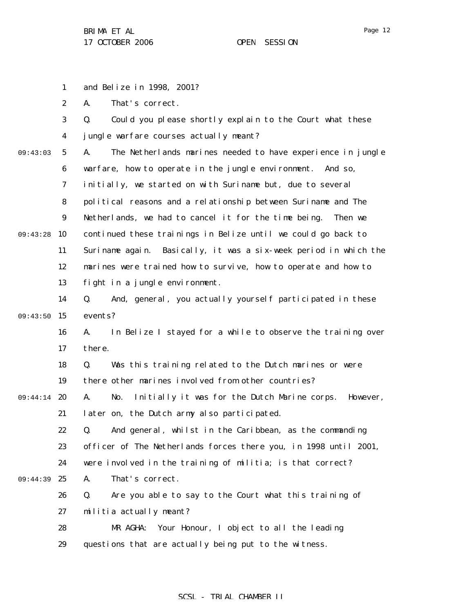Page 12

|          | $\mathbf{1}$     | and Belize in 1998, 2001?                                                    |
|----------|------------------|------------------------------------------------------------------------------|
|          | $\boldsymbol{2}$ | That's correct.<br>A.                                                        |
|          | 3                | Could you please shortly explain to the Court what these<br>Q.               |
|          | $\boldsymbol{4}$ | jungle warfare courses actually meant?                                       |
| 09:43:03 | $5\phantom{.0}$  | A.<br>The Netherlands marines needed to have experience in jungle            |
|          | $\boldsymbol{6}$ | warfare, how to operate in the jungle environment. And so,                   |
|          | 7                | initially, we started on with Suriname but, due to several                   |
|          | 8                | political reasons and a relationship between Suriname and The                |
|          | $\boldsymbol{9}$ | Netherlands, we had to cancel it for the time being.<br>Then we              |
| 09:43:28 | 10               | continued these trainings in Belize until we could go back to                |
|          | 11               | Suriname again. Basically, it was a six-week period in which the             |
|          | 12               | marines were trained how to survive, how to operate and how to               |
|          | 13               | fight in a jungle environment.                                               |
|          | 14               | And, general, you actually yourself participated in these<br>Q.              |
| 09:43:50 | 15               | events?                                                                      |
|          | 16               | In Belize I stayed for a while to observe the training over<br>A.            |
|          | 17               | there.                                                                       |
|          | 18               | Q.<br>Was this training related to the Dutch marines or were                 |
|          | 19               | there other marines involved from other countries?                           |
| 09:44:14 | 20               | <b>A.</b><br>Initially it was for the Dutch Marine corps.<br>No.<br>However, |
|          | 21               | later on, the Dutch army also participated.                                  |
|          | 22               | Q. And general, whilst in the Caribbean, as the commanding                   |
|          | 23               | officer of The Netherlands forces there you, in 1998 until 2001,             |
|          | 24               | were involved in the training of militia; is that correct?                   |
| 09:44:39 | 25               | A.<br>That's correct.                                                        |
|          | 26               | Q.<br>Are you able to say to the Court what this training of                 |
|          | 27               | militia actually meant?                                                      |
|          | 28               | Your Honour, I object to all the leading<br>MR AGHA:                         |
|          | 29               | questions that are actually being put to the witness.                        |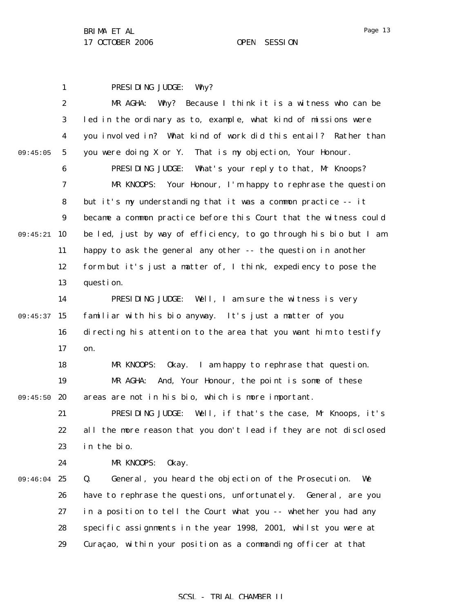1 2 3 4 5 6 7 8 9 09:45:21 10 11 12 13 14 09:45:37 15 16 17 18 19 09:45:50 20 21 22 23 24 09:46:04 25 26 27 28 09:45:05 PRESIDING JUDGE: Why? MR AGHA: Why? Because I think it is a witness who can be led in the ordinary as to, example, what kind of missions were you involved in? What kind of work did this entail? Rather than you were doing X or Y. That is my objection, Your Honour. PRESIDING JUDGE: What's your reply to that, Mr Knoops? MR KNOOPS: Your Honour, I'm happy to rephrase the question but it's my understanding that it was a common practice -- it became a common practice before this Court that the witness could be led, just by way of efficiency, to go through his bio but I am happy to ask the general any other -- the question in another form but it's just a matter of, I think, expediency to pose the question. PRESIDING JUDGE: Well, I am sure the witness is very familiar with his bio anyway. It's just a matter of you directing his attention to the area that you want him to testify on. MR KNOOPS: Okay. I am happy to rephrase that question. MR AGHA: And, Your Honour, the point is some of these areas are not in his bio, which is more important. PRESIDING JUDGE: Well, if that's the case, Mr Knoops, it's all the more reason that you don't lead if they are not disclosed in the bio. MR KNOOPS: Okay. Q. General, you heard the objection of the Prosecution. We have to rephrase the questions, unfortunately. General, are you in a position to tell the Court what you -- whether you had any specific assignments in the year 1998, 2001, whilst you were at

> 29 Curaçao, within your position as a commanding officer at that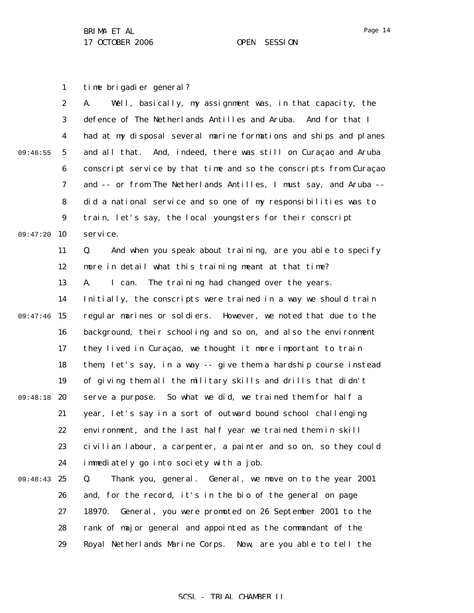1 time brigadier general?

|          | $\boldsymbol{2}$ | Well, basically, my assignment was, in that capacity, the<br>A.   |
|----------|------------------|-------------------------------------------------------------------|
|          | 3                | defence of The Netherlands Antilles and Aruba.<br>And for that I  |
|          | $\boldsymbol{4}$ | had at my disposal several marine formations and ships and planes |
| 09:46:55 | $\mathbf{5}$     | and all that. And, indeed, there was still on Curaçao and Aruba   |
|          | $\boldsymbol{6}$ | conscript service by that time and so the conscripts from Curaçao |
|          | 7                | and -- or from The Netherlands Antilles, I must say, and Aruba -- |
|          | 8                | did a national service and so one of my responsibilities was to   |
|          | $\boldsymbol{9}$ | train, let's say, the local youngsters for their conscript        |
| 09:47:20 | 10               | service.                                                          |
|          | 11               | And when you speak about training, are you able to specify<br>Q.  |
|          | 12               | more in detail what this training meant at that time?             |
|          | 13               | The training had changed over the years.<br>A.<br>I can.          |
|          | 14               | Initially, the conscripts were trained in a way we should train   |
| 09:47:46 | 15               | regular marines or soldiers. However, we noted that due to the    |
|          | 16               | background, their schooling and so on, and also the environment   |
|          | 17               | they lived in Curaçao, we thought it more important to train      |
|          | 18               | them, let's say, in a way -- give them a hardship course instead  |
|          | 19               | of giving them all the military skills and drills that didn't     |
| 09:48:18 | 20               | So what we did, we trained them for half a<br>serve a purpose.    |
|          | 21               | year, let's say in a sort of outward bound school challenging     |
|          | 22               | environment, and the last half year we trained them in skill      |
|          | 23               | civilian labour, a carpenter, a painter and so on, so they could  |
|          | 24               | immediately go into society with a job.                           |
| 09:48:43 | 25               | Q.<br>Thank you, general. General, we move on to the year 2001    |
|          | 26               | and, for the record, it's in the bio of the general on page       |
|          | 27               | 18970.<br>General, you were promoted on 26 September 2001 to the  |
|          | 28               | rank of major general and appointed as the commandant of the      |
|          | 29               | Royal Netherlands Marine Corps. Now, are you able to tell the     |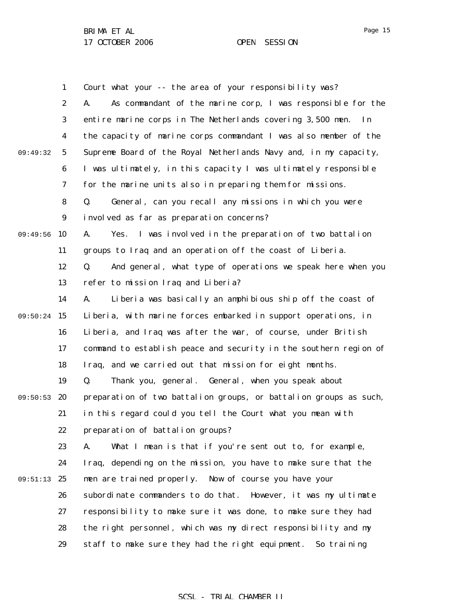1 2 3 4 5 6 7 8 9 09:49:56 10 11 12 13 14 09:50:24 15 16 17 18 19 09:50:53 20 21 22 23 24 09:51:13 25 26 27 28 29 09:49:32 Court what your -- the area of your responsibility was? A. As commandant of the marine corp, I was responsible for the entire marine corps in The Netherlands covering 3,500 men. In the capacity of marine corps commandant I was also member of the Supreme Board of the Royal Netherlands Navy and, in my capacity, I was ultimately, in this capacity I was ultimately responsible for the marine units also in preparing them for missions. Q. General, can you recall any missions in which you were involved as far as preparation concerns? A. Yes. I was involved in the preparation of two battalion groups to Iraq and an operation off the coast of Liberia. Q. And general, what type of operations we speak here when you refer to mission Iraq and Liberia? A. Liberia was basically an amphibious ship off the coast of Liberia, with marine forces embarked in support operations, in Liberia, and Iraq was after the war, of course, under British command to establish peace and security in the southern region of Iraq, and we carried out that mission for eight months. Q. Thank you, general. General, when you speak about preparation of two battalion groups, or battalion groups as such, in this regard could you tell the Court what you mean with preparation of battalion groups? A. What I mean is that if you're sent out to, for example, Iraq, depending on the mission, you have to make sure that the men are trained properly. Now of course you have your subordinate commanders to do that. However, it was my ultimate responsibility to make sure it was done, to make sure they had the right personnel, which was my direct responsibility and my staff to make sure they had the right equipment. So training

Page 15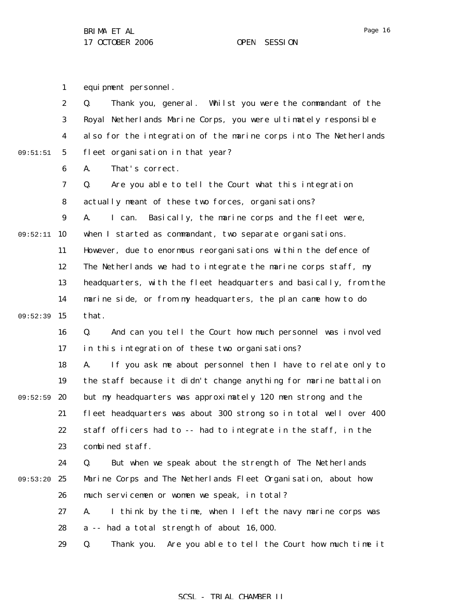equipment personnel.

1

|          | $\boldsymbol{2}$ | Thank you, general. Whilst you were the commandant of the<br>Q.     |
|----------|------------------|---------------------------------------------------------------------|
|          | 3                | Royal Netherlands Marine Corps, you were ultimately responsible     |
|          | $\boldsymbol{4}$ | also for the integration of the marine corps into The Netherlands   |
| 09:51:51 | $\mathbf{5}$     | fleet organisation in that year?                                    |
|          | 6                | That's correct.<br>A.                                               |
|          | 7                | Are you able to tell the Court what this integration<br>Q.          |
|          | 8                | actually meant of these two forces, organisations?                  |
|          | $\boldsymbol{9}$ | I can. Basically, the marine corps and the fleet were,<br>A.        |
| 09:52:11 | 10               | when I started as commandant, two separate organisations.           |
|          | 11               | However, due to enormous reorganisations within the defence of      |
|          | 12               | The Netherlands we had to integrate the marine corps staff, my      |
|          | 13               | headquarters, with the fleet headquarters and basically, from the   |
|          | 14               | marine side, or from my headquarters, the plan came how to do       |
| 09:52:39 | 15               | that.                                                               |
|          | 16               | And can you tell the Court how much personnel was involved<br>Q.    |
|          | 17               | in this integration of these two organisations?                     |
|          | 18               | If you ask me about personnel then I have to relate only to<br>A.   |
|          | 19               | the staff because it didn't change anything for marine battalion    |
| 09:52:59 | 20               | but my headquarters was approximately 120 men strong and the        |
|          | 21               | fleet headquarters was about 300 strong so in total well over 400   |
|          | 22               | staff officers had to -- had to integrate in the staff, in the      |
|          | 23               | combined staff.                                                     |
|          | 24               | But when we speak about the strength of The Netherlands<br>Q.       |
| 09:53:20 | 25               | Marine Corps and The Netherlands Fleet Organisation, about how      |
|          | 26               | much servicemen or women we speak, in total?                        |
|          | 27               | I think by the time, when I left the navy marine corps was<br>A.    |
|          | 28               | a -- had a total strength of about 16,000.                          |
|          | 29               | Thank you.<br>Are you able to tell the Court how much time it<br>Q. |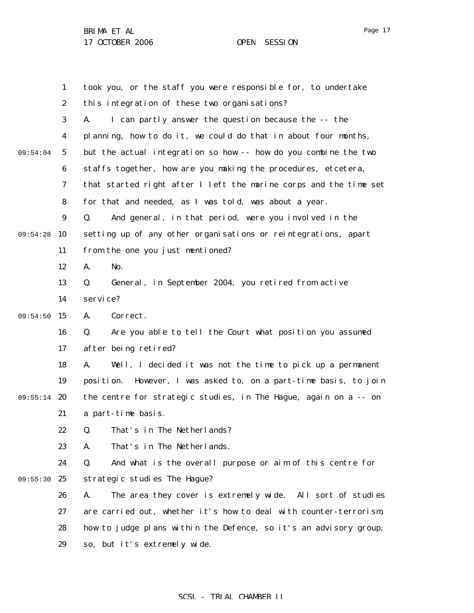1 2 3 4 5 6 7 8 9 09:54:28 10 11 12 13 14 09:54:50 15 16 17 18 19 09:55:14 20 21 22 23 24 09:55:30 25 26 27 28 29 09:54:04 took you, or the staff you were responsible for, to undertake this integration of these two organisations? A. I can partly answer the question because the -- the planning, how to do it, we could do that in about four months, but the actual integration so how -- how do you combine the two staffs together, how are you making the procedures, etcetera, that started right after I left the marine corps and the time set for that and needed, as I was told, was about a year. Q. And general, in that period, were you involved in the setting up of any other organisations or reintegrations, apart from the one you just mentioned? A. No. Q. General, in September 2004, you retired from active service? A. Correct. Q. Are you able to tell the Court what position you assumed after being retired? A. Well, I decided it was not the time to pick up a permanent position. However, I was asked to, on a part-time basis, to join the centre for strategic studies, in The Hague, again on a -- on a part-time basis. Q. That's in The Netherlands? A. That's in The Netherlands. Q. And what is the overall purpose or aim of this centre for strategic studies The Hague? A. The area they cover is extremely wide. All sort of studies are carried out, whether it's how to deal with counter-terrorism, how to judge plans within the Defence, so it's an advisory group, so, but it's extremely wide.

## SCSL - TRIAL CHAMBER II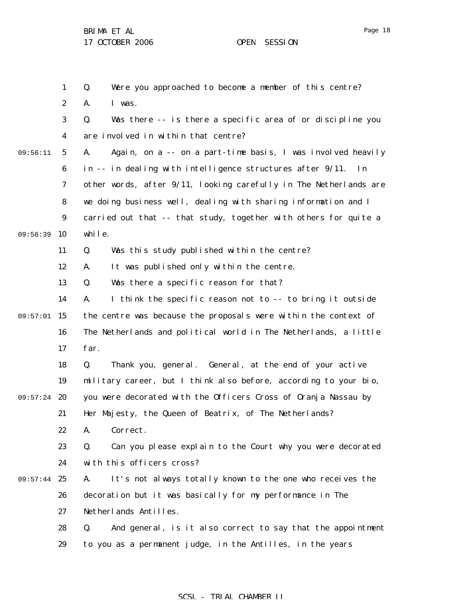1 2 3 4 5 6 7 8 9 09:56:39 10 11 12 13 14 09:57:01 15 16 17 18 19 09:57:24 20 21 22 23 24 09:57:44 25 26 27 28 29 09:56:11 Q. Were you approached to become a member of this centre? A. I was. Q. Was there -- is there a specific area of or discipline you are involved in within that centre? A. Again, on a -- on a part-time basis, I was involved heavily in -- in dealing with intelligence structures after 9/11. In other words, after 9/11, looking carefully in The Netherlands are we doing business well, dealing with sharing information and I carried out that -- that study, together with others for quite a while. Q. Was this study published within the centre? A. It was published only within the centre. Q. Was there a specific reason for that? A. I think the specific reason not to -- to bring it outside the centre was because the proposals were within the context of The Netherlands and political world in The Netherlands, a little far. Q. Thank you, general. General, at the end of your active military career, but I think also before, according to your bio, you were decorated with the Officers Cross of Oranja Nassau by Her Majesty, the Queen of Beatrix, of The Netherlands? A. Correct. Q. Can you please explain to the Court why you were decorated with this officers cross? A. It's not always totally known to the one who receives the decoration but it was basically for my performance in The Netherlands Antilles. Q. And general, is it also correct to say that the appointment to you as a permanent judge, in the Antilles, in the years

## SCSL - TRIAL CHAMBER II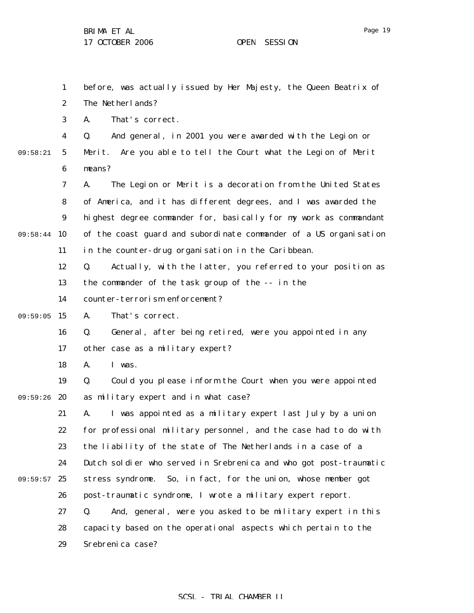1 2 3 4 5 6 7 8 9 09:58:44 10 11 12 13 14 09:59:05 15 16 17 18 19 09:59:26 20 21 22 23 24 09:59:57 25 26 27 28 29 09:58:21 before, was actually issued by Her Majesty, the Queen Beatrix of The Netherlands? A. That's correct. Q. And general, in 2001 you were awarded with the Legion or Merit. Are you able to tell the Court what the Legion of Merit means? A. The Legion or Merit is a decoration from the United States of America, and it has different degrees, and I was awarded the highest degree commander for, basically for my work as commandant of the coast guard and subordinate commander of a US organisation in the counter-drug organisation in the Caribbean. Q. Actually, with the latter, you referred to your position as the commander of the task group of the -- in the counter-terrorism enforcement? A. That's correct. Q. General, after being retired, were you appointed in any other case as a military expert? A. I was. Q. Could you please inform the Court when you were appointed as military expert and in what case? A. I was appointed as a military expert last July by a union for professional military personnel, and the case had to do with the liability of the state of The Netherlands in a case of a Dutch soldier who served in Srebrenica and who got post-traumatic stress syndrome. So, in fact, for the union, whose member got post-traumatic syndrome, I wrote a military expert report. Q. And, general, were you asked to be military expert in this capacity based on the operational aspects which pertain to the Srebrenica case?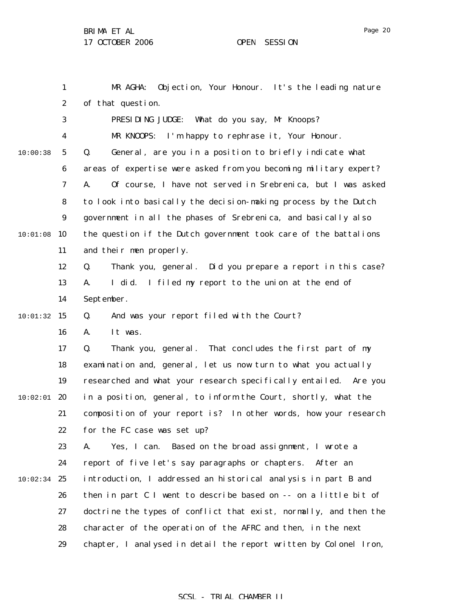BRIMA ET AL

17 OCTOBER 2006 OPEN SESSION

1 2 3 4 5 6 7 8 9 10:01:08 10 11 12 13 14  $10:01:32$  15 16 17 18 19  $10:02:01$  20 21 22 23 24  $10:02:34$  25 26 27 28 29 10:00:38 MR AGHA: Objection, Your Honour. It's the leading nature of that question. PRESIDING JUDGE: What do you say, Mr Knoops? MR KNOOPS: I'm happy to rephrase it, Your Honour. Q. General, are you in a position to briefly indicate what areas of expertise were asked from you becoming military expert? A. Of course, I have not served in Srebrenica, but I was asked to look into basically the decision-making process by the Dutch government in all the phases of Srebrenica, and basically also the question if the Dutch government took care of the battalions and their men properly. Q. Thank you, general. Did you prepare a report in this case? A. I did. I filed my report to the union at the end of September. Q. And was your report filed with the Court? A. It was. Q. Thank you, general. That concludes the first part of my examination and, general, let us now turn to what you actually researched and what your research specifically entailed. Are you in a position, general, to inform the Court, shortly, what the composition of your report is? In other words, how your research for the FC case was set up? A. Yes, I can. Based on the broad assignment, I wrote a report of five let's say paragraphs or chapters. After an introduction, I addressed an historical analysis in part B and then in part C I went to describe based on -- on a little bit of doctrine the types of conflict that exist, normally, and then the character of the operation of the AFRC and then, in the next chapter, I analysed in detail the report written by Colonel Iron,

## SCSL - TRIAL CHAMBER II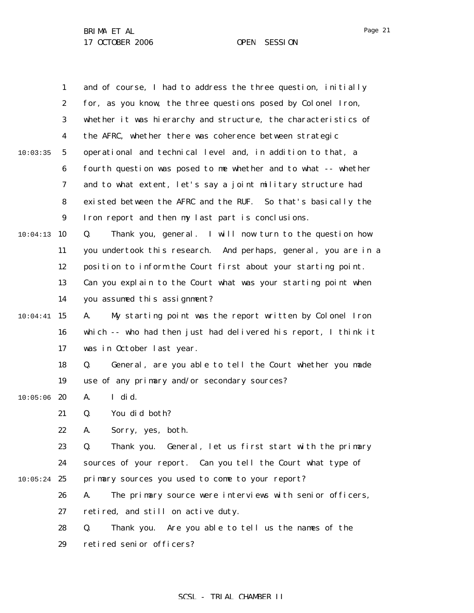|               | 1                | and of course, I had to address the three question, initially    |
|---------------|------------------|------------------------------------------------------------------|
|               | $\boldsymbol{2}$ | for, as you know, the three questions posed by Colonel Iron,     |
|               | 3                | whether it was hierarchy and structure, the characteristics of   |
|               | $\boldsymbol{4}$ | the AFRC, whether there was coherence between strategic          |
| 10:03:35      | $\sqrt{5}$       | operational and technical level and, in addition to that, a      |
|               | $\boldsymbol{6}$ | fourth question was posed to me whether and to what -- whether   |
|               | 7                | and to what extent, let's say a joint military structure had     |
|               | 8                | existed between the AFRC and the RUF. So that's basically the    |
|               | $\boldsymbol{9}$ | Iron report and then my last part is conclusions.                |
| 10:04:13      | 10               | Thank you, general. I will now turn to the question how<br>Q.    |
|               | 11               | you undertook this research. And perhaps, general, you are in a  |
|               | 12               | position to inform the Court first about your starting point.    |
|               | 13               | Can you explain to the Court what was your starting point when   |
|               | 14               | you assumed this assignment?                                     |
| 10:04:41      | 15               | My starting point was the report written by Colonel Iron<br>A.   |
|               | 16               | which -- who had then just had delivered his report, I think it  |
|               | 17               | was in October last year.                                        |
|               | 18               | General, are you able to tell the Court whether you made<br>Q.   |
|               | 19               | use of any primary and/or secondary sources?                     |
| 10:05:06      | 20               | I did.<br>A.                                                     |
|               | 21               | You did both?<br>Q.                                              |
|               | 22               | A.<br>Sorry, yes, both.                                          |
|               | 23               | General, let us first start with the primary<br>Q.<br>Thank you. |
|               | 24               | sources of your report. Can you tell the Court what type of      |
| $10:05:24$ 25 |                  | primary sources you used to come to your report?                 |
|               | 26               | The primary source were interviews with senior officers,<br>A.   |
|               | 27               | retired, and still on active duty.                               |
|               | 28               | Q.<br>Are you able to tell us the names of the<br>Thank you.     |
|               | 29               | retired senior officers?                                         |

# SCSL - TRIAL CHAMBER II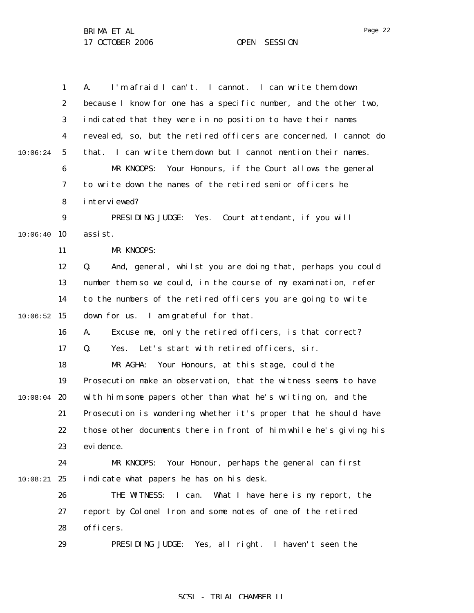1 2 3 4 5 6 7 8 9 10:06:40 10 11 12 13 14  $10:06:52$  15 16 17 18 19  $10:08:04$  20 21 22 23 24  $10:08:21$  25 26 27 28 29 10:06:24 A. I'm afraid I can't. I cannot. I can write them down because I know for one has a specific number, and the other two, indicated that they were in no position to have their names revealed, so, but the retired officers are concerned, I cannot do that. I can write them down but I cannot mention their names. MR KNOOPS: Your Honours, if the Court allows the general to write down the names of the retired senior officers he interviewed? PRESIDING JUDGE: Yes. Court attendant, if you will assist. MR KNOOPS: Q. And, general, whilst you are doing that, perhaps you could number them so we could, in the course of my examination, refer to the numbers of the retired officers you are going to write down for us. I am grateful for that. A. Excuse me, only the retired officers, is that correct? Q. Yes. Let's start with retired officers, sir. MR AGHA: Your Honours, at this stage, could the Prosecution make an observation, that the witness seems to have with him some papers other than what he's writing on, and the Prosecution is wondering whether it's proper that he should have those other documents there in front of him while he's giving his evi dence. MR KNOOPS: Your Honour, perhaps the general can first indicate what papers he has on his desk. THE WITNESS: I can. What I have here is my report, the report by Colonel Iron and some notes of one of the retired officers. PRESIDING JUDGE: Yes, all right. I haven't seen the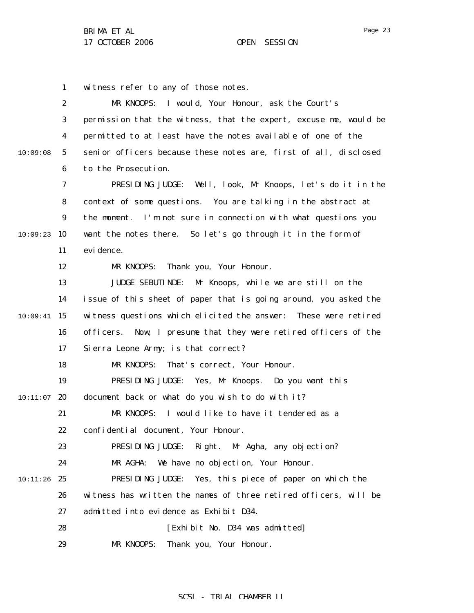1 witness refer to any of those notes.

|          | $\boldsymbol{2}$ | MR KNOOPS: I would, Your Honour, ask the Court's                   |
|----------|------------------|--------------------------------------------------------------------|
|          | 3                | permission that the witness, that the expert, excuse me, would be  |
|          | 4                | permitted to at least have the notes available of one of the       |
| 10:09:08 | 5                | senior officers because these notes are, first of all, disclosed   |
|          | 6                | to the Prosecution.                                                |
|          | 7                | PRESIDING JUDGE: Well, look, Mr Knoops, let's do it in the         |
|          | 8                | context of some questions. You are talking in the abstract at      |
|          | $\boldsymbol{9}$ | the moment. I'm not sure in connection with what questions you     |
| 10:09:23 | 10               | want the notes there. So let's go through it in the form of        |
|          | 11               | evi dence.                                                         |
|          | 12               | Thank you, Your Honour.<br>MR KNOOPS:                              |
|          | 13               | <b>JUDGE SEBUTINDE:</b><br>Mr Knoops, while we are still on the    |
|          | 14               | issue of this sheet of paper that is going around, you asked the   |
| 10:09:41 | 15               | witness questions which elicited the answer: These were retired    |
|          | 16               | Now, I presume that they were retired officers of the<br>officers. |
|          | 17               | Sierra Leone Army; is that correct?                                |
|          | 18               | That's correct, Your Honour.<br>MR KNOOPS:                         |
|          | 19               | PRESIDING JUDGE:<br>Yes, Mr Knoops. Do you want this               |
| 10:11:07 | 20               | document back or what do you wish to do with it?                   |
|          | 21               | I would like to have it tendered as a<br>MR KNOOPS:                |
|          | 22               | confidential document, Your Honour.                                |
|          | 23               | PRESIDING JUDGE: Right. Mr Agha, any objection?                    |
|          | 24               | MR AGHA:<br>We have no objection, Your Honour.                     |
| 10:11:26 | 25               | PRESIDING JUDGE:<br>Yes, this piece of paper on which the          |
|          | 26               | witness has written the names of three retired officers, will be   |
|          | 27               | admitted into evidence as Exhibit D34.                             |
|          | 28               | [Exhibit No. D34 was admitted]                                     |
|          | 29               | MR KNOOPS:<br>Thank you, Your Honour.                              |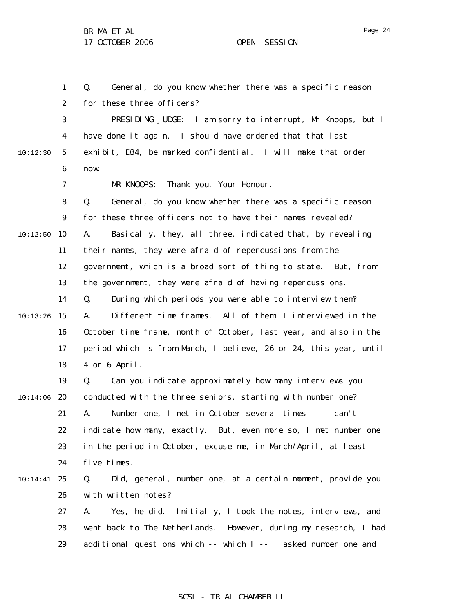1 2 3 4 5 6 7 8 9 10:12:50 10 11 12 13 14  $10:13:26$  15 16 17 18 19  $10:14:06$  20 21 22 23 24 10:14:41 25 26 27 28 29 10:12:30 Q. General, do you know whether there was a specific reason for these three officers? PRESIDING JUDGE: I am sorry to interrupt, Mr Knoops, but I have done it again. I should have ordered that that last exhibit, D34, be marked confidential. I will make that order now. MR KNOOPS: Thank you, Your Honour. Q. General, do you know whether there was a specific reason for these three officers not to have their names revealed? A. Basically, they, all three, indicated that, by revealing their names, they were afraid of repercussions from the government, which is a broad sort of thing to state. But, from the government, they were afraid of having repercussions. Q. During which periods you were able to interview them? A. Different time frames. All of them, I interviewed in the October time frame, month of October, last year, and also in the period which is from March, I believe, 26 or 24, this year, until 4 or 6 April. Q. Can you indicate approximately how many interviews you conducted with the three seniors, starting with number one? A. Number one, I met in October several times -- I can't indicate how many, exactly. But, even more so, I met number one in the period in October, excuse me, in March/April, at least five times. Q. Did, general, number one, at a certain moment, provide you with written notes? A. Yes, he did. Initially, I took the notes, interviews, and went back to The Netherlands. However, during my research, I had additional questions which -- which I -- I asked number one and

## SCSL - TRIAL CHAMBER II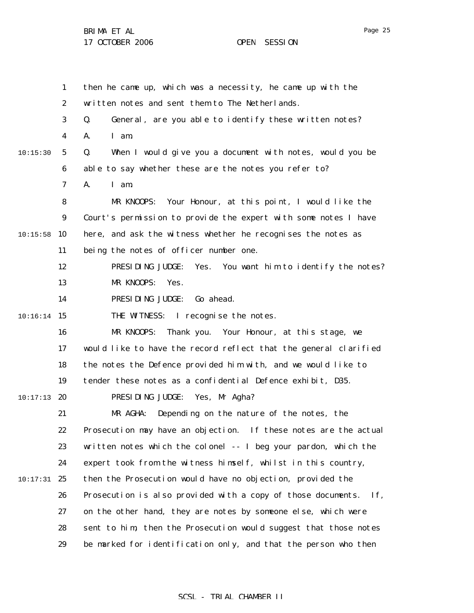1 2 3 4 5 6 7 8 9  $10:15:58$  10 11 12 13 14  $10:16:14$  15 16 17 18 19  $10:17:13$  20 21 22 23 24 10:17:31 25 26 27 28 29 10:15:30 then he came up, which was a necessity, he came up with the written notes and sent them to The Netherlands. Q. General, are you able to identify these written notes? A. I am. Q. When I would give you a document with notes, would you be able to say whether these are the notes you refer to? A. I am. MR KNOOPS: Your Honour, at this point, I would like the Court's permission to provide the expert with some notes I have here, and ask the witness whether he recognises the notes as being the notes of officer number one. PRESIDING JUDGE: Yes. You want him to identify the notes? MR KNOOPS: Yes. PRESIDING JUDGE: Go ahead. THE WITNESS: I recognise the notes. MR KNOOPS: Thank you. Your Honour, at this stage, we would like to have the record reflect that the general clarified the notes the Defence provided him with, and we would like to tender these notes as a confidential Defence exhibit, D35. PRESIDING JUDGE: Yes, Mr Agha? MR AGHA: Depending on the nature of the notes, the Prosecution may have an objection. If these notes are the actual written notes which the colonel -- I beg your pardon, which the expert took from the witness himself, whilst in this country, then the Prosecution would have no objection, provided the Prosecution is also provided with a copy of those documents. If, on the other hand, they are notes by someone else, which were sent to him, then the Prosecution would suggest that those notes be marked for identification only, and that the person who then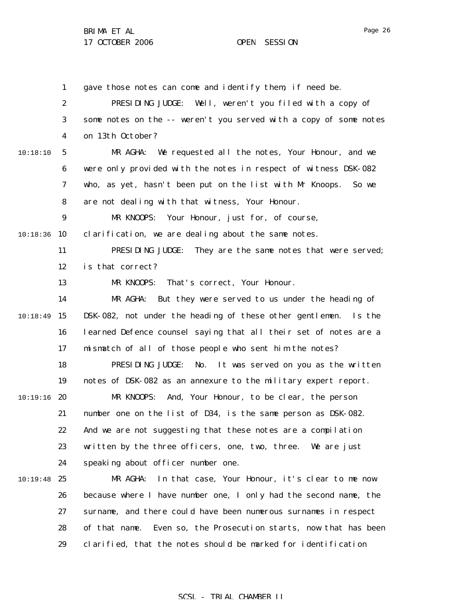Page 26

1 2 3 4 5 6 7 8 9 10:18:36 10 11 12 13 14  $10:18:49$  15 16 17 18 19  $10:19:16$  20 21 22 23 24  $10:19:48$  25 26 27 28 10:18:10 gave those notes can come and identify them, if need be. PRESIDING JUDGE: Well, weren't you filed with a copy of some notes on the -- weren't you served with a copy of some notes on 13th October? MR AGHA: We requested all the notes, Your Honour, and we were only provided with the notes in respect of witness DSK-082 who, as yet, hasn't been put on the list with Mr Knoops. So we are not dealing with that witness, Your Honour. MR KNOOPS: Your Honour, just for, of course, clarification, we are dealing about the same notes. PRESIDING JUDGE: They are the same notes that were served; is that correct? MR KNOOPS: That's correct, Your Honour. MR AGHA: But they were served to us under the heading of DSK-082, not under the heading of these other gentlemen. Is the learned Defence counsel saying that all their set of notes are a mismatch of all of those people who sent him the notes? PRESIDING JUDGE: No. It was served on you as the written notes of DSK-082 as an annexure to the military expert report. MR KNOOPS: And, Your Honour, to be clear, the person number one on the list of D34, is the same person as DSK-082. And we are not suggesting that these notes are a compilation written by the three officers, one, two, three. We are just speaking about officer number one. MR AGHA: In that case, Your Honour, it's clear to me now because where I have number one, I only had the second name, the surname, and there could have been numerous surnames in respect of that name. Even so, the Prosecution starts, now that has been

> 29 clarified, that the notes should be marked for identification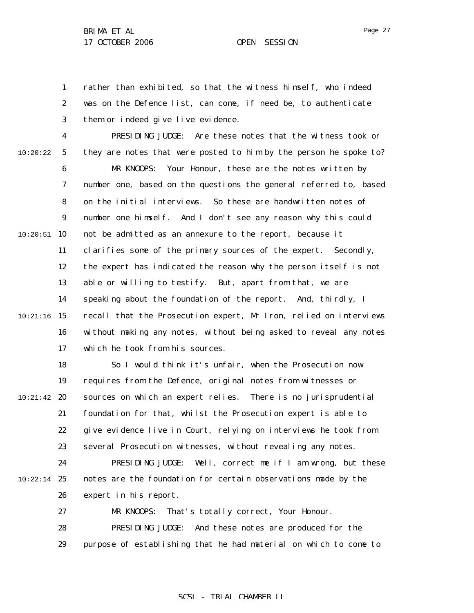1 2 3 rather than exhibited, so that the witness himself, who indeed was on the Defence list, can come, if need be, to authenticate them or indeed give live evidence.

PRESIDING JUDGE: Are these notes that the witness took or

10:20:22

4

5 6 7 8 9  $10:20:51$  10 11 12 13 14  $10:21:16$  15 16 17 they are notes that were posted to him by the person he spoke to? MR KNOOPS: Your Honour, these are the notes written by number one, based on the questions the general referred to, based on the initial interviews. So these are handwritten notes of number one himself. And I don't see any reason why this could not be admitted as an annexure to the report, because it clarifies some of the primary sources of the expert. Secondly, the expert has indicated the reason why the person itself is not able or willing to testify. But, apart from that, we are speaking about the foundation of the report. And, thirdly, I recall that the Prosecution expert, Mr Iron, relied on interviews without making any notes, without being asked to reveal any notes which he took from his sources.

18 19  $10:21:42$  20 21 22 23 So I would think it's unfair, when the Prosecution now requires from the Defence, original notes from witnesses or sources on which an expert relies. There is no jurisprudential foundation for that, whilst the Prosecution expert is able to give evidence live in Court, relying on interviews he took from several Prosecution witnesses, without revealing any notes.

24  $10:22:14$  25 26 PRESIDING JUDGE: Well, correct me if I am wrong, but these notes are the foundation for certain observations made by the expert in his report.

> 27 28 29 MR KNOOPS: That's totally correct, Your Honour. PRESIDING JUDGE: And these notes are produced for the purpose of establishing that he had material on which to come to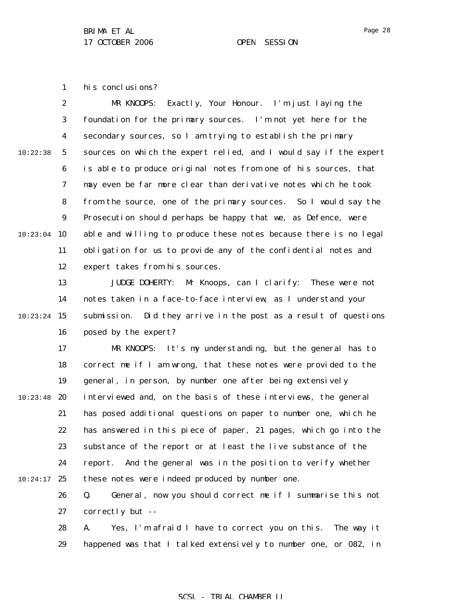1 his conclusions?

2 3 4 5 6 7 8 9  $10:23:04$  10 11 12 10:22:38 MR KNOOPS: Exactly, Your Honour. I'm just laying the foundation for the primary sources. I'm not yet here for the secondary sources, so I am trying to establish the primary sources on which the expert relied, and I would say if the expert is able to produce original notes from one of his sources, that may even be far more clear than derivative notes which he took from the source, one of the primary sources. So I would say the Prosecution should perhaps be happy that we, as Defence, were able and willing to produce these notes because there is no legal obligation for us to provide any of the confidential notes and expert takes from his sources.

13 14  $10:23:24$  15 16 JUDGE DOHERTY: Mr Knoops, can I clarify: These were not notes taken in a face-to-face interview, as I understand your submission. Did they arrive in the post as a result of questions posed by the expert?

17 18 19  $10:23:48$  20 21 22 23 24  $10:24:17$  25 MR KNOOPS: It's my understanding, but the general has to correct me if I am wrong, that these notes were provided to the general, in person, by number one after being extensively interviewed and, on the basis of these interviews, the general has posed additional questions on paper to number one, which he has answered in this piece of paper, 21 pages, which go into the substance of the report or at least the live substance of the report. And the general was in the position to verify whether these notes were indeed produced by number one.

26 27 Q. General, now you should correct me if I summarise this not correctly but --

28 29 A. Yes, I'm afraid I have to correct you on this. The way it happened was that I talked extensively to number one, or 082, in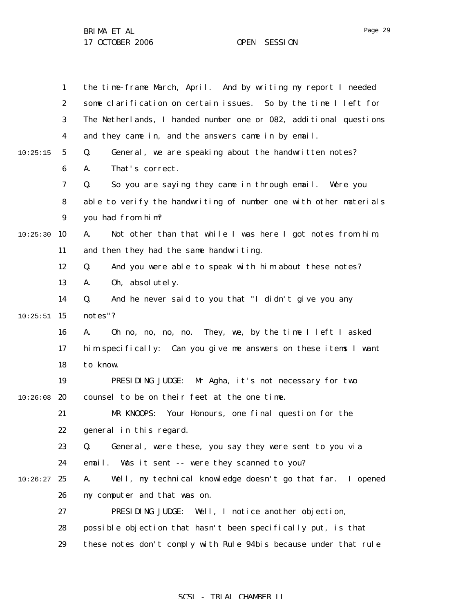BRIMA ET AL

17 OCTOBER 2006 OPEN SESSION

1 2 3 4 5 6 7 8 9 10:25:30 10 11 12 13 14  $10:25:51$  15 16 17 18 19  $10:26:08$  20 21 22 23 24  $10:26:27$  25 26 27 28 29 10:25:15 the time-frame March, April. And by writing my report I needed some clarification on certain issues. So by the time I left for The Netherlands, I handed number one or 082, additional questions and they came in, and the answers came in by email. Q. General, we are speaking about the handwritten notes? A. That's correct. Q. So you are saying they came in through email. Were you able to verify the handwriting of number one with other materials you had from him? A. Not other than that while I was here I got notes from him, and then they had the same handwriting. Q. And you were able to speak with him about these notes? A. Oh, absolutely. Q. And he never said to you that "I didn't give you any notes"? A. Oh no, no, no, no. They, we, by the time I left I asked him specifically: Can you give me answers on these items I want to know. PRESIDING JUDGE: Mr Agha, it's not necessary for two counsel to be on their feet at the one time. MR KNOOPS: Your Honours, one final question for the general in this regard. Q. General, were these, you say they were sent to you via email. Was it sent -- were they scanned to you? A. Well, my technical knowledge doesn't go that far. I opened my computer and that was on. PRESIDING JUDGE: Well, I notice another objection, possible objection that hasn't been specifically put, is that these notes don't comply with Rule 94*bis* because under that rule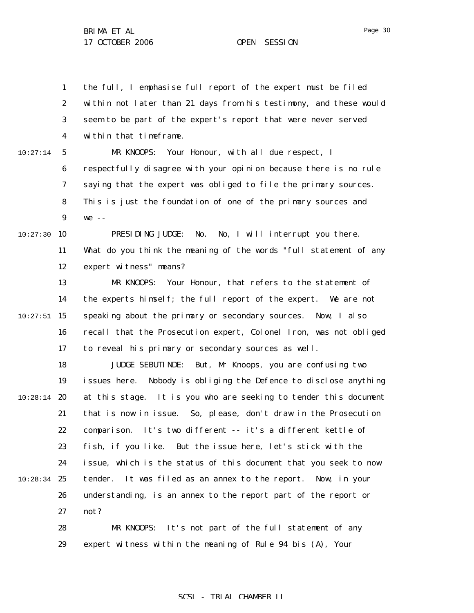1 2 3 4 5 6 7 8 9 10:27:30 10 11 12 13 14  $10:27:51$  15 16 17 18 19  $10:28:14$  20 21 22 23 24 10:28:34 25 26 27 28 29 10:27:14 the full, I emphasise full report of the expert must be filed within not later than 21 days from his testimony, and these would seem to be part of the expert's report that were never served within that timeframe. MR KNOOPS: Your Honour, with all due respect, I respectfully disagree with your opinion because there is no rule saying that the expert was obliged to file the primary sources. This is just the foundation of one of the primary sources and  $we - -$ PRESIDING JUDGE: No. No, I will interrupt you there. What do you think the meaning of the words "full statement of any expert witness" means? MR KNOOPS: Your Honour, that refers to the statement of the experts himself; the full report of the expert. We are not speaking about the primary or secondary sources. Now, I also recall that the Prosecution expert, Colonel Iron, was not obliged to reveal his primary or secondary sources as well. JUDGE SEBUTINDE: But, Mr Knoops, you are confusing two issues here. Nobody is obliging the Defence to disclose anything at this stage. It is you who are seeking to tender this document that is now in issue. So, please, don't draw in the Prosecution comparison. It's two different -- it's a different kettle of fish, if you like. But the issue here, let's stick with the issue, which is the status of this document that you seek to now tender. It was filed as an annex to the report. Now, in your understanding, is an annex to the report part of the report or not? MR KNOOPS: It's not part of the full statement of any expert witness within the meaning of Rule 94 *bis* (A), Your

SCSL - TRIAL CHAMBER II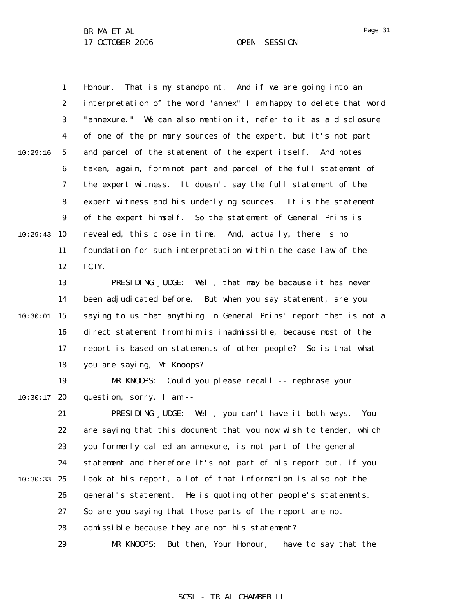1 2 3 4 5 6 7 8 9  $10:29:43$  10 11 12 10:29:16 Honour. That is my standpoint. And if we are going into an interpretation of the word "annex" I am happy to delete that word "annexure." We can also mention it, refer to it as a disclosure of one of the primary sources of the expert, but it's not part and parcel of the statement of the expert itself. And notes taken, again, form not part and parcel of the full statement of the expert witness. It doesn't say the full statement of the expert witness and his underlying sources. It is the statement of the expert himself. So the statement of General Prins is revealed, this close in time. And, actually, there is no foundation for such interpretation within the case law of the ICTY.

13 14  $10:30:01$  15 16 17 18 PRESIDING JUDGE: Well, that may be because it has never been adjudicated before. But when you say statement, are you saying to us that anything in General Prins' report that is not a direct statement from him is inadmissible, because most of the report is based on statements of other people? So is that what you are saying, Mr Knoops?

19  $10:30:17$  20 MR KNOOPS: Could you please recall -- rephrase your question, sorry, I am --

21 22 23 24 10:30:33 25 26 27 28 29 PRESIDING JUDGE: Well, you can't have it both ways. You are saying that this document that you now wish to tender, which you formerly called an annexure, is not part of the general statement and therefore it's not part of his report but, if you look at his report, a lot of that information is also not the general's statement. He is quoting other people's statements. So are you saying that those parts of the report are not admissible because they are not his statement? MR KNOOPS: But then, Your Honour, I have to say that the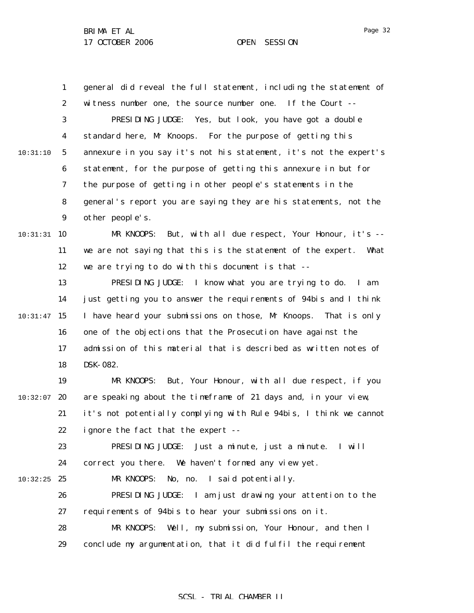1 2 3 4 5 6 7 8 9 10 10:31:31 11 12 13 14  $10:31:47$  15 16 17 18 19  $10:32:07$  20 21 22 23 24  $10:32:25$  25 26 27 28 29 10:31:10 general did reveal the full statement, including the statement of witness number one, the source number one. If the Court -- PRESIDING JUDGE: Yes, but look, you have got a double standard here, Mr Knoops. For the purpose of getting this annexure in you say it's not his statement, it's not the expert's statement, for the purpose of getting this annexure in but for the purpose of getting in other people's statements in the general's report you are saying they are his statements, not the other people's. MR KNOOPS: But, with all due respect, Your Honour, it's -we are not saying that this is the statement of the expert. What we are trying to do with this document is that -- PRESIDING JUDGE: I know what you are trying to do. I am just getting you to answer the requirements of 94*bis* and I think I have heard your submissions on those, Mr Knoops. That is only one of the objections that the Prosecution have against the admission of this material that is described as written notes of DSK-082. MR KNOOPS: But, Your Honour, with all due respect, if you are speaking about the timeframe of 21 days and, in your view, it's not potentially complying with Rule 94*bis*, I think we cannot ignore the fact that the expert -- PRESIDING JUDGE: Just a minute, just a minute. I will correct you there. We haven't formed any view yet. MR KNOOPS: No, no. I said potentially. PRESIDING JUDGE: I am just drawing your attention to the requirements of 94*bis* to hear your submissions on it. MR KNOOPS: Well, my submission, Your Honour, and then I conclude my argumentation, that it did fulfil the requirement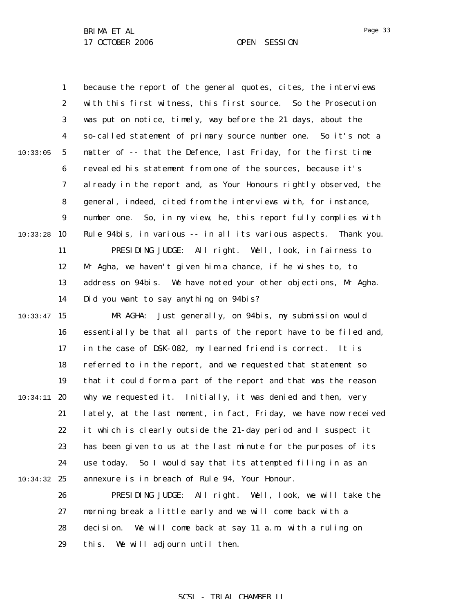1 2 3 4 5 6 7 8 9 10:33:28 10 11 12 13 14  $10:33:47$  15 16 17 18 19  $10:34:11$  20 21 22 23 24 10:34:32 25 26 27 28 29 10:33:05 because the report of the general quotes, cites, the interviews with this first witness, this first source. So the Prosecution was put on notice, timely, way before the 21 days, about the so-called statement of primary source number one. So it's not a matter of -- that the Defence, last Friday, for the first time revealed his statement from one of the sources, because it's already in the report and, as Your Honours rightly observed, the general, indeed, cited from the interviews with, for instance, number one. So, in my view, he, this report fully complies with Rule 94*bis*, in various -- in all its various aspects. Thank you. PRESIDING JUDGE: All right. Well, look, in fairness to Mr Agha, we haven't given him a chance, if he wishes to, to address on 94*bis*. We have noted your other objections, Mr Agha. Did you want to say anything on 94*bis*? MR AGHA: Just generally, on 94*bis*, my submission would essentially be that all parts of the report have to be filed and, in the case of DSK-082, my learned friend is correct. It is referred to in the report, and we requested that statement so that it could form a part of the report and that was the reason why we requested it. Initially, it was denied and then, very lately, at the last moment, in fact, Friday, we have now received it which is clearly outside the 21-day period and I suspect it has been given to us at the last minute for the purposes of its use today. So I would say that its attempted filing in as an annexure is in breach of Rule 94, Your Honour. PRESIDING JUDGE: All right. Well, look, we will take the morning break a little early and we will come back with a decision. We will come back at say 11 a.m. with a ruling on this. We will adjourn until then.

## SCSL - TRIAL CHAMBER II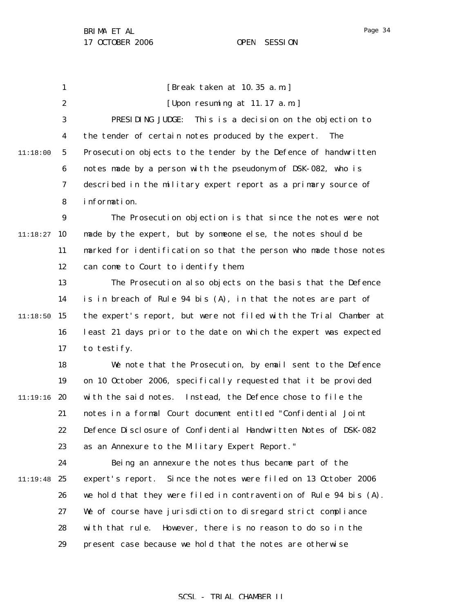1 2 3 4 5 6 7 8 9  $11:18:27$  10 11 12 13 14  $11:18:50$  15 16 17 18 19  $11:19:16$  20 21 22 23 24 11:19:48 25 26 27 28 29 11:18:00 [Break taken at 10.35 a.m.] [Upon resuming at 11.17 a.m.] PRESIDING JUDGE: This is a decision on the objection to the tender of certain notes produced by the expert. The Prosecution objects to the tender by the Defence of handwritten notes made by a person with the pseudonym of DSK-082, who is described in the military expert report as a primary source of information. The Prosecution objection is that since the notes were not made by the expert, but by someone else, the notes should be marked for identification so that the person who made those notes can come to Court to identify them. The Prosecution also objects on the basis that the Defence is in breach of Rule 94 *bis* (A), in that the notes are part of the expert's report, but were not filed with the Trial Chamber at least 21 days prior to the date on which the expert was expected to testify. We note that the Prosecution, by email sent to the Defence on 10 October 2006, specifically requested that it be provided with the said notes. Instead, the Defence chose to file the notes in a formal Court document entitled "Confidential Joint Defence Disclosure of Confidential Handwritten Notes of DSK-082 as an Annexure to the Military Expert Report." Being an annexure the notes thus became part of the expert's report. Since the notes were filed on 13 October 2006 we hold that they were filed in contravention of Rule 94 *bis* (A). We of course have jurisdiction to disregard strict compliance with that rule. However, there is no reason to do so in the present case because we hold that the notes are otherwise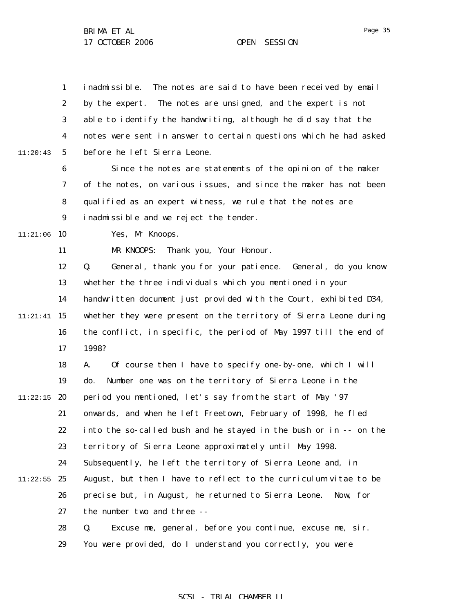1 2 3 4 5 6 7 8 9  $11:21:06$  10 11 12 13 14 11:21:41 15 16 17 18 19  $11:22:15$  20 21 22 23 24  $11:22:55$  25 26 27 28 29 11:20:43 inadmissible. The notes are said to have been received by email by the expert. The notes are unsigned, and the expert is not able to identify the handwriting, although he did say that the notes were sent in answer to certain questions which he had asked before he left Sierra Leone. Since the notes are statements of the opinion of the maker of the notes, on various issues, and since the maker has not been qualified as an expert witness, we rule that the notes are inadmissible and we reject the tender. Yes, Mr Knoops. MR KNOOPS: Thank you, Your Honour. Q. General, thank you for your patience. General, do you know whether the three individuals which you mentioned in your handwritten document just provided with the Court, exhibited D34, whether they were present on the territory of Sierra Leone during the conflict, in specific, the period of May 1997 till the end of 1998? A. Of course then I have to specify one-by-one, which I will do. Number one was on the territory of Sierra Leone in the period you mentioned, let's say from the start of May '97 onwards, and when he left Freetown, February of 1998, he fled into the so-called bush and he stayed in the bush or in -- on the territory of Sierra Leone approximately until May 1998. Subsequently, he left the territory of Sierra Leone and, in August, but then I have to reflect to the curriculum vitae to be precise but, in August, he returned to Sierra Leone. Now, for the number two and three -- Q. Excuse me, general, before you continue, excuse me, sir. You were provided, do I understand you correctly, you were

## SCSL - TRIAL CHAMBER II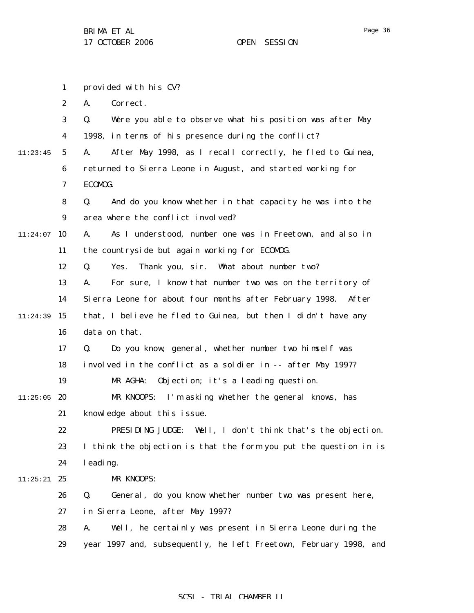|          | $\mathbf{1}$     | provided with his CV?                                             |
|----------|------------------|-------------------------------------------------------------------|
|          | $\boldsymbol{2}$ | Correct.<br>A.                                                    |
|          | 3                | Q.<br>Were you able to observe what his position was after May    |
|          | 4                | 1998, in terms of his presence during the conflict?               |
| 11:23:45 | $5\phantom{.0}$  | After May 1998, as I recall correctly, he fled to Guinea,<br>A.   |
|          | 6                | returned to Sierra Leone in August, and started working for       |
|          | 7                | ECOMOG.                                                           |
|          | 8                | And do you know whether in that capacity he was into the<br>Q.    |
|          | $\boldsymbol{9}$ | area where the conflict involved?                                 |
| 11:24:07 | 10               | As I understood, number one was in Freetown, and also in<br>A.    |
|          | 11               | the countryside but again working for ECOMDG.                     |
|          | 12               | Thank you, sir. What about number two?<br>Q.<br>Yes.              |
|          | 13               | For sure, I know that number two was on the territory of<br>A.    |
|          | 14               | Sierra Leone for about four months after February 1998.<br>After  |
| 11:24:39 | 15               | that, I believe he fled to Guinea, but then I didn't have any     |
|          | 16               | data on that.                                                     |
|          | 17               | Do you know, general, whether number two himself was<br>Q.        |
|          | 18               | involved in the conflict as a soldier in -- after May 1997?       |
|          | 19               | MR AGHA:<br>Objection; it's a leading question.                   |
| 11:25:05 | 20               | MR KNOOPS: I'm asking whether the general knows, has              |
|          | 21               | knowledge about this issue.                                       |
|          | 22               | PRESIDING JUDGE: Well, I don't think that's the objection.        |
|          | 23               | I think the objection is that the form you put the question in is |
|          | 24               | l eading.                                                         |
| 11:25:21 | 25               | MR KNOOPS:                                                        |
|          | 26               | General, do you know whether number two was present here,<br>Q.   |
|          | 27               | in Sierra Leone, after May 1997?                                  |
|          | 28               | Well, he certainly was present in Sierra Leone during the<br>A.   |
|          | 29               | year 1997 and, subsequently, he left Freetown, February 1998, and |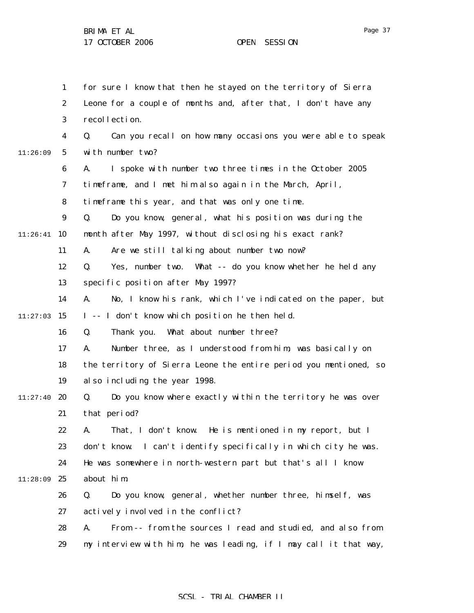29

1 2 3 4 5 6 7 8 9  $11:26:41$  10 11 12 13 14  $11:27:03$  15 16 17 18 19  $11:27:40$  20 21 22 23 24 11:28:09 25 26 27 28 11:26:09 for sure I know that then he stayed on the territory of Sierra Leone for a couple of months and, after that, I don't have any recollection. Q. Can you recall on how many occasions you were able to speak with number two? A. I spoke with number two three times in the October 2005 timeframe, and I met him also again in the March, April, timeframe this year, and that was only one time. Q. Do you know, general, what his position was during the month after May 1997, without disclosing his exact rank? A. Are we still talking about number two now? Q. Yes, number two. What -- do you know whether he held any specific position after May 1997? A. No, I know his rank, which I've indicated on the paper, but I -- I don't know which position he then held. Q. Thank you. What about number three? A. Number three, as I understood from him, was basically on the territory of Sierra Leone the entire period you mentioned, so also including the year 1998. Q. Do you know where exactly within the territory he was over that period? A. That, I don't know. He is mentioned in my report, but I don't know. I can't identify specifically in which city he was. He was somewhere in north-western part but that's all I know about him. Q. Do you know, general, whether number three, himself, was actively involved in the conflict? A. From -- from the sources I read and studied, and also from

### SCSL - TRIAL CHAMBER II

my interview with him, he was leading, if I may call it that way,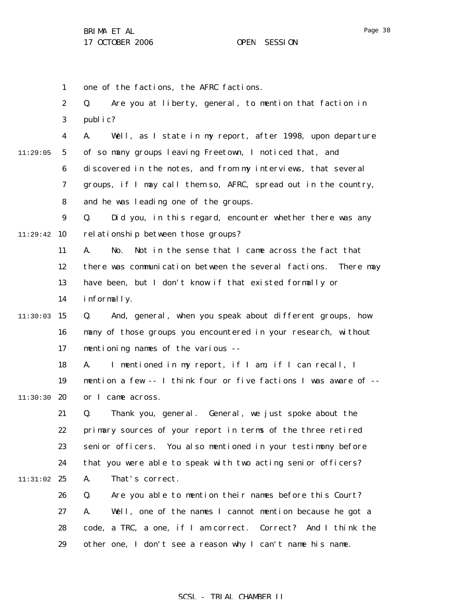1 2 one of the factions, the AFRC factions. Q. Are you at liberty, general, to mention that faction in

3 public?

4 5 6 11:29:05 A. Well, as I state in my report, after 1998, upon departure of so many groups leaving Freetown, I noticed that, and discovered in the notes, and from my interviews, that several

> 7 8 groups, if I may call them so, AFRC, spread out in the country, and he was leading one of the groups.

9 11:29:42 10 Q. Did you, in this regard, encounter whether there was any relationship between those groups?

> 11 12 13 A. No. Not in the sense that I came across the fact that there was communication between the several factions. There may have been, but I don't know if that existed formally or

14 informally.

 $11:30:03$  15 16 17 Q. And, general, when you speak about different groups, how many of those groups you encountered in your research, without mentioning names of the various --

18 19 11:30:30 **20** A. I mentioned in my report, if I am, if I can recall, I mention a few -- I think four or five factions I was aware of - or I came across.

21 22 23 24 11:31:02 25 Q. Thank you, general. General, we just spoke about the primary sources of your report in terms of the three retired senior officers. You also mentioned in your testimony before that you were able to speak with two acting senior officers? A. That's correct.

26 27 28 29 Q. Are you able to mention their names before this Court? A. Well, one of the names I cannot mention because he got a code, a TRC, a one, if I am correct. Correct? And I think the other one, I don't see a reason why I can't name his name.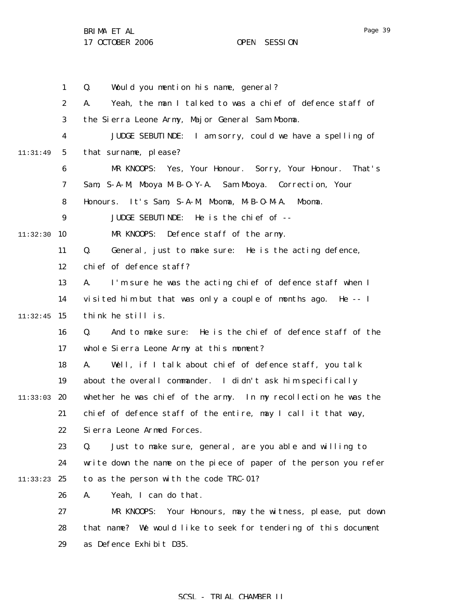17 OCTOBER 2006 OPEN SESSION

1 2 3 4 5 6 7 8 9  $11:32:30$  10 11 12 13 14  $11:32:45$  15 16 17 18 19 11:33:03 20 21 22 23 24 11:33:23 25 26 27 28 29 11:31:49 Q. Would you mention his name, general? A. Yeah, the man I talked to was a chief of defence staff of the Sierra Leone Army, Major General Sam Mboma. JUDGE SEBUTINDE: I am sorry, could we have a spelling of that surname, please? MR KNOOPS: Yes, Your Honour. Sorry, Your Honour. That's Sam, S-A-M, Mboya M-B-O-Y-A. Sam Mboya. Correction, Your Honours. It's Sam, S-A-M, Mboma, M-B-O-M-A. Mboma. JUDGE SEBUTINDE: He is the chief of -- MR KNOOPS: Defence staff of the army. Q. General, just to make sure: He is the acting defence, chief of defence staff? A. I'm sure he was the acting chief of defence staff when I visited him but that was only a couple of months ago. He -- I think he still is. Q. And to make sure: He is the chief of defence staff of the whole Sierra Leone Army at this moment? A. Well, if I talk about chief of defence staff, you talk about the overall commander. I didn't ask him specifically whether he was chief of the army. In my recollection he was the chief of defence staff of the entire, may I call it that way, Sierra Leone Armed Forces. Q. Just to make sure, general, are you able and willing to write down the name on the piece of paper of the person you refer to as the person with the code TRC-01? A. Yeah, I can do that. MR KNOOPS: Your Honours, may the witness, please, put down that name? We would like to seek for tendering of this document as Defence Exhibit D35.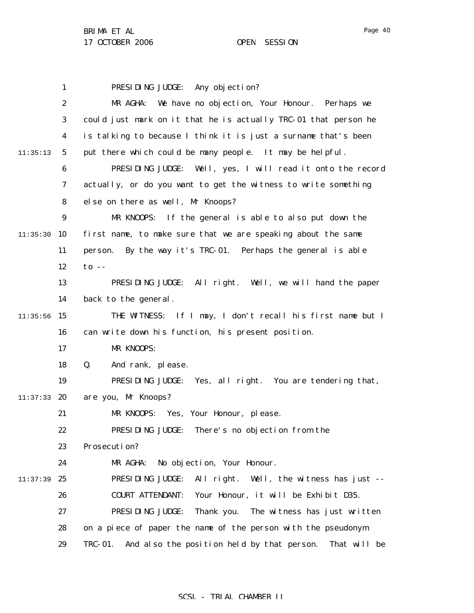17 OCTOBER 2006 OPEN SESSION

1 2 3 4 5 6 7 8 9  $11:35:30$  10 11 12 13 14  $11:35:56$  15 16 17 18 19 11:37:33 **20** 21 22 23 24 11:37:39 25 26 27 28 29 11:35:13 PRESIDING JUDGE: Any objection? MR AGHA: We have no objection, Your Honour. Perhaps we could just mark on it that he is actually TRC-01 that person he is talking to because I think it is just a surname that's been put there which could be many people. It may be helpful. PRESIDING JUDGE: Well, yes, I will read it onto the record actually, or do you want to get the witness to write something else on there as well, Mr Knoops? MR KNOOPS: If the general is able to also put down the first name, to make sure that we are speaking about the same person. By the way it's TRC-01. Perhaps the general is able to -- PRESIDING JUDGE: All right. Well, we will hand the paper back to the general. THE WITNESS: If I may, I don't recall his first name but I can write down his function, his present position. MR KNOOPS: Q. And rank, please. PRESIDING JUDGE: Yes, all right. You are tendering that, are you, Mr Knoops? MR KNOOPS: Yes, Your Honour, please. PRESIDING JUDGE: There's no objection from the Prosecution? MR AGHA: No objection, Your Honour. PRESIDING JUDGE: All right. Well, the witness has just -- COURT ATTENDANT: Your Honour, it will be Exhibit D35. PRESIDING JUDGE: Thank you. The witness has just written on a piece of paper the name of the person with the pseudonym TRC-01. And also the position held by that person. That will be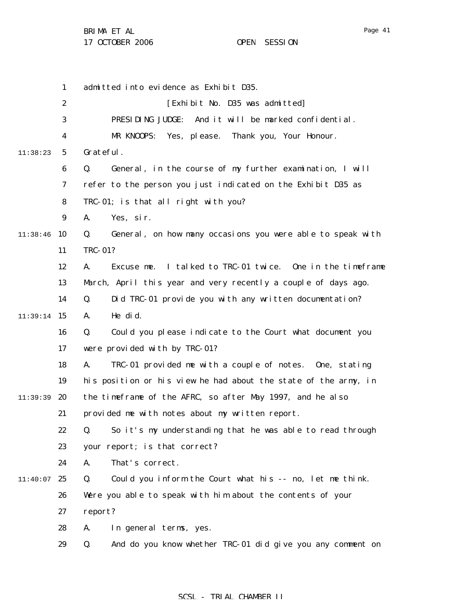17 OCTOBER 2006 OPEN SESSION

1 2 3 4 5 6 7 8 9  $11:38:46$  10 11 12 13 14 11:39:14 15 16 17 18 19 11:39:39 **20** 21 22 23 24  $11:40:07$  25 26 27 28 29 11:38:23 admitted into evidence as Exhibit D35. [Exhibit No. D35 was admitted] PRESIDING JUDGE: And it will be marked confidential. MR KNOOPS: Yes, please. Thank you, Your Honour. Grateful. Q. General, in the course of my further examination, I will refer to the person you just indicated on the Exhibit D35 as TRC-01; is that all right with you? A. Yes, sir. Q. General, on how many occasions you were able to speak with TRC-01? A. Excuse me. I talked to TRC-01 twice. One in the timeframe March, April this year and very recently a couple of days ago. Q. Did TRC-01 provide you with any written documentation? A. He did. Q. Could you please indicate to the Court what document you were provided with by TRC-01? A. TRC-01 provided me with a couple of notes. One, stating his position or his view he had about the state of the army, in the timeframe of the AFRC, so after May 1997, and he also provided me with notes about my written report. Q. So it's my understanding that he was able to read through your report; is that correct? A. That's correct. Q. Could you inform the Court what his -- no, let me think. Were you able to speak with him about the contents of your report? A. In general terms, yes. Q. And do you know whether TRC-01 did give you any comment on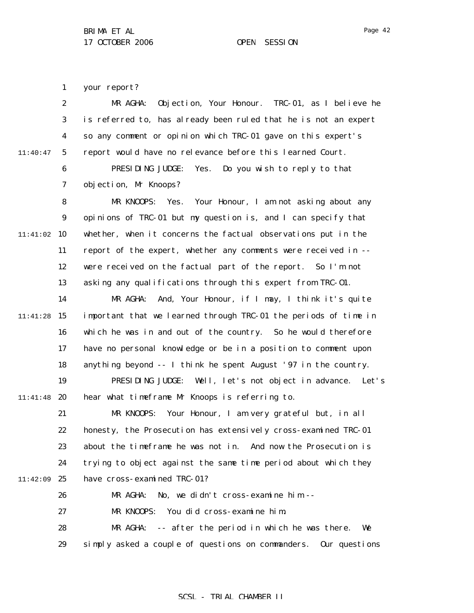Page 42

1 your report?

2 3 4 5 6 7 8 9  $11:41:02$  10 11 12 13 14 11:41:28 15 16 17 18 19 11:41:48 20 21 22 23 24 25 26 27 28 29 11:40:47 11:42:09 MR AGHA: Objection, Your Honour. TRC-01, as I believe he is referred to, has already been ruled that he is not an expert so any comment or opinion which TRC-01 gave on this expert's report would have no relevance before this learned Court. PRESIDING JUDGE: Yes. Do you wish to reply to that objection, Mr Knoops? MR KNOOPS: Yes. Your Honour, I am not asking about any opinions of TRC-01 but my question is, and I can specify that whether, when it concerns the factual observations put in the report of the expert, whether any comments were received in - were received on the factual part of the report. So I'm not asking any qualifications through this expert from TRC-O1. MR AGHA: And, Your Honour, if I may, I think it's quite important that we learned through TRC-01 the periods of time in which he was in and out of the country. So he would therefore have no personal knowledge or be in a position to comment upon anything beyond -- I think he spent August '97 in the country. PRESIDING JUDGE: Well, let's not object in advance. Let's hear what timeframe Mr Knoops is referring to. MR KNOOPS: Your Honour, I am very grateful but, in all honesty, the Prosecution has extensively cross-examined TRC-01 about the timeframe he was not in. And now the Prosecution is trying to object against the same time period about which they have cross-examined TRC-01? MR AGHA: No, we didn't cross-examine him -- MR KNOOPS: You did cross-examine him. MR AGHA: -- after the period in which he was there. We simply asked a couple of questions on commanders. Our questions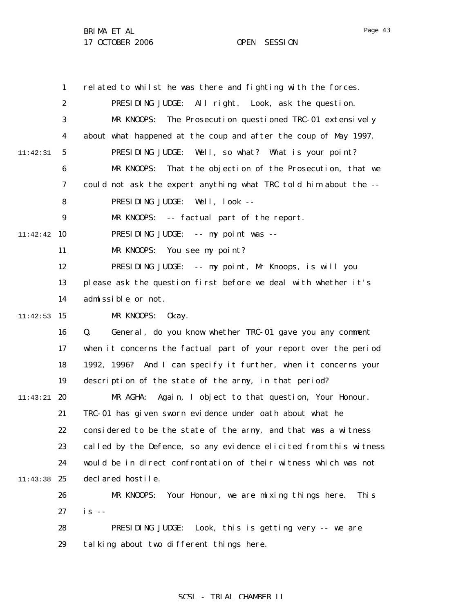1 2 3 4 5 6 7 8 9 11:42:42 10 11 12 13 14  $11:42:53$  15 16 17 18 19 11:43:21 **20** 21 22 23 24 11:43:38 25 26 27 28 29 11:42:31 related to whilst he was there and fighting with the forces. PRESIDING JUDGE: All right. Look, ask the question. MR KNOOPS: The Prosecution questioned TRC-01 extensively about what happened at the coup and after the coup of May 1997. PRESIDING JUDGE: Well, so what? What is your point? MR KNOOPS: That the objection of the Prosecution, that we could not ask the expert anything what TRC told him about the -- PRESIDING JUDGE: Well, look -- MR KNOOPS: -- factual part of the report. PRESIDING JUDGE: -- my point was --MR KNOOPS: You see my point? PRESIDING JUDGE: -- my point, Mr Knoops, is will you please ask the question first before we deal with whether it's admissible or not. MR KNOOPS: Okay. Q. General, do you know whether TRC-01 gave you any comment when it concerns the factual part of your report over the period 1992, 1996? And I can specify it further, when it concerns your description of the state of the army, in that period? MR AGHA: Again, I object to that question, Your Honour. TRC-01 has given sworn evidence under oath about what he considered to be the state of the army, and that was a witness called by the Defence, so any evidence elicited from this witness would be in direct confrontation of their witness which was not declared hostile. MR KNOOPS: Your Honour, we are mixing things here. This is -- PRESIDING JUDGE: Look, this is getting very -- we are talking about two different things here.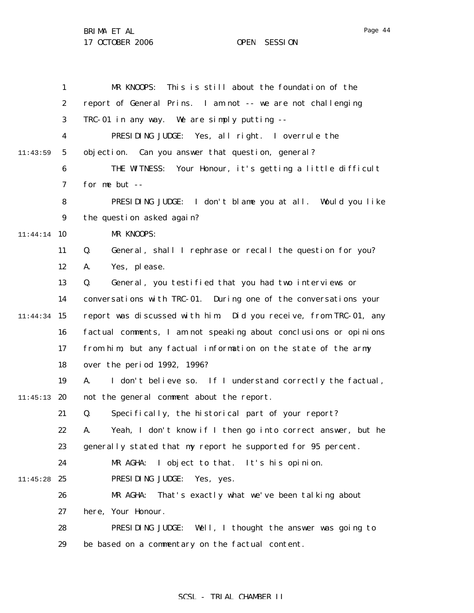17 OCTOBER 2006 OPEN SESSION

1 2 3 4 5 6 7 8 9 11:44:14 10 11 12 13 14 11:44:34 15 16 17 18 19 11:45:13 20 21 22 23 24 11:45:28 25 26 27 28 29 11:43:59 MR KNOOPS: This is still about the foundation of the report of General Prins. I am not -- we are not challenging TRC-01 in any way. We are simply putting -- PRESIDING JUDGE: Yes, all right. I overrule the objection. Can you answer that question, general? THE WITNESS: Your Honour, it's getting a little difficult for me but -- PRESIDING JUDGE: I don't blame you at all. Would you like the question asked again? MR KNOOPS: Q. General, shall I rephrase or recall the question for you? A. Yes, please. Q. General, you testified that you had two interviews or conversations with TRC-01. During one of the conversations your report was discussed with him. Did you receive, from TRC-01, any factual comments, I am not speaking about conclusions or opinions from him, but any factual information on the state of the army over the period 1992, 1996? A. I don't believe so. If I understand correctly the factual, not the general comment about the report. Q. Specifically, the historical part of your report? A. Yeah, I don't know if I then go into correct answer, but he generally stated that my report he supported for 95 percent. MR AGHA: I object to that. It's his opinion. PRESIDING JUDGE: Yes, yes. MR AGHA: That's exactly what we've been talking about here, Your Honour. PRESIDING JUDGE: Well, I thought the answer was going to be based on a commentary on the factual content.

## SCSL - TRIAL CHAMBER II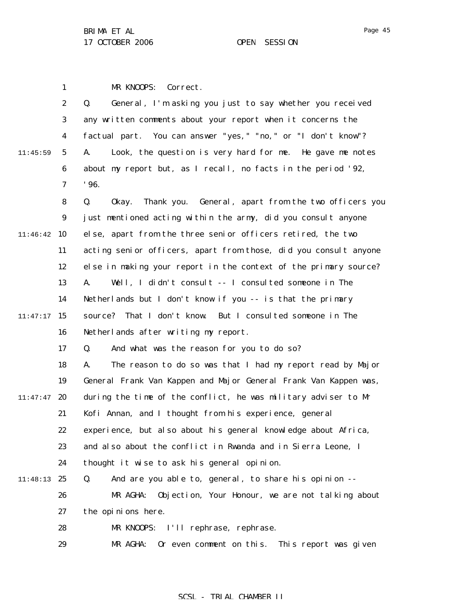1 2 3 4 5 6 7 8 9 11:46:42 10 11 12 13 14  $11:47:17$  15 16 17 18 19  $11:47:47$  20 21 22 23 24 11:48:13 25 26 27 28 29 11:45:59 MR KNOOPS: Correct. Q. General, I'm asking you just to say whether you received any written comments about your report when it concerns the factual part. You can answer "yes," "no," or "I don't know"? A. Look, the question is very hard for me. He gave me notes about my report but, as I recall, no facts in the period '92, '96. Q. Okay. Thank you. General, apart from the two officers you just mentioned acting within the army, did you consult anyone else, apart from the three senior officers retired, the two acting senior officers, apart from those, did you consult anyone else in making your report in the context of the primary source? A. Well, I didn't consult -- I consulted someone in The Netherlands but I don't know if you -- is that the primary source? That I don't know. But I consulted someone in The Netherlands after writing my report. Q. And what was the reason for you to do so? A. The reason to do so was that I had my report read by Major General Frank Van Kappen and Major General Frank Van Kappen was, during the time of the conflict, he was military adviser to Mr Kofi Annan, and I thought from his experience, general experience, but also about his general knowledge about Africa, and also about the conflict in Rwanda and in Sierra Leone, I thought it wise to ask his general opinion. Q. And are you able to, general, to share his opinion -- MR AGHA: Objection, Your Honour, we are not talking about the opinions here. MR KNOOPS: I'll rephrase, rephrase. MR AGHA: Or even comment on this. This report was given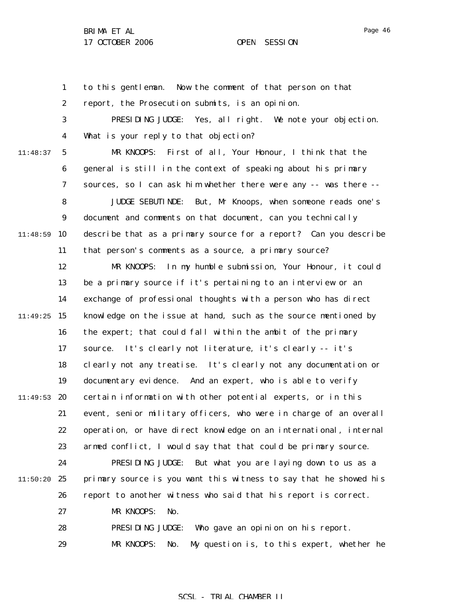1 2 3 4 5 6 7 8 9 11:48:59 10 11 12 13 14  $11:49:25$  15 16 17 18 19 11:49:53 20 21 22 23 24  $11:50:20$  25 26 27 28 29 11:48:37 to this gentleman. Now the comment of that person on that report, the Prosecution submits, is an opinion. PRESIDING JUDGE: Yes, all right. We note your objection. What is your reply to that objection? MR KNOOPS: First of all, Your Honour, I think that the general is still in the context of speaking about his primary sources, so I can ask him whether there were any -- was there -- JUDGE SEBUTINDE: But, Mr Knoops, when someone reads one's document and comments on that document, can you technically describe that as a primary source for a report? Can you describe that person's comments as a source, a primary source? MR KNOOPS: In my humble submission, Your Honour, it could be a primary source if it's pertaining to an interview or an exchange of professional thoughts with a person who has direct knowledge on the issue at hand, such as the source mentioned by the expert; that could fall within the ambit of the primary source. It's clearly not literature, it's clearly -- it's clearly not any treatise. It's clearly not any documentation or documentary evidence. And an expert, who is able to verify certain information with other potential experts, or in this event, senior military officers, who were in charge of an overall operation, or have direct knowledge on an international, internal armed conflict, I would say that that could be primary source. PRESIDING JUDGE: But what you are laying down to us as a primary source is you want this witness to say that he showed his report to another witness who said that his report is correct. MR KNOOPS: No. PRESIDING JUDGE: Who gave an opinion on his report. MR KNOOPS: No. My question is, to this expert, whether he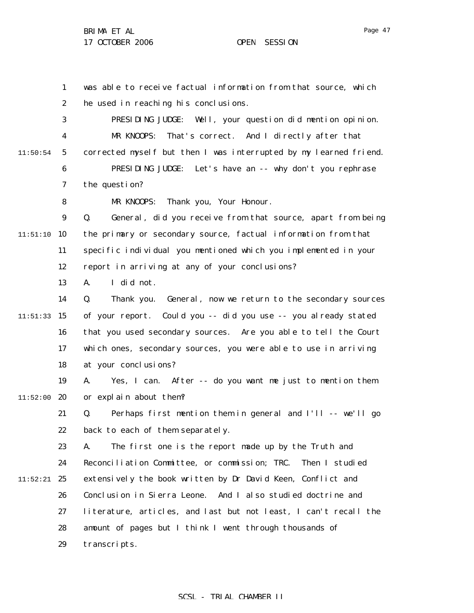1 2 3 4 5 6 7 8 9  $11:51:10$  10 11 12 13 14  $11:51:33$  15 16 17 18 19  $11:52:00$  20 21 22 23 24  $11:52:21$  25 26 27 28 29 11:50:54 was able to receive factual information from that source, which he used in reaching his conclusions. PRESIDING JUDGE: Well, your question did mention opinion. MR KNOOPS: That's correct. And I directly after that corrected myself but then I was interrupted by my learned friend. PRESIDING JUDGE: Let's have an -- why don't you rephrase the question? MR KNOOPS: Thank you, Your Honour. Q. General, did you receive from that source, apart from being the primary or secondary source, factual information from that specific individual you mentioned which you implemented in your report in arriving at any of your conclusions? A. I did not. Q. Thank you. General, now we return to the secondary sources of your report. Could you -- did you use -- you already stated that you used secondary sources. Are you able to tell the Court which ones, secondary sources, you were able to use in arriving at your conclusions? A. Yes, I can. After -- do you want me just to mention them or explain about them? Q. Perhaps first mention them in general and I'll -- we'll go back to each of them separately. A. The first one is the report made up by the Truth and Reconciliation Committee, or commission; TRC. Then I studied extensively the book written by Dr David Keen, Conflict and Conclusion in Sierra Leone. And I also studied doctrine and literature, articles, and last but not least, I can't recall the amount of pages but I think I went through thousands of transcripts.

SCSL - TRIAL CHAMBER II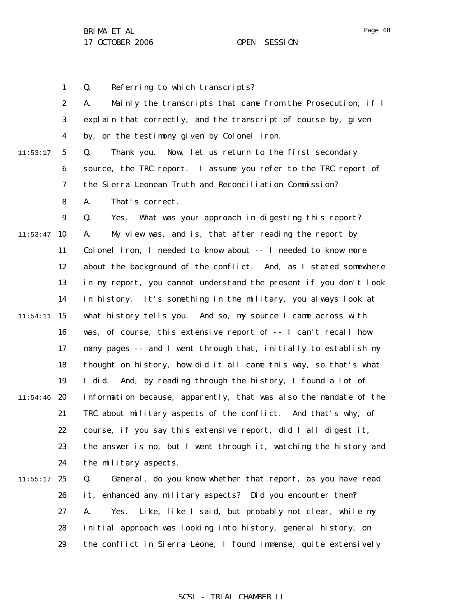11:53:17

1

2

3

4

5 6 7 Q. Thank you. Now, let us return to the first secondary source, the TRC report. I assume you refer to the TRC report of the Sierra Leonean Truth and Reconciliation Commission?

A. Mainly the transcripts that came from the Prosecution, if I

explain that correctly, and the transcript of course by, given

Q. Referring to which transcripts?

by, or the testimony given by Colonel Iron.

8 A. That's correct.

9  $11:53:47$  10 11 12 13 14  $11:54:11$  15 16 17 18 19  $11:54:46$  20 21 22 23 24  $11:55:17$  25 Q. Yes. What was your approach in digesting this report? A. My view was, and is, that after reading the report by Colonel Iron, I needed to know about -- I needed to know more about the background of the conflict. And, as I stated somewhere in my report, you cannot understand the present if you don't look in history. It's something in the military, you always look at what history tells you. And so, my source I came across with was, of course, this extensive report of -- I can't recall how many pages -- and I went through that, initially to establish my thought on history, how did it all came this way, so that's what I did. And, by reading through the history, I found a lot of information because, apparently, that was also the mandate of the TRC about military aspects of the conflict. And that's why, of course, if you say this extensive report, did I all digest it, the answer is no, but I went through it, watching the history and the military aspects. Q. General, do you know whether that report, as you have read

26 27 28 29 it, enhanced any military aspects? Did you encounter them? A. Yes. Like, like I said, but probably not clear, while my initial approach was looking into history, general history, on the conflict in Sierra Leone, I found immense, quite extensively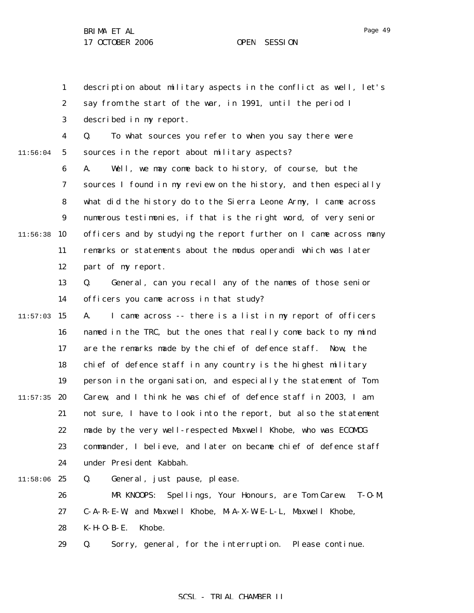1 2 3 description about military aspects in the conflict as well, let's say from the start of the war, in 1991, until the period I described in my report.

4 5 11:56:04 Q. To what sources you refer to when you say there were sources in the report about military aspects?

6 7 8 9  $11:56:38$  10 11 12 A. Well, we may come back to history, of course, but the sources I found in my review on the history, and then especially what did the history do to the Sierra Leone Army, I came across numerous testimonies, if that is the right word, of very senior officers and by studying the report further on I came across many remarks or statements about the modus operandi which was later part of my report.

> 13 14 Q. General, can you recall any of the names of those senior officers you came across in that study?

 $11:57:03$  15 16 17 18 19  $11:57:35$  20 21 22 23 24 A. I came across -- there is a list in my report of officers named in the TRC, but the ones that really come back to my mind are the remarks made by the chief of defence staff. Now, the chief of defence staff in any country is the highest military person in the organisation, and especially the statement of Tom Carew, and I think he was chief of defence staff in 2003, I am not sure, I have to look into the report, but also the statement made by the very well-respected Maxwell Khobe, who was ECOMOG commander, I believe, and later on became chief of defence staff under President Kabbah.

11:58:06 25

Q. General, just pause, please.

26 27 28 MR KNOOPS: Spellings, Your Honours, are Tom Carew. T-O-M, C-A-R-E-W, and Maxwell Khobe, M-A-X-W-E-L-L, Maxwell Khobe, K-H-O-B-E. Khobe.

29 Q. Sorry, general, for the interruption. Please continue.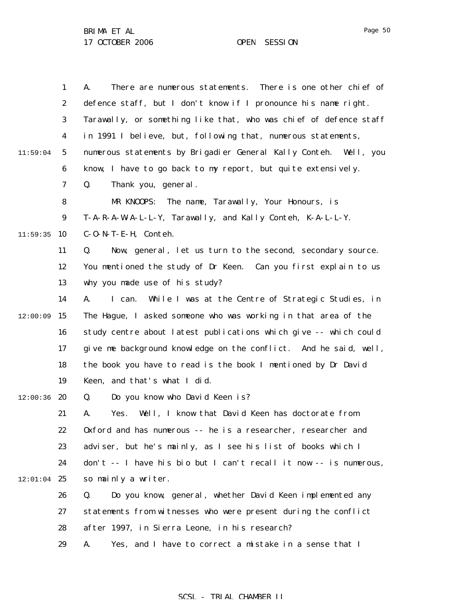1 2 3 4 5 6 7 8 9  $11:59:35$  10 11 12 13 14  $12:00:09$  15 16 17 18 19  $12:00:36$  20 21 22 23 24  $12:01:04$  25 26 27 28 29 11:59:04 A. There are numerous statements. There is one other chief of defence staff, but I don't know if I pronounce his name right. Tarawally, or something like that, who was chief of defence staff in 1991 I believe, but, following that, numerous statements, numerous statements by Brigadier General Kally Conteh. Well, you know, I have to go back to my report, but quite extensively. Q. Thank you, general. MR KNOOPS: The name, Tarawally, Your Honours, is T-A-R-A-W-A-L-L-Y, Tarawally, and Kally Conteh, K-A-L-L-Y. C-O-N-T-E-H, Conteh. Q. Now, general, let us turn to the second, secondary source. You mentioned the study of Dr Keen. Can you first explain to us why you made use of his study? A. I can. While I was at the Centre of Strategic Studies, in The Hague, I asked someone who was working in that area of the study centre about latest publications which give -- which could give me background knowledge on the conflict. And he said, well, the book you have to read is the book I mentioned by Dr David Keen, and that's what I did. Q. Do you know who David Keen is? A. Yes. Well, I know that David Keen has doctorate from Oxford and has numerous -- he is a researcher, researcher and adviser, but he's mainly, as I see his list of books which I don't -- I have his bio but I can't recall it now -- is numerous, so mainly a writer. Q. Do you know, general, whether David Keen implemented any statements from witnesses who were present during the conflict after 1997, in Sierra Leone, in his research? A. Yes, and I have to correct a mistake in a sense that I

#### SCSL - TRIAL CHAMBER II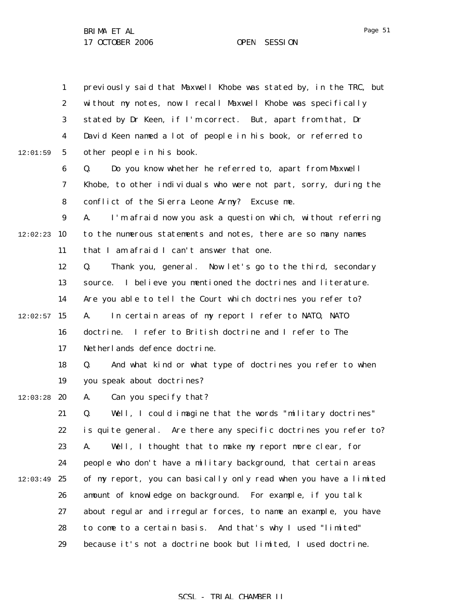1 2 3 4 5 6 7 8 9  $12:02:23$  10 11 12 13 14  $12:02:57$  15 16 17 18 19  $12:03:28$  20 21 22 23 24  $12:03:49$  25 26 27 28 29 12:01:59 previously said that Maxwell Khobe was stated by, in the TRC, but without my notes, now I recall Maxwell Khobe was specifically stated by Dr Keen, if I'm correct. But, apart from that, Dr David Keen named a lot of people in his book, or referred to other people in his book. Q. Do you know whether he referred to, apart from Maxwell Khobe, to other individuals who were not part, sorry, during the conflict of the Sierra Leone Army? Excuse me. A. I'm afraid now you ask a question which, without referring to the numerous statements and notes, there are so many names that I am afraid I can't answer that one. Q. Thank you, general. Now let's go to the third, secondary source. I believe you mentioned the doctrines and literature. Are you able to tell the Court which doctrines you refer to? A. In certain areas of my report I refer to NATO, NATO doctrine. I refer to British doctrine and I refer to The Netherlands defence doctrine. Q. And what kind or what type of doctrines you refer to when you speak about doctrines? A. Can you specify that? Q. Well, I could imagine that the words "military doctrines" is quite general. Are there any specific doctrines you refer to? A. Well, I thought that to make my report more clear, for people who don't have a military background, that certain areas of my report, you can basically only read when you have a limited amount of knowledge on background. For example, if you talk about regular and irregular forces, to name an example, you have to come to a certain basis. And that's why I used "limited" because it's not a doctrine book but limited, I used doctrine.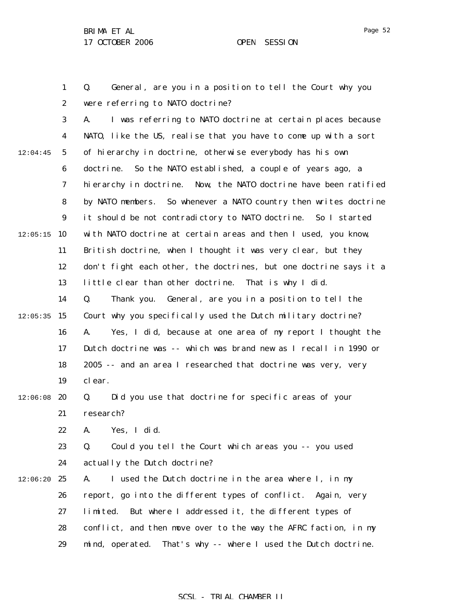Page 52

1 2 3 Q. General, are you in a position to tell the Court why you were referring to NATO doctrine? A. I was referring to NATO doctrine at certain places because

4 5 6 7 8 9  $12:05:15$  10 11 12 13 14  $12:05:35$  15 16 17 18 19 12:04:45 NATO, like the US, realise that you have to come up with a sort of hierarchy in doctrine, otherwise everybody has his own doctrine. So the NATO established, a couple of years ago, a hierarchy in doctrine. Now, the NATO doctrine have been ratified by NATO members. So whenever a NATO country then writes doctrine it should be not contradictory to NATO doctrine. So I started with NATO doctrine at certain areas and then I used, you know, British doctrine, when I thought it was very clear, but they don't fight each other, the doctrines, but one doctrine says it a little clear than other doctrine. That is why I did. Q. Thank you. General, are you in a position to tell the Court why you specifically used the Dutch military doctrine? A. Yes, I did, because at one area of my report I thought the Dutch doctrine was -- which was brand new as I recall in 1990 or 2005 -- and an area I researched that doctrine was very, very clear.

#### $12:06:08$  20 21 Q. Did you use that doctrine for specific areas of your research?

22 A. Yes, I did.

23 24 Q. Could you tell the Court which areas you -- you used actually the Dutch doctrine?

 $12:06:20$  25 26 27 28 29 A. I used the Dutch doctrine in the area where I, in my report, go into the different types of conflict. Again, very limited. But where I addressed it, the different types of conflict, and then move over to the way the AFRC faction, in my mind, operated. That's why -- where I used the Dutch doctrine.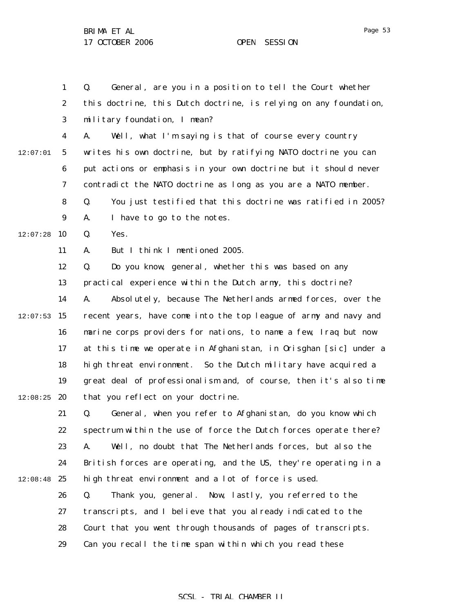1 2 3 4 5 6 7 8 9  $12:07:28$  10 11 12 13 14  $12:07:53$  15 16 17 18 19  $12:08:25$  20 21 22 23 24  $12:08:48$  25 26 27 28 29 12:07:01 Q. General, are you in a position to tell the Court whether this doctrine, this Dutch doctrine, is relying on any foundation, military foundation, I mean? A. Well, what I'm saying is that of course every country writes his own doctrine, but by ratifying NATO doctrine you can put actions or emphasis in your own doctrine but it should never contradict the NATO doctrine as long as you are a NATO member. Q. You just testified that this doctrine was ratified in 2005? A. I have to go to the notes. Q. Yes. A. But I think I mentioned 2005. Q. Do you know, general, whether this was based on any practical experience within the Dutch army, this doctrine? A. Absolutely, because The Netherlands armed forces, over the recent years, have come into the top league of army and navy and marine corps providers for nations, to name a few, Iraq but now at this time we operate in Afghanistan, in Orisghan [sic] under a high threat environment. So the Dutch military have acquired a great deal of professionalism and, of course, then it's also time that you reflect on your doctrine. Q. General, when you refer to Afghanistan, do you know which spectrum within the use of force the Dutch forces operate there? A. Well, no doubt that The Netherlands forces, but also the British forces are operating, and the US, they're operating in a high threat environment and a lot of force is used. Q. Thank you, general. Now, lastly, you referred to the transcripts, and I believe that you already indicated to the Court that you went through thousands of pages of transcripts. Can you recall the time span within which you read these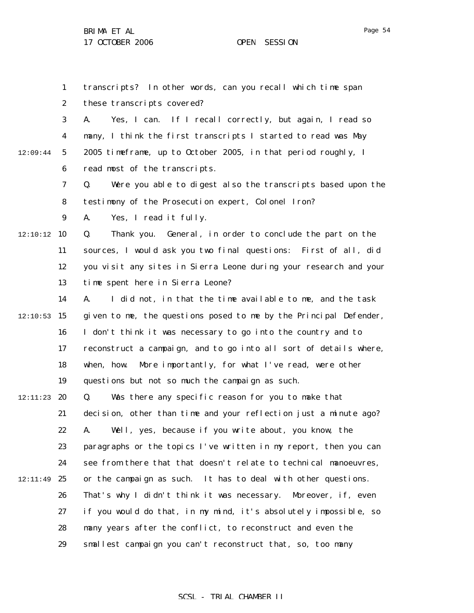1 2 3 4 5 6 7 8 9  $12:10:12$  10 11 12 13 14  $12:10:53$  15 16 17 18 19 12:11:23 **20** 21 22 23 24 12:11:49 25 26 27 28 29 12:09:44 transcripts? In other words, can you recall which time span these transcripts covered? A. Yes, I can. If I recall correctly, but again, I read so many, I think the first transcripts I started to read was May 2005 timeframe, up to October 2005, in that period roughly, I read most of the transcripts. Q. Were you able to digest also the transcripts based upon the testimony of the Prosecution expert, Colonel Iron? A. Yes, I read it fully. Q. Thank you. General, in order to conclude the part on the sources, I would ask you two final questions: First of all, did you visit any sites in Sierra Leone during your research and your time spent here in Sierra Leone? A. I did not, in that the time available to me, and the task given to me, the questions posed to me by the Principal Defender, I don't think it was necessary to go into the country and to reconstruct a campaign, and to go into all sort of details where, when, how. More importantly, for what I've read, were other questions but not so much the campaign as such. Q. Was there any specific reason for you to make that decision, other than time and your reflection just a minute ago? A. Well, yes, because if you write about, you know, the paragraphs or the topics I've written in my report, then you can see from there that that doesn't relate to technical manoeuvres, or the campaign as such. It has to deal with other questions. That's why I didn't think it was necessary. Moreover, if, even if you would do that, in my mind, it's absolutely impossible, so many years after the conflict, to reconstruct and even the smallest campaign you can't reconstruct that, so, too many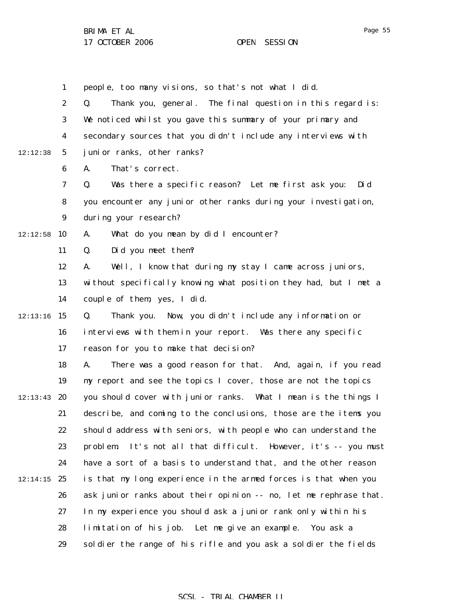Page 55

1 people, too many visions, so that's not what I did.

|          | $\boldsymbol{2}$ | Thank you, general. The final question in this regard is:<br>Q.   |
|----------|------------------|-------------------------------------------------------------------|
|          | 3                | We noticed whilst you gave this summary of your primary and       |
|          | 4                | secondary sources that you didn't include any interviews with     |
| 12:12:38 | $5\phantom{.0}$  | junior ranks, other ranks?                                        |
|          | $\boldsymbol{6}$ | That's correct.<br>A.                                             |
|          | 7                | Was there a specific reason? Let me first ask you:<br>Di d<br>Q.  |
|          | 8                | you encounter any junior other ranks during your investigation,   |
|          | 9                | during your research?                                             |
| 12:12:58 | 10               | What do you mean by did I encounter?<br>A.                        |
|          | 11               | Did you meet them?<br>Q.                                          |
|          | 12               | Well, I know that during my stay I came across juniors,<br>A.     |
|          | 13               | without specifically knowing what position they had, but I met a  |
|          | 14               | couple of them, yes, I did.                                       |
| 12:13:16 | 15               | Thank you. Now, you didn't include any information or<br>Q.       |
|          | 16               | interviews with them in your report. Was there any specific       |
|          | 17               | reason for you to make that decision?                             |
|          | 18               | There was a good reason for that. And, again, if you read<br>A.   |
|          | 19               | my report and see the topics I cover, those are not the topics    |
| 12:13:43 | 20               | you should cover with junior ranks. What I mean is the things I   |
|          | 21               | describe, and coming to the conclusions, those are the items you  |
|          | 22               | should address with seniors, with people who can understand the   |
|          | 23               | problem It's not all that difficult. However, it's -- you must    |
|          | 24               | have a sort of a basis to understand that, and the other reason   |
| 12:14:15 | 25               | is that my long experience in the armed forces is that when you   |
|          | 26               | ask junior ranks about their opinion -- no, let me rephrase that. |
|          | 27               | In my experience you should ask a junior rank only within his     |
|          | 28               | limitation of his job. Let me give an example. You ask a          |
|          | 29               | soldier the range of his rifle and you ask a soldier the fields   |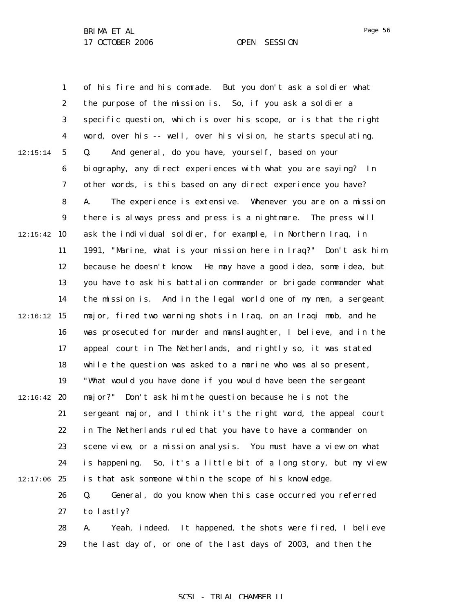1 2 3 4 5 6 7 8 9  $12:15:42$  10 11 12 13 14  $12:16:12$  15 16 17 18 19  $12:16:42$  20 21 22 23 24  $12:17:06$  25 26 27 28 29 12:15:14 of his fire and his comrade. But you don't ask a soldier what the purpose of the mission is. So, if you ask a soldier a specific question, which is over his scope, or is that the right word, over his -- well, over his vision, he starts speculating. Q. And general, do you have, yourself, based on your biography, any direct experiences with what you are saying? In other words, is this based on any direct experience you have? A. The experience is extensive. Whenever you are on a mission there is always press and press is a nightmare. The press will ask the individual soldier, for example, in Northern Iraq, in 1991, "Marine, what is your mission here in Iraq?" Don't ask him because he doesn't know. He may have a good idea, some idea, but you have to ask his battalion commander or brigade commander what the mission is. And in the legal world one of my men, a sergeant major, fired two warning shots in Iraq, on an Iraqi mob, and he was prosecuted for murder and manslaughter, I believe, and in the appeal court in The Netherlands, and rightly so, it was stated while the question was asked to a marine who was also present, "What would you have done if you would have been the sergeant major?" Don't ask him the question because he is not the sergeant major, and I think it's the right word, the appeal court in The Netherlands ruled that you have to have a commander on scene view, or a mission analysis. You must have a view on what is happening. So, it's a little bit of a long story, but my view is that ask someone within the scope of his knowledge. Q. General, do you know when this case occurred you referred to lastly? A. Yeah, indeed. It happened, the shots were fired, I believe the last day of, or one of the last days of 2003, and then the

### SCSL - TRIAL CHAMBER II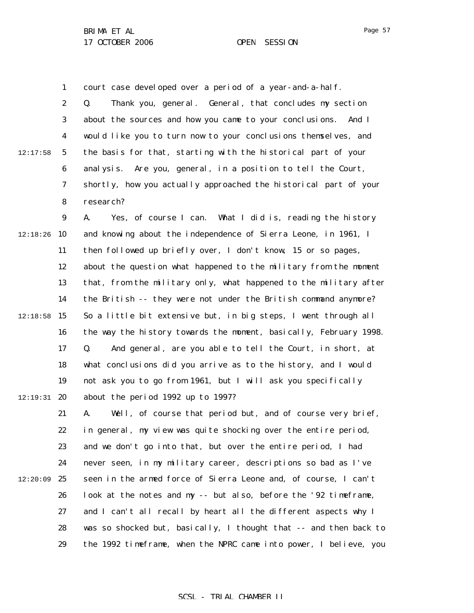1 2 3 4 5 6 7 8 9  $12:18:26$  10 11 12 13 14  $12:18:58$  15 16 17 18 19 12:19:31 **20** 12:17:58 court case developed over a period of a year-and-a-half. Q. Thank you, general. General, that concludes my section about the sources and how you came to your conclusions. And I would like you to turn now to your conclusions themselves, and the basis for that, starting with the historical part of your analysis. Are you, general, in a position to tell the Court, shortly, how you actually approached the historical part of your research? A. Yes, of course I can. What I did is, reading the history and knowing about the independence of Sierra Leone, in 1961, I then followed up briefly over, I don't know, 15 or so pages, about the question what happened to the military from the moment that, from the military only, what happened to the military after the British -- they were not under the British command anymore? So a little bit extensive but, in big steps, I went through all the way the history towards the moment, basically, February 1998. Q. And general, are you able to tell the Court, in short, at what conclusions did you arrive as to the history, and I would not ask you to go from 1961, but I will ask you specifically about the period 1992 up to 1997?

21 22 23 24 25 26 27 28 29 12:20:09 A. Well, of course that period but, and of course very brief, in general, my view was quite shocking over the entire period, and we don't go into that, but over the entire period, I had never seen, in my military career, descriptions so bad as I've seen in the armed force of Sierra Leone and, of course, I can't look at the notes and my -- but also, before the '92 timeframe, and I can't all recall by heart all the different aspects why I was so shocked but, basically, I thought that -- and then back to the 1992 timeframe, when the NPRC came into power, I believe, you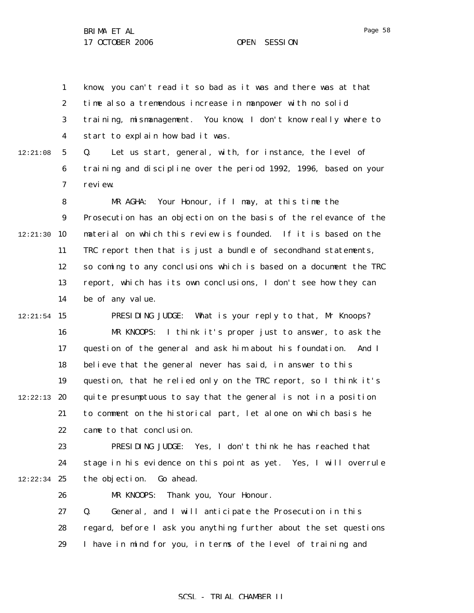1 2 3 4 know, you can't read it so bad as it was and there was at that time also a tremendous increase in manpower with no solid training, mismanagement. You know, I don't know really where to start to explain how bad it was.

12:21:08

5 6 7 Q. Let us start, general, with, for instance, the level of training and discipline over the period 1992, 1996, based on your review.

8 9 12:21:30 10 11 12 13 14 MR AGHA: Your Honour, if I may, at this time the Prosecution has an objection on the basis of the relevance of the material on which this review is founded. If it is based on the TRC report then that is just a bundle of secondhand statements, so coming to any conclusions which is based on a document the TRC report, which has its own conclusions, I don't see how they can be of any value.

 $12:21:54$  15 16 17 18 19  $12:22:13$  20 21 22 PRESIDING JUDGE: What is your reply to that, Mr Knoops? MR KNOOPS: I think it's proper just to answer, to ask the question of the general and ask him about his foundation. And I believe that the general never has said, in answer to this question, that he relied only on the TRC report, so I think it's quite presumptuous to say that the general is not in a position to comment on the historical part, let alone on which basis he came to that conclusion.

23 24  $12:22:34$  25 PRESIDING JUDGE: Yes, I don't think he has reached that stage in his evidence on this point as yet. Yes, I will overrule the objection. Go ahead.

26 27 28 29 MR KNOOPS: Thank you, Your Honour. Q. General, and I will anticipate the Prosecution in this regard, before I ask you anything further about the set questions I have in mind for you, in terms of the level of training and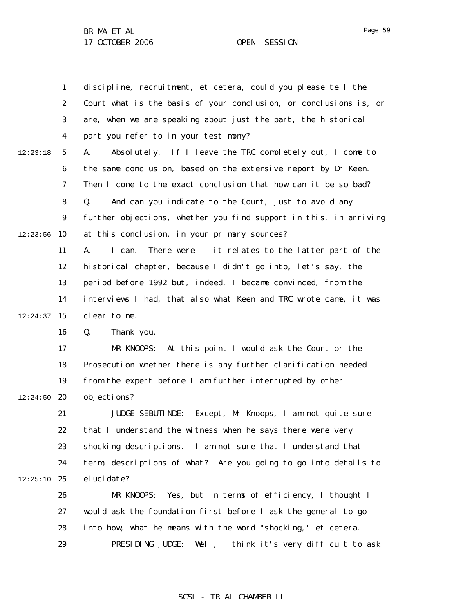1 2 3 4 5 6 7 8 9  $12:23:56$  10 11 12 13 14  $12:24:37$  15 16 17 18 19  $12:24:50$  20 21 22 23 24  $12:25:10$  25 26 27 28 29 12:23:18 discipline, recruitment, et cetera, could you please tell the Court what is the basis of your conclusion, or conclusions is, or are, when we are speaking about just the part, the historical part you refer to in your testimony? A. Absolutely. If I leave the TRC completely out, I come to the same conclusion, based on the extensive report by Dr Keen. Then I come to the exact conclusion that how can it be so bad? Q. And can you indicate to the Court, just to avoid any further objections, whether you find support in this, in arriving at this conclusion, in your primary sources? A. I can. There were -- it relates to the latter part of the historical chapter, because I didn't go into, let's say, the period before 1992 but, indeed, I became convinced, from the interviews I had, that also what Keen and TRC wrote came, it was clear to me. Q. Thank you. MR KNOOPS: At this point I would ask the Court or the Prosecution whether there is any further clarification needed from the expert before I am further interrupted by other objections? JUDGE SEBUTINDE: Except, Mr Knoops, I am not quite sure that I understand the witness when he says there were very shocking descriptions. I am not sure that I understand that term; descriptions of what? Are you going to go into details to el uci date? MR KNOOPS: Yes, but in terms of efficiency, I thought I would ask the foundation first before I ask the general to go into how, what he means with the word "shocking," et cetera. PRESIDING JUDGE: Well, I think it's very difficult to ask

#### SCSL - TRIAL CHAMBER II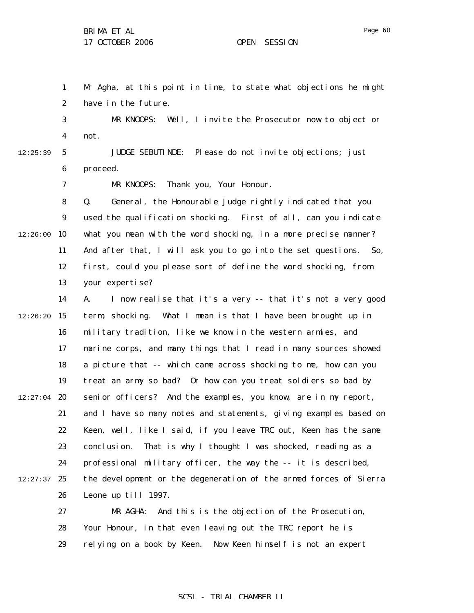1 2 Mr Agha, at this point in time, to state what objections he might have in the future.

JUDGE SEBUTINDE: Please do not invite objections; just

3 4 MR KNOOPS: Well, I invite the Prosecutor now to object or not.

12:25:39

6 proceed.

5

7

MR KNOOPS: Thank you, Your Honour.

8 9  $12:26:00$  10 11 12 13 Q. General, the Honourable Judge rightly indicated that you used the qualification shocking. First of all, can you indicate what you mean with the word shocking, in a more precise manner? And after that, I will ask you to go into the set questions. So, first, could you please sort of define the word shocking, from your expertise?

14  $12:26:20$  15 16 17 18 19  $12:27:04$  20 21 22 23 24  $12:27:37$  25 26 A. I now realise that it's a very -- that it's not a very good term, shocking. What I mean is that I have been brought up in military tradition, like we know in the western armies, and marine corps, and many things that I read in many sources showed a picture that -- which came across shocking to me, how can you treat an army so bad? Or how can you treat soldiers so bad by senior officers? And the examples, you know, are in my report, and I have so many notes and statements, giving examples based on Keen, well, like I said, if you leave TRC out, Keen has the same conclusion. That is why I thought I was shocked, reading as a professional military officer, the way the -- it is described, the development or the degeneration of the armed forces of Sierra Leone up till 1997.

27 28 29 MR AGHA: And this is the objection of the Prosecution, Your Honour, in that even leaving out the TRC report he is relying on a book by Keen. Now Keen himself is not an expert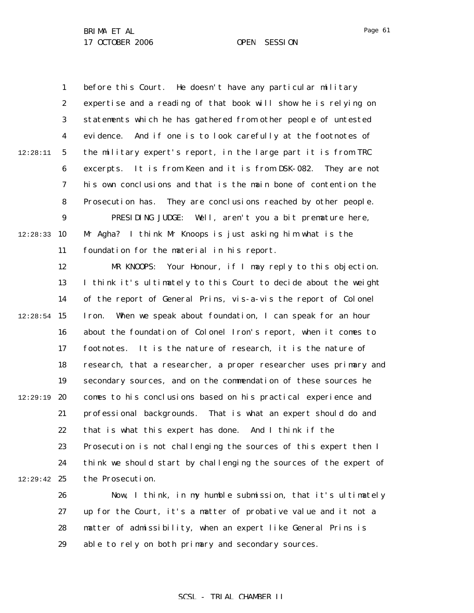1 2 3 4 5 6 7 8 9  $12:28:33$  10 11 12 13 14  $12:28:54$  15 16 17 18 19 12:29:19 **20** 21 22 23 24  $12:29:42$  25 12:28:11 before this Court. He doesn't have any particular military expertise and a reading of that book will show he is relying on statements which he has gathered from other people of untested evidence. And if one is to look carefully at the footnotes of the military expert's report, in the large part it is from TRC excerpts. It is from Keen and it is from DSK-082. They are not his own conclusions and that is the main bone of contention the Prosecution has. They are conclusions reached by other people. PRESIDING JUDGE: Well, aren't you a bit premature here, Mr Agha? I think Mr Knoops is just asking him what is the foundation for the material in his report. MR KNOOPS: Your Honour, if I may reply to this objection. I think it's ultimately to this Court to decide about the weight of the report of General Prins, vis-a-vis the report of Colonel Iron. When we speak about foundation, I can speak for an hour about the foundation of Colonel Iron's report, when it comes to footnotes. It is the nature of research, it is the nature of research, that a researcher, a proper researcher uses primary and secondary sources, and on the commendation of these sources he comes to his conclusions based on his practical experience and professional backgrounds. That is what an expert should do and that is what this expert has done. And I think if the Prosecution is not challenging the sources of this expert then I think we should start by challenging the sources of the expert of the Prosecution.

26 27 28 29 Now, I think, in my humble submission, that it's ultimately up for the Court, it's a matter of probative value and it not a matter of admissibility, when an expert like General Prins is able to rely on both primary and secondary sources.

#### SCSL - TRIAL CHAMBER II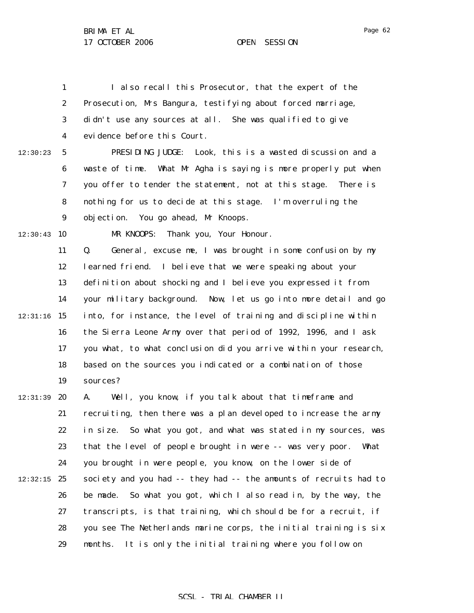1 2 3 4 5 6 7 8 9  $12:30:43$  10 11 12 13 14  $12:31:16$  15 16 17 18 19 12:31:39 **20** 21 22 23 24  $12:32:15$  25 26 27 28 29 12:30:23 I also recall this Prosecutor, that the expert of the Prosecution, Mrs Bangura, testifying about forced marriage, didn't use any sources at all. She was qualified to give evidence before this Court. PRESIDING JUDGE: Look, this is a wasted discussion and a waste of time. What Mr Agha is saying is more properly put when you offer to tender the statement, not at this stage. There is nothing for us to decide at this stage. I'm overruling the objection. You go ahead, Mr Knoops. MR KNOOPS: Thank you, Your Honour. Q. General, excuse me, I was brought in some confusion by my learned friend. I believe that we were speaking about your definition about shocking and I believe you expressed it from your military background. Now, let us go into more detail and go into, for instance, the level of training and discipline within the Sierra Leone Army over that period of 1992, 1996, and I ask you what, to what conclusion did you arrive within your research, based on the sources you indicated or a combination of those sources? A. Well, you know, if you talk about that timeframe and recruiting, then there was a plan developed to increase the army in size. So what you got, and what was stated in my sources, was that the level of people brought in were -- was very poor. What you brought in were people, you know, on the lower side of society and you had -- they had -- the amounts of recruits had to be made. So what you got, which I also read in, by the way, the transcripts, is that training, which should be for a recruit, if you see The Netherlands marine corps, the initial training is six months. It is only the initial training where you follow on

SCSL - TRIAL CHAMBER II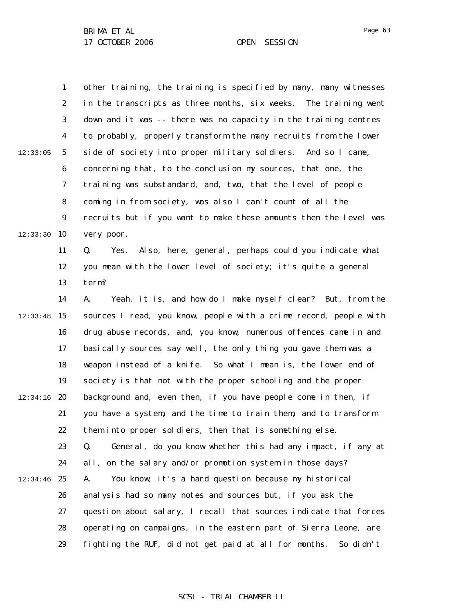|          | $\mathbf{1}$     | other training, the training is specified by many, many witnesses  |
|----------|------------------|--------------------------------------------------------------------|
|          | $\boldsymbol{2}$ | in the transcripts as three months, six weeks. The training went   |
|          | 3                | down and it was -- there was no capacity in the training centres   |
|          | $\boldsymbol{4}$ | to probably, properly transform the many recruits from the lower   |
| 12:33:05 | $\sqrt{5}$       | side of society into proper military soldiers. And so I came,      |
|          | $\boldsymbol{6}$ | concerning that, to the conclusion my sources, that one, the       |
|          | 7                | training was substandard, and, two, that the level of people       |
|          | 8                | coming in from society, was also I can't count of all the          |
|          | $\boldsymbol{9}$ | recruits but if you want to make these amounts then the level was  |
| 12:33:30 | 10               | very poor.                                                         |
|          | 11               | Yes. Also, here, general, perhaps could you indicate what<br>Q.    |
|          | 12               | you mean with the lower level of society; it's quite a general     |
|          | 13               | term?                                                              |
|          | 14               | Yeah, it is, and how do I make myself clear? But, from the<br>A.   |
| 12:33:48 | 15               | sources I read, you know, people with a crime record, people with  |
|          | 16               | drug abuse records, and, you know, numerous offences came in and   |
|          | 17               | basically sources say well, the only thing you gave them was a     |
|          | 18               | weapon instead of a knife. So what I mean is, the lower end of     |
|          | 19               | society is that not with the proper schooling and the proper       |
| 12:34:16 | 20               | background and, even then, if you have people come in then, if     |
|          | 21               | you have a system, and the time to train them, and to transform    |
|          | 22               | them into proper soldiers, then that is something else.            |
|          | 23               | Q.<br>General, do you know whether this had any impact, if any at  |
|          | 24               | on the salary and/or promotion system in those days?<br>all,       |
| 12:34:46 | 25               | You know, it's a hard question because my historical<br>A.         |
|          | 26               | analysis had so many notes and sources but, if you ask the         |
|          | 27               | question about salary, I recall that sources indicate that forces  |
|          | 28               | operating on campaigns, in the eastern part of Sierra Leone, are   |
|          | 29               | fighting the RUF, did not get paid at all for months.<br>So didn't |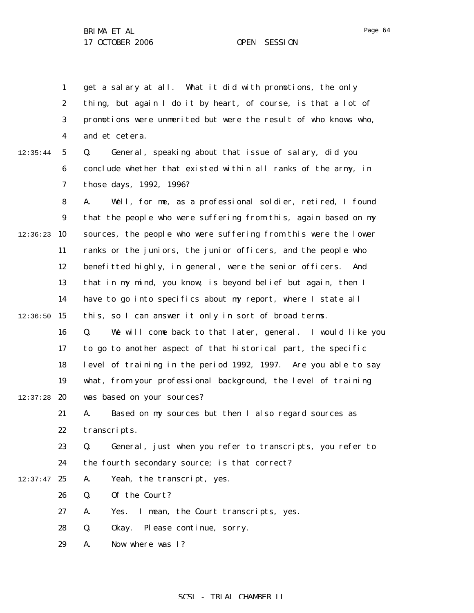and et cetera.

get a salary at all. What it did with promotions, the only thing, but again I do it by heart, of course, is that a lot of promotions were unmerited but were the result of who knows who,

12:35:44

1

2

3

4

5 6 7 Q. General, speaking about that issue of salary, did you conclude whether that existed within all ranks of the army, in those days, 1992, 1996?

8 9  $12:36:23$  10 11 12 13 14  $12:36:50$  15 16 17 18 19  $12:37:28$  20 A. Well, for me, as a professional soldier, retired, I found that the people who were suffering from this, again based on my sources, the people who were suffering from this were the lower ranks or the juniors, the junior officers, and the people who benefitted highly, in general, were the senior officers. And that in my mind, you know, is beyond belief but again, then I have to go into specifics about my report, where I state all this, so I can answer it only in sort of broad terms. Q. We will come back to that later, general. I would like you to go to another aspect of that historical part, the specific level of training in the period 1992, 1997. Are you able to say what, from your professional background, the level of training was based on your sources?

21 22 A. Based on my sources but then I also regard sources as transcripts.

23 24 Q. General, just when you refer to transcripts, you refer to the fourth secondary source; is that correct?

 $12:37:47$  25 A. Yeah, the transcript, yes.

> 26 Q. Of the Court?

27 A. Yes. I mean, the Court transcripts, yes.

28 Q. Okay. Please continue, sorry.

29 A. Now where was I?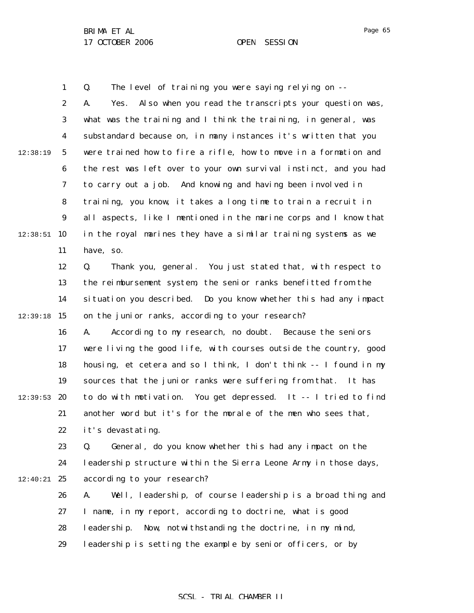1 2 3 4 5 6 7 8 9  $12:38:51$  10 11 12 13 14  $12:39:18$  15 16 17 18 19 12:39:53 **20** 21 22 23 24  $12:40:21$  25 26 27 28 29 12:38:19 Q. The level of training you were saying relying on -- A. Yes. Also when you read the transcripts your question was, what was the training and I think the training, in general, was substandard because on, in many instances it's written that you were trained how to fire a rifle, how to move in a formation and the rest was left over to your own survival instinct, and you had to carry out a job. And knowing and having been involved in training, you know, it takes a long time to train a recruit in all aspects, like I mentioned in the marine corps and I know that in the royal marines they have a similar training systems as we have, so. Q. Thank you, general. You just stated that, with respect to the reimbursement system, the senior ranks benefitted from the situation you described. Do you know whether this had any impact on the junior ranks, according to your research? A. According to my research, no doubt. Because the seniors were living the good life, with courses outside the country, good housing, et cetera and so I think, I don't think -- I found in my sources that the junior ranks were suffering from that. It has to do with motivation. You get depressed. It -- I tried to find another word but it's for the morale of the men who sees that, it's devastating. Q. General, do you know whether this had any impact on the leadership structure within the Sierra Leone Army in those days, according to your research? A. Well, leadership, of course leadership is a broad thing and I name, in my report, according to doctrine, what is good leadership. Now, notwithstanding the doctrine, in my mind, leadership is setting the example by senior officers, or by

#### SCSL - TRIAL CHAMBER II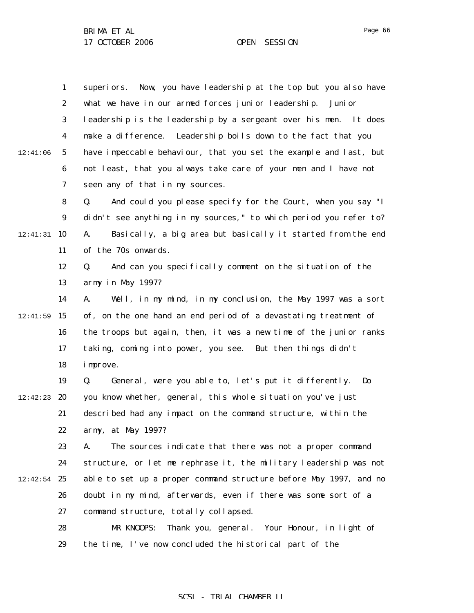1 2 3 4 5 6 7 12:41:06 superiors. Now, you have leadership at the top but you also have what we have in our armed forces junior leadership. Junior leadership is the leadership by a sergeant over his men. It does make a difference. Leadership boils down to the fact that you have impeccable behaviour, that you set the example and last, but not least, that you always take care of your men and I have not seen any of that in my sources.

8 9 12:41:31 10 11 Q. And could you please specify for the Court, when you say "I didn't see anything in my sources," to which period you refer to? A. Basically, a big area but basically it started from the end of the 70s onwards.

> 12 13 Q. And can you specifically comment on the situation of the army in May 1997?

14  $12:41:59$  15 16 17 18 A. Well, in my mind, in my conclusion, the May 1997 was a sort of, on the one hand an end period of a devastating treatment of the troops but again, then, it was a new time of the junior ranks taking, coming into power, you see. But then things didn't improve.

19  $12:42:23$  20 21 22 Q. General, were you able to, let's put it differently. Do you know whether, general, this whole situation you've just described had any impact on the command structure, within the army, at May 1997?

23 24  $12:42:54$  25 26 27 A. The sources indicate that there was not a proper command structure, or let me rephrase it, the military leadership was not able to set up a proper command structure before May 1997, and no doubt in my mind, afterwards, even if there was some sort of a command structure, totally collapsed.

> 28 29 MR KNOOPS: Thank you, general. Your Honour, in light of the time, I've now concluded the historical part of the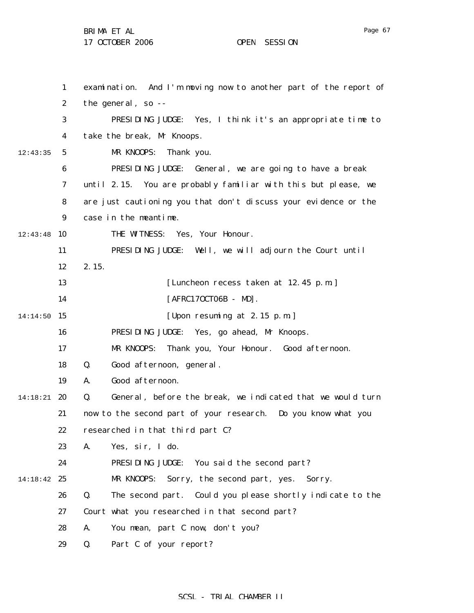17 OCTOBER 2006 OPEN SESSION

1 2 3 4 5 6 7 8 9 12:43:48 10 11 12 13 14 14:14:50 15 16 17 18 19 14:18:21 **20** 21 22 23 24 14:18:42 25 26 27 28 29 12:43:35 examination. And I'm moving now to another part of the report of the general, so -- PRESIDING JUDGE: Yes, I think it's an appropriate time to take the break, Mr Knoops. MR KNOOPS: Thank you. PRESIDING JUDGE: General, we are going to have a break until 2.15. You are probably familiar with this but please, we are just cautioning you that don't discuss your evidence or the case in the meantime. THE WITNESS: Yes, Your Honour. PRESIDING JUDGE: Well, we will adjourn the Court until 2.15. [Luncheon recess taken at 12.45 p.m.] [AFRC170CT06B - MD]. [Upon resuming at 2.15 p.m.] PRESIDING JUDGE: Yes, go ahead, Mr Knoops. MR KNOOPS: Thank you, Your Honour. Good afternoon. Q. Good afternoon, general. A. Good afternoon. Q. General, before the break, we indicated that we would turn now to the second part of your research. Do you know what you researched in that third part C? A. Yes, sir, I do. PRESIDING JUDGE: You said the second part? MR KNOOPS: Sorry, the second part, yes. Sorry. Q. The second part. Could you please shortly indicate to the Court what you researched in that second part? A. You mean, part C now, don't you? Q. Part C of your report?

## SCSL - TRIAL CHAMBER II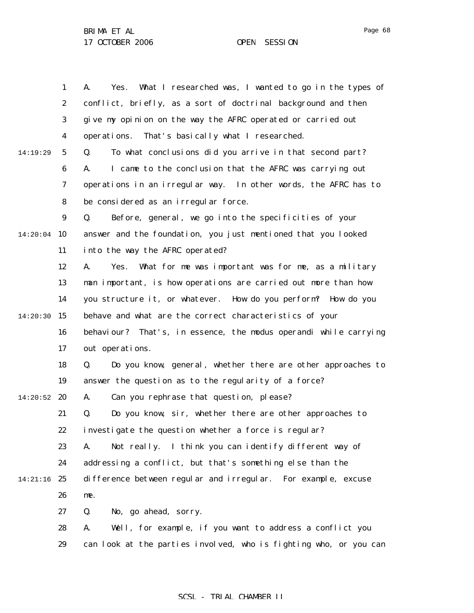1 2 3 4 5 6 7 8 9  $14:20:04$  10 11 12 13 14 14:20:30 15 16 17 18 19 14:20:52 **20** 21 22 23 24 14:21:16 25 26 27 28 29 14:19:29 A. Yes. What I researched was, I wanted to go in the types of conflict, briefly, as a sort of doctrinal background and then give my opinion on the way the AFRC operated or carried out operations. That's basically what I researched. Q. To what conclusions did you arrive in that second part? A. I came to the conclusion that the AFRC was carrying out operations in an irregular way. In other words, the AFRC has to be considered as an irregular force. Q. Before, general, we go into the specificities of your answer and the foundation, you just mentioned that you looked into the way the AFRC operated? A. Yes. What for me was important was for me, as a military man important, is how operations are carried out more than how you structure it, or whatever. How do you perform? How do you behave and what are the correct characteristics of your behaviour? That's, in essence, the modus operandi while carrying out operations. Q. Do you know, general, whether there are other approaches to answer the question as to the regularity of a force? A. Can you rephrase that question, please? Q. Do you know, sir, whether there are other approaches to investigate the question whether a force is regular? A. Not really. I think you can identify different way of addressing a conflict, but that's something else than the difference between regular and irregular. For example, excuse me. Q. No, go ahead, sorry. A. Well, for example, if you want to address a conflict you can look at the parties involved, who is fighting who, or you can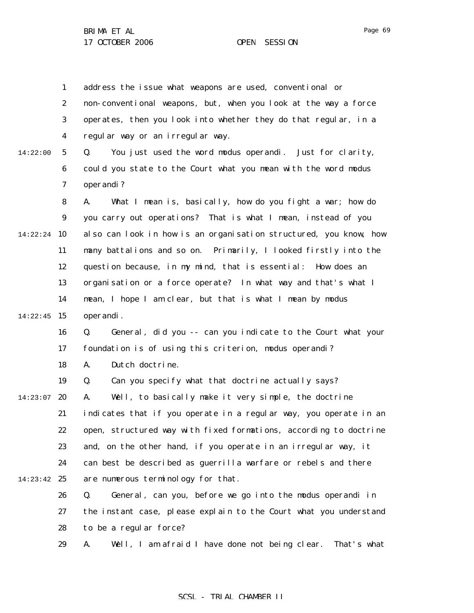1 2 3 4 5 6 7 8 9 14:22:24 10 11 12 13 14 14:22:45 15 16 17 18 19  $14:23:07$  20 21 22 23 24 14:23:42 25 26 27 28 29 14:22:00 address the issue what weapons are used, conventional or non-conventional weapons, but, when you look at the way a force operates, then you look into whether they do that regular, in a regular way or an irregular way. Q. You just used the word modus operandi. Just for clarity, could you state to the Court what you mean with the word modus operandi? A. What I mean is, basically, how do you fight a war; how do you carry out operations? That is what I mean, instead of you also can look in how is an organisation structured, you know, how many battalions and so on. Primarily, I looked firstly into the question because, in my mind, that is essential: How does an organisation or a force operate? In what way and that's what I mean, I hope I am clear, but that is what I mean by modus operandi. Q. General, did you -- can you indicate to the Court what your foundation is of using this criterion, modus operandi? A. Dutch doctrine. Q. Can you specify what that doctrine actually says? A. Well, to basically make it very simple, the doctrine indicates that if you operate in a regular way, you operate in an open, structured way with fixed formations, according to doctrine and, on the other hand, if you operate in an irregular way, it can best be described as guerrilla warfare or rebels and there are numerous terminology for that. Q. General, can you, before we go into the modus operandi in the instant case, please explain to the Court what you understand to be a regular force? A. Well, I am afraid I have done not being clear. That's what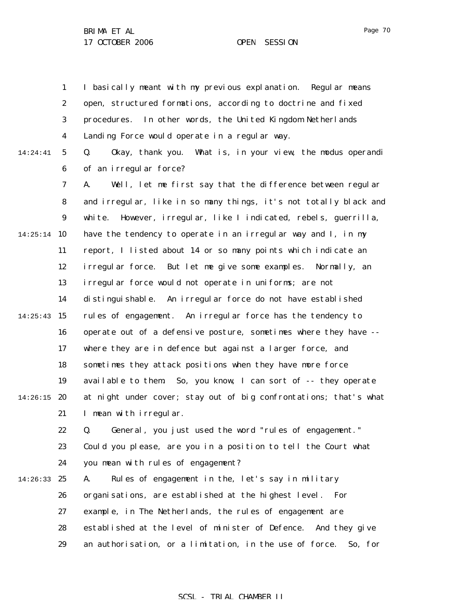1 2 3 4 5 6 7 8 9 14:25:14 10 11 12 13 14  $14:25:43$  15 16 17 18 19  $14:26:15$  20 21 22 23 24 14:26:33 25 26 27 28 29 14:24:41 I basically meant with my previous explanation. Regular means open, structured formations, according to doctrine and fixed procedures. In other words, the United Kingdom Netherlands Landing Force would operate in a regular way. Q. Okay, thank you. What is, in your view, the modus operandi of an irregular force? A. Well, let me first say that the difference between regular and irregular, like in so many things, it's not totally black and white. However, irregular, like I indicated, rebels, guerrilla, have the tendency to operate in an irregular way and I, in my report, I listed about 14 or so many points which indicate an irregular force. But let me give some examples. Normally, an irregular force would not operate in uniforms; are not distinguishable. An irregular force do not have established rules of engagement. An irregular force has the tendency to operate out of a defensive posture, sometimes where they have - where they are in defence but against a larger force, and sometimes they attack positions when they have more force available to them. So, you know, I can sort of -- they operate at night under cover; stay out of big confrontations; that's what I mean with irregular. Q. General, you just used the word "rules of engagement." Could you please, are you in a position to tell the Court what you mean with rules of engagement? A. Rules of engagement in the, let's say in military organisations, are established at the highest level. For example, in The Netherlands, the rules of engagement are established at the level of minister of Defence. And they give an authorisation, or a limitation, in the use of force. So, for

#### Page 70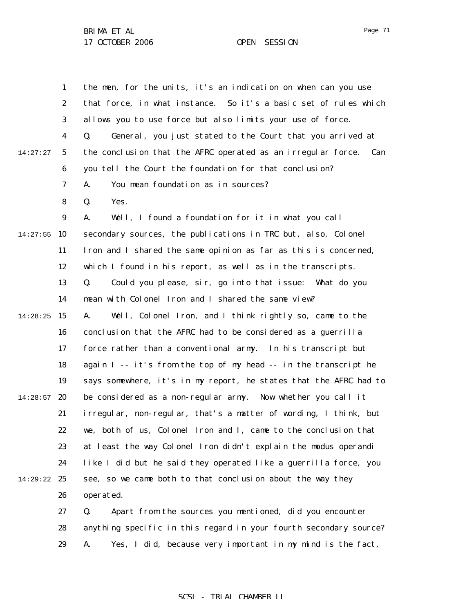1 2 3 4 5 6 7 8 9 14:27:55 10 11 12 13 14 14:28:25 15 16 17 18 19  $14:28:57$  20 21 22 23 24 14:29:22 25 26 27 28 29 14:27:27 the men, for the units, it's an indication on when can you use that force, in what instance. So it's a basic set of rules which allows you to use force but also limits your use of force. Q. General, you just stated to the Court that you arrived at the conclusion that the AFRC operated as an irregular force. Can you tell the Court the foundation for that conclusion? A. You mean foundation as in sources? Q. Yes. A. Well, I found a foundation for it in what you call secondary sources, the publications in TRC but, also, Colonel Iron and I shared the same opinion as far as this is concerned, which I found in his report, as well as in the transcripts. Q. Could you please, sir, go into that issue: What do you mean with Colonel Iron and I shared the same view? A. Well, Colonel Iron, and I think rightly so, came to the conclusion that the AFRC had to be considered as a guerrilla force rather than a conventional army. In his transcript but again I -- it's from the top of my head -- in the transcript he says somewhere, it's in my report, he states that the AFRC had to be considered as a non-regular army. Now whether you call it irregular, non-regular, that's a matter of wording, I think, but we, both of us, Colonel Iron and I, came to the conclusion that at least the way Colonel Iron didn't explain the modus operandi like I did but he said they operated like a guerrilla force, you see, so we came both to that conclusion about the way they operated. Q. Apart from the sources you mentioned, did you encounter anything specific in this regard in your fourth secondary source? A. Yes, I did, because very important in my mind is the fact,

Page 71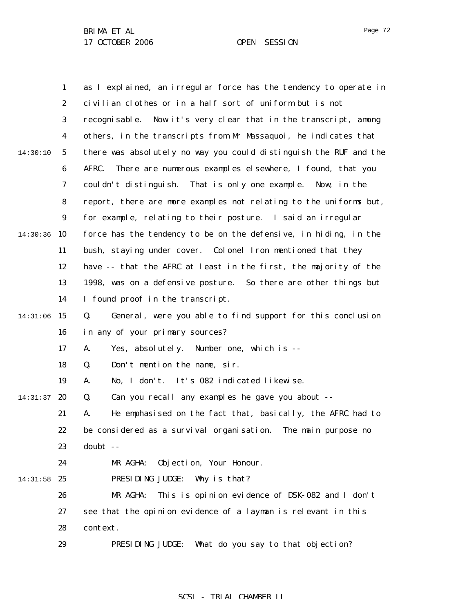1 2 3 4 5 6 7 8 9 14:30:36 10 11 12 13 14 14:31:06 15 16 17 18 19 14:31:37 **20** 21 22 23 24 14:31:58 25 26 27 28 29 14:30:10 as I explained, an irregular force has the tendency to operate in civilian clothes or in a half sort of uniform but is not recognisable. Now it's very clear that in the transcript, among others, in the transcripts from Mr Massaquoi, he indicates that there was absolutely no way you could distinguish the RUF and the AFRC. There are numerous examples elsewhere, I found, that you couldn't distinguish. That is only one example. Now, in the report, there are more examples not relating to the uniforms but, for example, relating to their posture. I said an irregular force has the tendency to be on the defensive, in hiding, in the bush, staying under cover. Colonel Iron mentioned that they have -- that the AFRC at least in the first, the majority of the 1998, was on a defensive posture. So there are other things but I found proof in the transcript. Q. General, were you able to find support for this conclusion in any of your primary sources? A. Yes, absolutely. Number one, which is -- Q. Don't mention the name, sir. A. No, I don't. It's 082 indicated likewise. Q. Can you recall any examples he gave you about -- A. He emphasised on the fact that, basically, the AFRC had to be considered as a survival organisation. The main purpose no doubt -- MR AGHA: Objection, Your Honour. PRESIDING JUDGE: Why is that? MR AGHA: This is opinion evidence of DSK-082 and I don't see that the opinion evidence of a layman is relevant in this context. PRESIDING JUDGE: What do you say to that objection?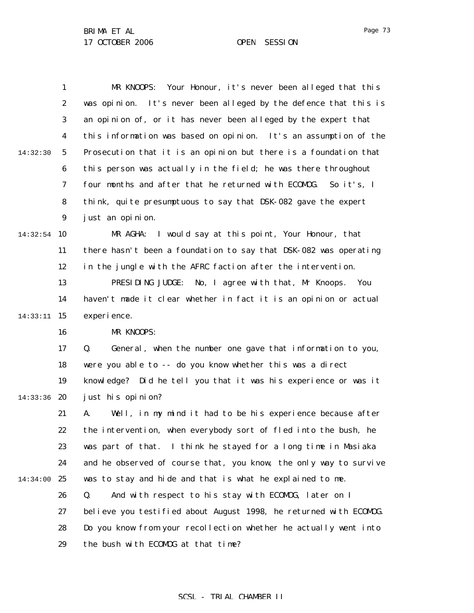|          | 1                | Your Honour, it's never been alleged that this<br>MR KNOOPS:        |
|----------|------------------|---------------------------------------------------------------------|
|          | $\boldsymbol{2}$ | was opinion. It's never been alleged by the defence that this is    |
|          | $\boldsymbol{3}$ | an opinion of, or it has never been alleged by the expert that      |
|          | $\boldsymbol{4}$ | this information was based on opinion. It's an assumption of the    |
| 14:32:30 | $\mathbf{5}$     | Prosecution that it is an opinion but there is a foundation that    |
|          | 6                | this person was actually in the field; he was there throughout      |
|          | 7                | four months and after that he returned with ECOMDG.<br>So it's, $I$ |
|          | 8                | think, quite presumptuous to say that DSK-082 gave the expert       |
|          | $\boldsymbol{9}$ | just an opinion.                                                    |
| 14:32:54 | 10               | MR AGHA: I would say at this point, Your Honour, that               |
|          | 11               | there hasn't been a foundation to say that DSK-082 was operating    |
|          | 12               | in the jungle with the AFRC faction after the intervention.         |
|          | 13               | PRESIDING JUDGE:<br>No, I agree with that, Mr Knoops.<br>You        |
|          | 14               | haven't made it clear whether in fact it is an opinion or actual    |
| 14:33:11 | 15               | experience.                                                         |
|          | 16               | MR KNOOPS:                                                          |
|          | 17               | General, when the number one gave that information to you,<br>Q.    |
|          | 18               | were you able to -- do you know whether this was a direct           |
|          | 19               | knowledge? Did he tell you that it was his experience or was it     |
| 14:33:36 | 20               | just his opinion?                                                   |
|          | 21               | Well, in my mind it had to be his experience because after<br>A.    |
|          | 22               | the intervention, when everybody sort of fled into the bush, he     |
|          | 23               | was part of that. I think he stayed for a long time in Masiaka      |
|          | 24               | and he observed of course that, you know, the only way to survive   |
| 14:34:00 | 25               | was to stay and hide and that is what he explained to me.           |
|          | 26               | And with respect to his stay with ECOMOG, later on I<br>Q.          |
|          | 27               | believe you testified about August 1998, he returned with ECOMDG.   |
|          | 28               | Do you know from your recollection whether he actually went into    |
|          | 29               | the bush with ECOMDG at that time?                                  |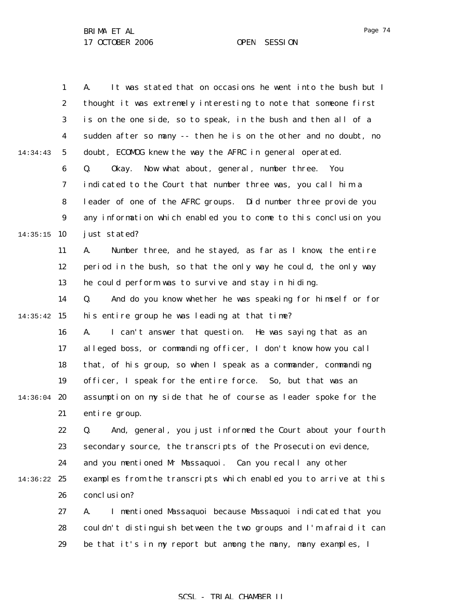1 2 3 4 5 6 7 8 9 14:35:15 10 11 12 13 14 14:35:42 15 16 17 18 19 14:36:04 **20** 21 22 23 24 14:36:22 25 26 27 28 29 14:34:43 A. It was stated that on occasions he went into the bush but I thought it was extremely interesting to note that someone first is on the one side, so to speak, in the bush and then all of a sudden after so many -- then he is on the other and no doubt, no doubt, ECOMOG knew the way the AFRC in general operated. Q. Okay. Now what about, general, number three. You indicated to the Court that number three was, you call him a leader of one of the AFRC groups. Did number three provide you any information which enabled you to come to this conclusion you just stated? A. Number three, and he stayed, as far as I know, the entire period in the bush, so that the only way he could, the only way he could perform was to survive and stay in hiding. Q. And do you know whether he was speaking for himself or for his entire group he was leading at that time? A. I can't answer that question. He was saying that as an alleged boss, or commanding officer, I don't know how you call that, of his group, so when I speak as a commander, commanding officer, I speak for the entire force. So, but that was an assumption on my side that he of course as leader spoke for the entire group. Q. And, general, you just informed the Court about your fourth secondary source, the transcripts of the Prosecution evidence, and you mentioned Mr Massaquoi. Can you recall any other examples from the transcripts which enabled you to arrive at this conclusion? A. I mentioned Massaquoi because Massaquoi indicated that you couldn't distinguish between the two groups and I'm afraid it can be that it's in my report but among the many, many examples, I

### SCSL - TRIAL CHAMBER II

Page 74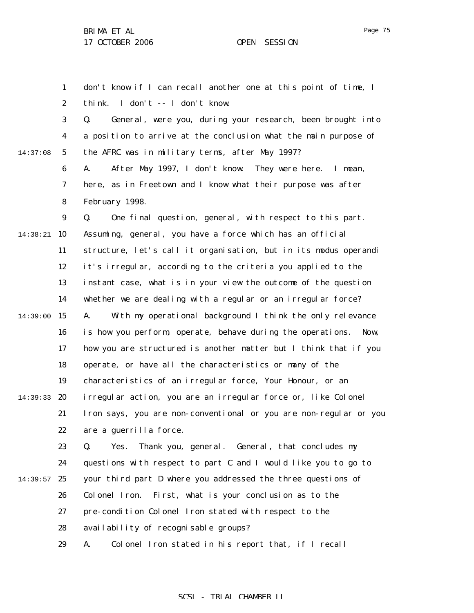1 2 3 4 5 6 7 8 9 14:38:21 10 11 12 13 14 14:39:00 15 16 17 18 19 14:39:33 20 21 22 23 24  $14:39:57$  25 26 27 28 29 14:37:08 don't know if I can recall another one at this point of time, I think. I don't -- I don't know. Q. General, were you, during your research, been brought into a position to arrive at the conclusion what the main purpose of the AFRC was in military terms, after May 1997? A. After May 1997, I don't know. They were here. I mean, here, as in Freetown and I know what their purpose was after February 1998. Q. One final question, general, with respect to this part. Assuming, general, you have a force which has an official structure, let's call it organisation, but in its modus operandi it's irregular, according to the criteria you applied to the instant case, what is in your view the outcome of the question whether we are dealing with a regular or an irregular force? A. With my operational background I think the only relevance is how you perform, operate, behave during the operations. Now, how you are structured is another matter but I think that if you operate, or have all the characteristics or many of the characteristics of an irregular force, Your Honour, or an irregular action, you are an irregular force or, like Colonel Iron says, you are non-conventional or you are non-regular or you are a guerrilla force. Q. Yes. Thank you, general. General, that concludes my questions with respect to part C and I would like you to go to your third part D where you addressed the three questions of Colonel Iron. First, what is your conclusion as to the pre-condition Colonel Iron stated with respect to the availability of recognisable groups? A. Colonel Iron stated in his report that, if I recall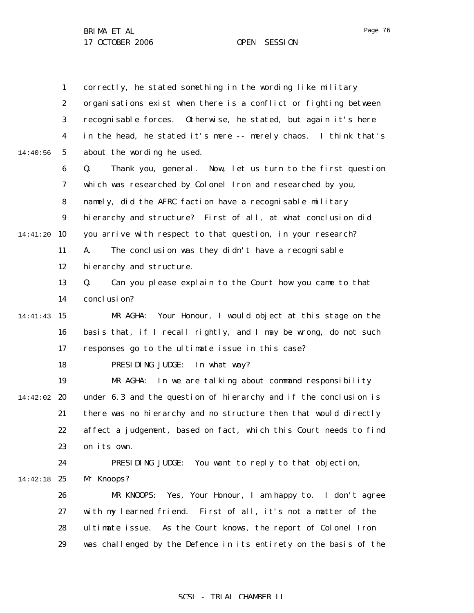|          | $\mathbf{1}$     | correctly, he stated something in the wording like military       |
|----------|------------------|-------------------------------------------------------------------|
|          | $\boldsymbol{2}$ | organisations exist when there is a conflict or fighting between  |
|          | 3                | recognisable forces. Otherwise, he stated, but again it's here    |
|          | 4                | in the head, he stated it's mere -- merely chaos. I think that's  |
| 14:40:56 | $5\phantom{.0}$  | about the wording he used.                                        |
|          | 6                | Thank you, general. Now, let us turn to the first question<br>Q.  |
|          | $\boldsymbol{7}$ | which was researched by Colonel Iron and researched by you,       |
|          | 8                | namely, did the AFRC faction have a recognisable military         |
|          | $\boldsymbol{9}$ | hierarchy and structure? First of all, at what conclusion did     |
| 14:41:20 | 10               | you arrive with respect to that question, in your research?       |
|          | 11               | The conclusion was they didn't have a recognisable<br>A.          |
|          | 12               | hi erarchy and structure.                                         |
|          | 13               | Can you please explain to the Court how you came to that<br>Q.    |
|          | 14               | conclusion?                                                       |
| 14:41:43 | 15               | Your Honour, I would object at this stage on the<br>MR AGHA:      |
|          | 16               | basis that, if I recall rightly, and I may be wrong, do not such  |
|          | 17               | responses go to the ultimate issue in this case?                  |
|          | 18               | PRESIDING JUDGE:<br>In what way?                                  |
|          | 19               | In we are talking about command responsibility<br>MR AGHA:        |
| 14:42:02 | 20               | under 6.3 and the question of hierarchy and if the conclusion is  |
|          | 21               | there was no hierarchy and no structure then that would directly  |
|          | 22               | affect a judgement, based on fact, which this Court needs to find |
|          | 23               | on its own.                                                       |
|          | 24               | PRESIDING JUDGE: You want to reply to that objection,             |
| 14:42:18 | 25               | Mr Knoops?                                                        |
|          | 26               | MR KNOOPS: Yes, Your Honour, I am happy to. I don't agree         |
|          | 27               | with my learned friend. First of all, it's not a matter of the    |
|          | 28               | ultimate issue. As the Court knows, the report of Colonel Iron    |
|          | 29               | was challenged by the Defence in its entirety on the basis of the |

# SCSL - TRIAL CHAMBER II

Page 76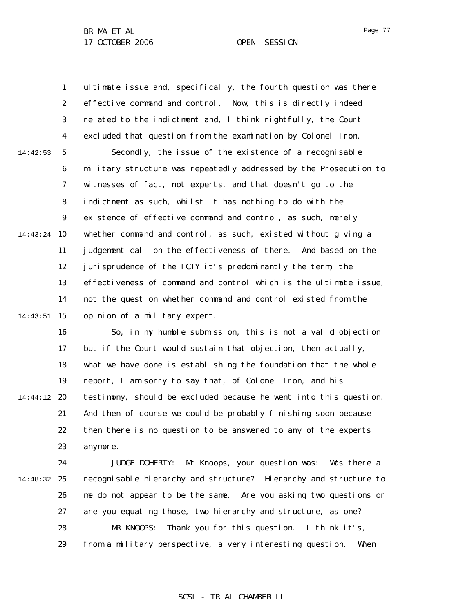1 2 3 4 5 6 7 8 9 14:43:24 10 11 12 13 14 14:43:51 15 14:42:53 ultimate issue and, specifically, the fourth question was there effective command and control. Now, this is directly indeed related to the indictment and, I think rightfully, the Court excluded that question from the examination by Colonel Iron. Secondly, the issue of the existence of a recognisable military structure was repeatedly addressed by the Prosecution to witnesses of fact, not experts, and that doesn't go to the indictment as such, whilst it has nothing to do with the existence of effective command and control, as such, merely whether command and control, as such, existed without giving a judgement call on the effectiveness of there. And based on the jurisprudence of the ICTY it's predominantly the term, the effectiveness of command and control which is the ultimate issue, not the question whether command and control existed from the opinion of a military expert.

16 17 18 19 14:44:12 20 21 22 23 So, in my humble submission, this is not a valid objection but if the Court would sustain that objection, then actually, what we have done is establishing the foundation that the whole report, I am sorry to say that, of Colonel Iron, and his testimony, should be excluded because he went into this question. And then of course we could be probably finishing soon because then there is no question to be answered to any of the experts anymore.

24 14:48:32 25 26 27 28 29 JUDGE DOHERTY: Mr Knoops, your question was: Was there a recognisable hierarchy and structure? Hierarchy and structure to me do not appear to be the same. Are you asking two questions or are you equating those, two hierarchy and structure, as one? MR KNOOPS: Thank you for this question. I think it's, from a military perspective, a very interesting question. When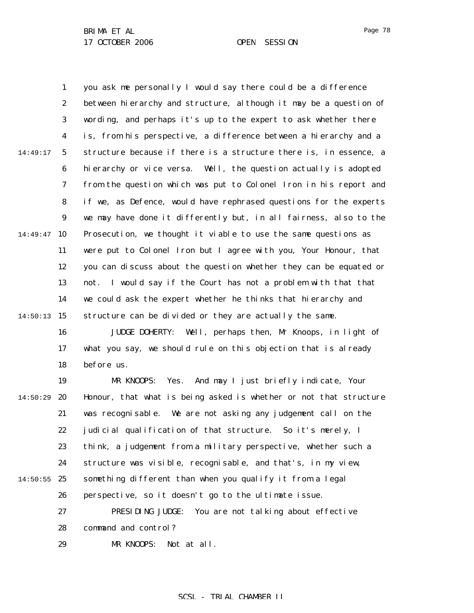1

2

3

4

5

6

7

8

9

11

12

14:49:47 10

14:49:17

you ask me personally I would say there could be a difference between hierarchy and structure, although it may be a question of wording, and perhaps it's up to the expert to ask whether there is, from his perspective, a difference between a hierarchy and a structure because if there is a structure there is, in essence, a hierarchy or vice versa. Well, the question actually is adopted from the question which was put to Colonel Iron in his report and if we, as Defence, would have rephrased questions for the experts we may have done it differently but, in all fairness, also to the Prosecution, we thought it viable to use the same questions as were put to Colonel Iron but I agree with you, Your Honour, that

you can discuss about the question whether they can be equated or

13 14  $14:50:13$  15 not. I would say if the Court has not a problem with that that we could ask the expert whether he thinks that hierarchy and structure can be divided or they are actually the same.

> 16 17 18 JUDGE DOHERTY: Well, perhaps then, Mr Knoops, in light of what you say, we should rule on this objection that is already before us.

19 20 21 22 23 24  $14:50:55$  25 26 27 28 29 14:50:29 MR KNOOPS: Yes. And may I just briefly indicate, Your Honour, that what is being asked is whether or not that structure was recognisable. We are not asking any judgement call on the judicial qualification of that structure. So it's merely, I think, a judgement from a military perspective, whether such a structure was visible, recognisable, and that's, in my view, something different than when you qualify it from a legal perspective, so it doesn't go to the ultimate issue. PRESIDING JUDGE: You are not talking about effective command and control? MR KNOOPS: Not at all.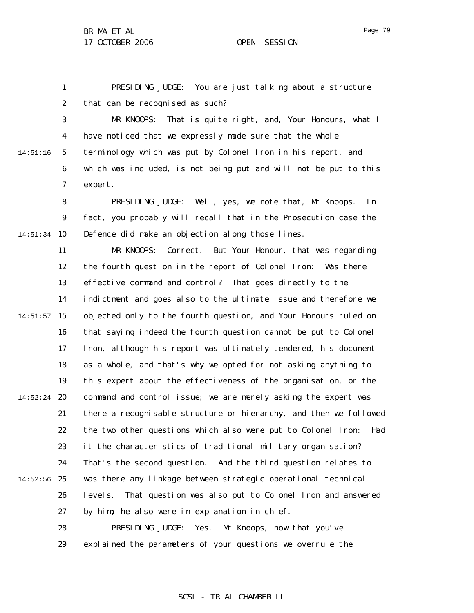1 2 PRESIDING JUDGE: You are just talking about a structure that can be recognised as such?

3 4 5 6 7 14:51:16 MR KNOOPS: That is quite right, and, Your Honours, what I have noticed that we expressly made sure that the whole terminology which was put by Colonel Iron in his report, and which was included, is not being put and will not be put to this expert.

8 9 14:51:34 10 PRESIDING JUDGE: Well, yes, we note that, Mr Knoops. In fact, you probably will recall that in the Prosecution case the Defence did make an objection along those lines.

11 12 13 14  $14:51:57$  15 16 17 18 19  $14:52:24$  20 21 22 23 24  $14:52:56$  25 26 27 28 MR KNOOPS: Correct. But Your Honour, that was regarding the fourth question in the report of Colonel Iron: Was there effective command and control? That goes directly to the indictment and goes also to the ultimate issue and therefore we objected only to the fourth question, and Your Honours ruled on that saying indeed the fourth question cannot be put to Colonel Iron, although his report was ultimately tendered, his document as a whole, and that's why we opted for not asking anything to this expert about the effectiveness of the organisation, or the command and control issue; we are merely asking the expert was there a recognisable structure or hierarchy, and then we followed the two other questions which also were put to Colonel Iron: Had it the characteristics of traditional military organisation? That's the second question. And the third question relates to was there any linkage between strategic operational technical levels. That question was also put to Colonel Iron and answered by him; he also were in explanation in chief. PRESIDING JUDGE: Yes. Mr Knoops, now that you've

> 29 explained the parameters of your questions we overrule the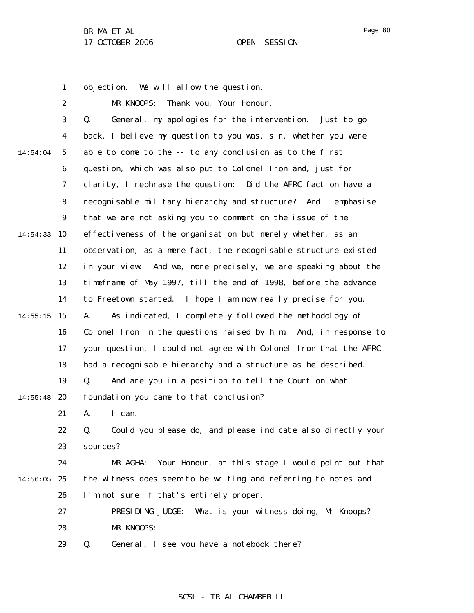1 2 objection. We will allow the question. MR KNOOPS: Thank you, Your Honour.

3 4 5 6 7 8 9 14:54:33 10 11 12 13 14  $14:55:15$  15 16 17 18 19 14:55:48 20 21 22 23 24  $14:56:05$  25 26 27 28 29 14:54:04 Q. General, my apologies for the intervention. Just to go back, I believe my question to you was, sir, whether you were able to come to the -- to any conclusion as to the first question, which was also put to Colonel Iron and, just for clarity, I rephrase the question: Did the AFRC faction have a recognisable military hierarchy and structure? And I emphasise that we are not asking you to comment on the issue of the effectiveness of the organisation but merely whether, as an observation, as a mere fact, the recognisable structure existed in your view. And we, more precisely, we are speaking about the timeframe of May 1997, till the end of 1998, before the advance to Freetown started. I hope I am now really precise for you. A. As indicated, I completely followed the methodology of Colonel Iron in the questions raised by him. And, in response to your question, I could not agree with Colonel Iron that the AFRC had a recognisable hierarchy and a structure as he described. Q. And are you in a position to tell the Court on what foundation you came to that conclusion? A. I can. Q. Could you please do, and please indicate also directly your sources? MR AGHA: Your Honour, at this stage I would point out that the witness does seem to be writing and referring to notes and I'm not sure if that's entirely proper. PRESIDING JUDGE: What is your witness doing, Mr Knoops? MR KNOOPS: Q. General, I see you have a notebook there?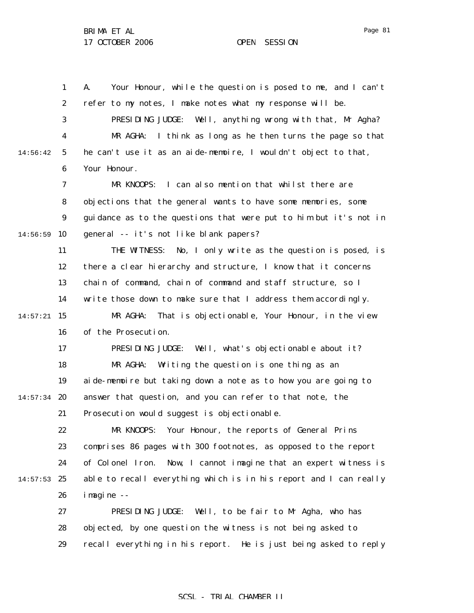1 2 3 4 5 6 7 8 9 10 11 12 13 14  $14:57:21$  15 16 17 18 19  $14:57:34$  20 21 22 23 24  $14:57:53$  25 26 27 28 29 14:56:42 14:56:59 A. Your Honour, while the question is posed to me, and I can't refer to my notes, I make notes what my response will be. PRESIDING JUDGE: Well, anything wrong with that, Mr Agha? MR AGHA: I think as long as he then turns the page so that he can't use it as an aide-memoire, I wouldn't object to that, Your Honour. MR KNOOPS: I can also mention that whilst there are objections that the general wants to have some memories, some guidance as to the questions that were put to him but it's not in general -- it's not like blank papers? THE WITNESS: No, I only write as the question is posed, is there a clear hierarchy and structure, I know that it concerns chain of command, chain of command and staff structure, so I write those down to make sure that I address them accordingly. MR AGHA: That is objectionable, Your Honour, in the view of the Prosecution. PRESIDING JUDGE: Well, what's objectionable about it? MR AGHA: Writing the question is one thing as an aide-memoire but taking down a note as to how you are going to answer that question, and you can refer to that note, the Prosecution would suggest is objectionable. MR KNOOPS: Your Honour, the reports of General Prins comprises 86 pages with 300 footnotes, as opposed to the report of Colonel Iron. Now, I cannot imagine that an expert witness is able to recall everything which is in his report and I can really imagine -- PRESIDING JUDGE: Well, to be fair to Mr Agha, who has objected, by one question the witness is not being asked to recall everything in his report. He is just being asked to reply

Page 81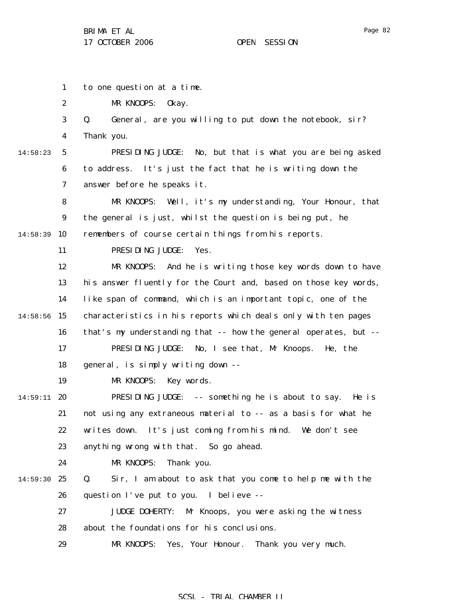Page 82

1 2 3 4 5 6 7 8 9 14:58:39 10 11 12 13 14  $14:58:56$  15 16 17 18 19 14:59:11 **20** 21 22 23 24 14:59:30 25 26 27 28 29 14:58:23 to one question at a time. MR KNOOPS: Okay. Q. General, are you willing to put down the notebook, sir? Thank you. PRESIDING JUDGE: No, but that is what you are being asked to address. It's just the fact that he is writing down the answer before he speaks it. MR KNOOPS: Well, it's my understanding, Your Honour, that the general is just, whilst the question is being put, he remembers of course certain things from his reports. PRESIDING JUDGE: Yes. MR KNOOPS: And he is writing those key words down to have his answer fluently for the Court and, based on those key words, like span of command, which is an important topic, one of the characteristics in his reports which deals only with ten pages that's my understanding that -- how the general operates, but -- PRESIDING JUDGE: No, I see that, Mr Knoops. He, the general, is simply writing down -- MR KNOOPS: Key words. PRESIDING JUDGE: -- something he is about to say. He is not using any extraneous material to -- as a basis for what he writes down. It's just coming from his mind. We don't see anything wrong with that. So go ahead. MR KNOOPS: Thank you. Q. Sir, I am about to ask that you come to help me with the question I've put to you. I believe -- JUDGE DOHERTY: Mr Knoops, you were asking the witness about the foundations for his conclusions. MR KNOOPS: Yes, Your Honour. Thank you very much.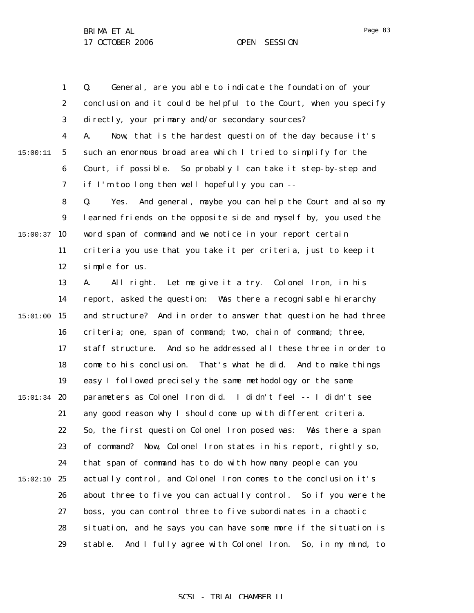1 2 3 4 5 6 7 15:00:11 Q. General, are you able to indicate the foundation of your conclusion and it could be helpful to the Court, when you specify directly, your primary and/or secondary sources? A. Now, that is the hardest question of the day because it's such an enormous broad area which I tried to simplify for the Court, if possible. So probably I can take it step-by-step and if I'm too long then well hopefully you can --

8 9  $15:00:37$  10 11 12 Q. Yes. And general, maybe you can help the Court and also my learned friends on the opposite side and myself by, you used the word span of command and we notice in your report certain criteria you use that you take it per criteria, just to keep it simple for us.

13 14 15 15:01:00 16 17 18 19  $15:01:34$  20 21 22 23 24  $15:02:10$  25 26 27 28 29 A. All right. Let me give it a try. Colonel Iron, in his report, asked the question: Was there a recognisable hierarchy and structure? And in order to answer that question he had three criteria; one, span of command; two, chain of command; three, staff structure. And so he addressed all these three in order to come to his conclusion. That's what he did. And to make things easy I followed precisely the same methodology or the same parameters as Colonel Iron did. I didn't feel -- I didn't see any good reason why I should come up with different criteria. So, the first question Colonel Iron posed was: Was there a span of command? Now, Colonel Iron states in his report, rightly so, that span of command has to do with how many people can you actually control, and Colonel Iron comes to the conclusion it's about three to five you can actually control. So if you were the boss, you can control three to five subordinates in a chaotic situation, and he says you can have some more if the situation is stable. And I fully agree with Colonel Iron. So, in my mind, to

SCSL - TRIAL CHAMBER II

Page 83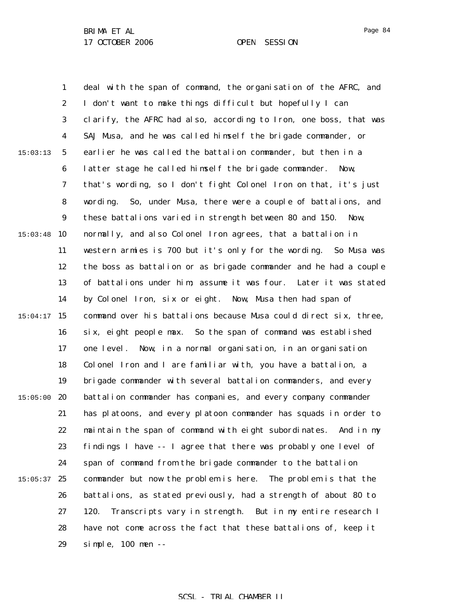Page 84

1 2 3 4 5 6 7 8 9  $15:03:48$  10 11 12 13 14 15 15:04:17 16 17 18 19  $15:05:00$  20 21 22 23 24  $15:05:37$  25 26 27 28 29 15:03:13 deal with the span of command, the organisation of the AFRC, and I don't want to make things difficult but hopefully I can clarify, the AFRC had also, according to Iron, one boss, that was SAJ Musa, and he was called himself the brigade commander, or earlier he was called the battalion commander, but then in a latter stage he called himself the brigade commander. Now, that's wording, so I don't fight Colonel Iron on that, it's just wording. So, under Musa, there were a couple of battalions, and these battalions varied in strength between 80 and 150. Now, normally, and also Colonel Iron agrees, that a battalion in western armies is 700 but it's only for the wording. So Musa was the boss as battalion or as brigade commander and he had a couple of battalions under him; assume it was four. Later it was stated by Colonel Iron, six or eight. Now, Musa then had span of command over his battalions because Musa could direct six, three, six, eight people max. So the span of command was established one level. Now, in a normal organisation, in an organisation Colonel Iron and I are familiar with, you have a battalion, a brigade commander with several battalion commanders, and every battalion commander has companies, and every company commander has platoons, and every platoon commander has squads in order to maintain the span of command with eight subordinates. And in my findings I have -- I agree that there was probably one level of span of command from the brigade commander to the battalion commander but now the problem is here. The problem is that the battalions, as stated previously, had a strength of about 80 to 120. Transcripts vary in strength. But in my entire research I have not come across the fact that these battalions of, keep it simple, 100 men --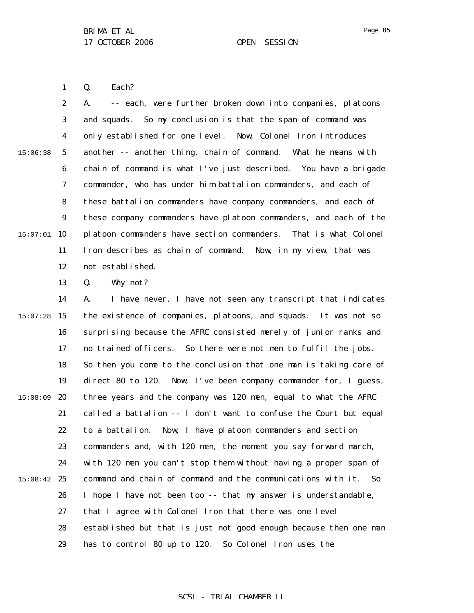1 Q. Each?

2 3 4 5 6 7 8 9  $15:07:01$  10 11 12 15:06:38 A. -- each, were further broken down into companies, platoons and squads. So my conclusion is that the span of command was only established for one level. Now, Colonel Iron introduces another -- another thing, chain of command. What he means with chain of command is what I've just described. You have a brigade commander, who has under him battalion commanders, and each of these battalion commanders have company commanders, and each of these company commanders have platoon commanders, and each of the platoon commanders have section commanders. That is what Colonel Iron describes as chain of command. Now, in my view, that was not established.

> 13 Q. Why not?

14  $15:07:28$  15 16 17 18 19 15:08:09 20 21 22 23 24  $15:08:42$  25 26 27 28 29 A. I have never, I have not seen any transcript that indicates the existence of companies, platoons, and squads. It was not so surprising because the AFRC consisted merely of junior ranks and no trained officers. So there were not men to fulfil the jobs. So then you come to the conclusion that one man is taking care of direct 80 to 120. Now, I've been company commander for, I guess, three years and the company was 120 men, equal to what the AFRC called a battalion -- I don't want to confuse the Court but equal to a battalion. Now, I have platoon commanders and section commanders and, with 120 men, the moment you say forward march, with 120 men you can't stop them without having a proper span of command and chain of command and the communications with it. So I hope I have not been too -- that my answer is understandable, that I agree with Colonel Iron that there was one level established but that is just not good enough because then one man has to control 80 up to 120. So Colonel Iron uses the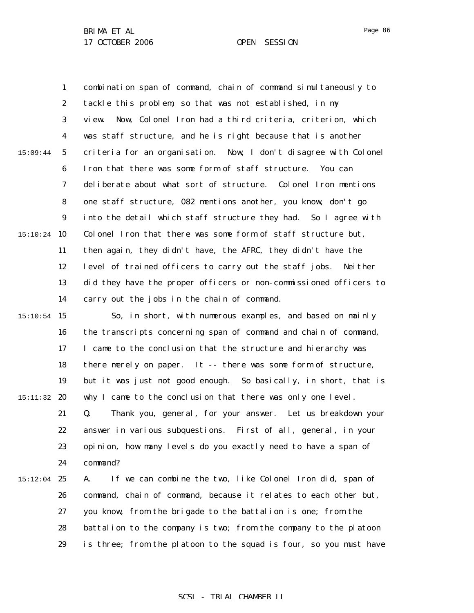1 2 3 4 5 6 7 8 9  $15:10:24$  10 11 12 13 14 15 15:10:54 16 17 18 19 15:11:32 **20** 21 22 23 24  $15:12:04$  25 26 27 28 15:09:44 combination span of command, chain of command simultaneously to tackle this problem, so that was not established, in my view. Now, Colonel Iron had a third criteria, criterion, which was staff structure, and he is right because that is another criteria for an organisation. Now, I don't disagree with Colonel Iron that there was some form of staff structure. You can deliberate about what sort of structure. Colonel Iron mentions one staff structure, 082 mentions another, you know, don't go into the detail which staff structure they had. So I agree with Colonel Iron that there was some form of staff structure but, then again, they didn't have, the AFRC, they didn't have the level of trained officers to carry out the staff jobs. Neither did they have the proper officers or non-commissioned officers to carry out the jobs in the chain of command. So, in short, with numerous examples, and based on mainly the transcripts concerning span of command and chain of command, I came to the conclusion that the structure and hierarchy was there merely on paper. It -- there was some form of structure, but it was just not good enough. So basically, in short, that is why I came to the conclusion that there was only one level. Q. Thank you, general, for your answer. Let us breakdown your answer in various subquestions. First of all, general, in your opinion, how many levels do you exactly need to have a span of command? A. If we can combine the two, like Colonel Iron did, span of command, chain of command, because it relates to each other but, you know, from the brigade to the battalion is one; from the battalion to the company is two; from the company to the platoon

> 29 is three; from the platoon to the squad is four, so you must have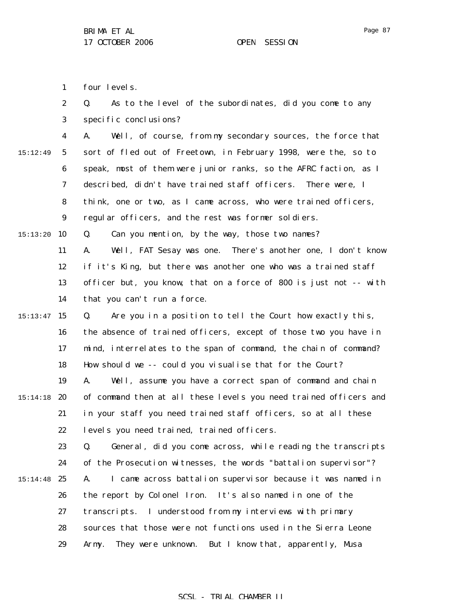1 four levels.

2 3 4 5 6 7 8 9 15:13:20 10 11 12 13 14 15 15:13:47 16 17 18 19  $15:14:18$  20 21 22 23 24 15:14:48 25 26 27 28 29 15:12:49 Q. As to the level of the subordinates, did you come to any specific conclusions? A. Well, of course, from my secondary sources, the force that sort of fled out of Freetown, in February 1998, were the, so to speak, most of them were junior ranks, so the AFRC faction, as I described, didn't have trained staff officers. There were, I think, one or two, as I came across, who were trained officers, regular officers, and the rest was former soldiers. Q. Can you mention, by the way, those two names? A. Well, FAT Sesay was one. There's another one, I don't know if it's King, but there was another one who was a trained staff officer but, you know, that on a force of 800 is just not -- with that you can't run a force. Q. Are you in a position to tell the Court how exactly this, the absence of trained officers, except of those two you have in mind, interrelates to the span of command, the chain of command? How should we -- could you visualise that for the Court? A. Well, assume you have a correct span of command and chain of command then at all these levels you need trained officers and in your staff you need trained staff officers, so at all these levels you need trained, trained officers. Q. General, did you come across, while reading the transcripts of the Prosecution witnesses, the words "battalion supervisor"? A. I came across battalion supervisor because it was named in the report by Colonel Iron. It's also named in one of the transcripts. I understood from my interviews with primary sources that those were not functions used in the Sierra Leone Army. They were unknown. But I know that, apparently, Musa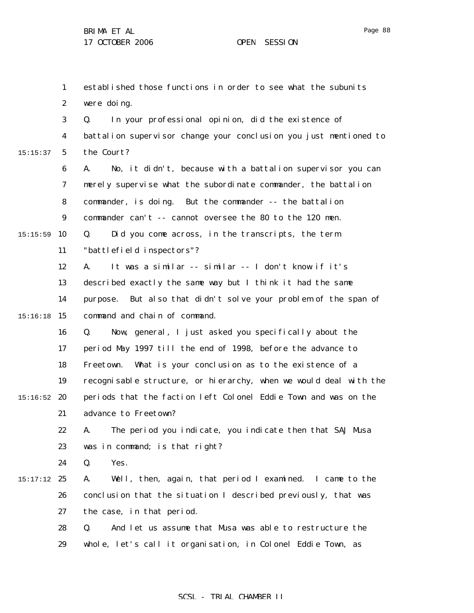1 2 3 4 5 6 7 8 9  $15:15:59$  10 11 12 13 14 15 15:16:18 16 17 18 19  $15:16:52$  20 21 22 23 24 15:17:12 25 26 27 28 29 15:15:37 established those functions in order to see what the subunits were doing. Q. In your professional opinion, did the existence of battalion supervisor change your conclusion you just mentioned to the Court? A. No, it didn't, because with a battalion supervisor you can merely supervise what the subordinate commander, the battalion commander, is doing. But the commander -- the battalion commander can't -- cannot oversee the 80 to the 120 men. Q. Did you come across, in the transcripts, the term "battlefield inspectors"? A. It was a similar -- similar -- I don't know if it's described exactly the same way but I think it had the same purpose. But also that didn't solve your problem of the span of command and chain of command. Q. Now, general, I just asked you specifically about the period May 1997 till the end of 1998, before the advance to Freetown. What is your conclusion as to the existence of a recognisable structure, or hierarchy, when we would deal with the periods that the faction left Colonel Eddie Town and was on the advance to Freetown? A. The period you indicate, you indicate then that SAJ Musa was in command; is that right? Q. Yes. A. Well, then, again, that period I examined. I came to the conclusion that the situation I described previously, that was the case, in that period. Q. And let us assume that Musa was able to restructure the whole, let's call it organisation, in Colonel Eddie Town, as

Page 88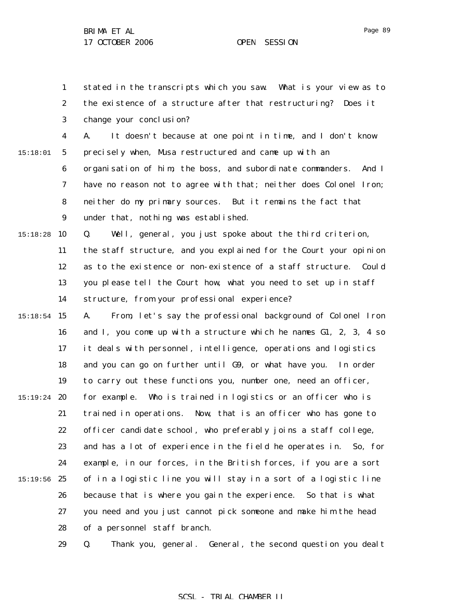1 2 3 4 5 6 7 8 9 15:18:28 10 11 12 13 14 15 15:18:54 16 17 18 19 15:19:24 20 21 22 23 24  $15:19:56$  25 26 27 28 15:18:01 stated in the transcripts which you saw. What is your view as to the existence of a structure after that restructuring? Does it change your conclusion? A. It doesn't because at one point in time, and I don't know precisely when, Musa restructured and came up with an organisation of him, the boss, and subordinate commanders. And I have no reason not to agree with that; neither does Colonel Iron; neither do my primary sources. But it remains the fact that under that, nothing was established. Q. Well, general, you just spoke about the third criterion, the staff structure, and you explained for the Court your opinion as to the existence or non-existence of a staff structure. Could you please tell the Court how, what you need to set up in staff structure, from your professional experience? A. From, let's say the professional background of Colonel Iron and I, you come up with a structure which he names G1, 2, 3, 4 so it deals with personnel, intelligence, operations and logistics and you can go on further until G9, or what have you. In order to carry out these functions you, number one, need an officer, for example. Who is trained in logistics or an officer who is trained in operations. Now, that is an officer who has gone to officer candidate school, who preferably joins a staff college, and has a lot of experience in the field he operates in. So, for example, in our forces, in the British forces, if you are a sort of in a logistic line you will stay in a sort of a logistic line because that is where you gain the experience. So that is what you need and you just cannot pick someone and make him the head of a personnel staff branch.

> 29 Q. Thank you, general. General, the second question you dealt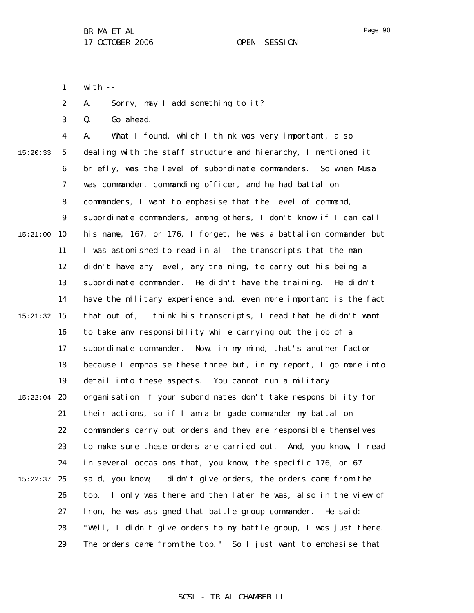1 with  $-$ 

2 A. Sorry, may I add something to it?

3 Q. Go ahead.

4 5 6 7 8 9 15:21:00 10 11 12 13 14 15 15:21:32 16 17 18 19  $15:22:04$  20 21 22 23 24  $15:22:37$  25 26 27 28 29 15:20:33 A. What I found, which I think was very important, also dealing with the staff structure and hierarchy, I mentioned it briefly, was the level of subordinate commanders. So when Musa was commander, commanding officer, and he had battalion commanders, I want to emphasise that the level of command, subordinate commanders, among others, I don't know if I can call his name, 167, or 176, I forget, he was a battalion commander but I was astonished to read in all the transcripts that the man didn't have any level, any training, to carry out his being a subordinate commander. He didn't have the training. He didn't have the military experience and, even more important is the fact that out of, I think his transcripts, I read that he didn't want to take any responsibility while carrying out the job of a subordinate commander. Now, in my mind, that's another factor because I emphasise these three but, in my report, I go more into detail into these aspects. You cannot run a military organisation if your subordinates don't take responsibility for their actions, so if I am a brigade commander my battalion commanders carry out orders and they are responsible themselves to make sure these orders are carried out. And, you know, I read in several occasions that, you know, the specific 176, or 67 said, you know, I didn't give orders, the orders came from the top. I only was there and then later he was, also in the view of Iron, he was assigned that battle group commander. He said: "Well, I didn't give orders to my battle group, I was just there. The orders came from the top." So I just want to emphasise that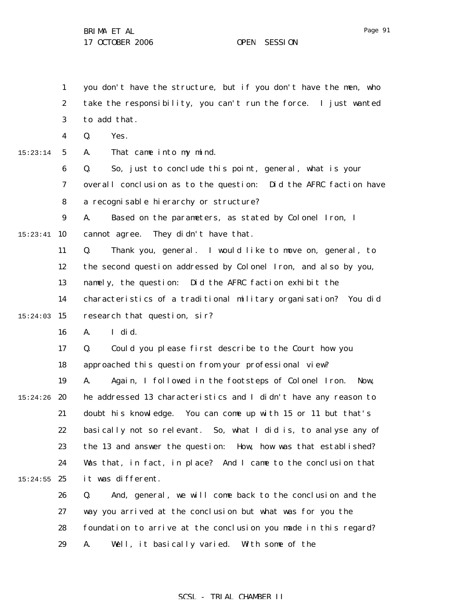1

15:23:14

29

you don't have the structure, but if you don't have the men, who

2 3 4 5 6 7 8 9  $15:23:41$  10 11 12 13 14 15:24:03 15 16 17 18 19  $15:24:26$  20 21 22 23 24  $15:24:55$  25 26 27 28 take the responsibility, you can't run the force. I just wanted to add that. Q. Yes. A. That came into my mind. Q. So, just to conclude this point, general, what is your overall conclusion as to the question: Did the AFRC faction have a recognisable hierarchy or structure? A. Based on the parameters, as stated by Colonel Iron, I cannot agree. They didn't have that. Q. Thank you, general. I would like to move on, general, to the second question addressed by Colonel Iron, and also by you, namely, the question: Did the AFRC faction exhibit the characteristics of a traditional military organisation? You did research that question, sir? A. I did. Q. Could you please first describe to the Court how you approached this question from your professional view? A. Again, I followed in the footsteps of Colonel Iron. Now, he addressed 13 characteristics and I didn't have any reason to doubt his knowledge. You can come up with 15 or 11 but that's basically not so relevant. So, what I did is, to analyse any of the 13 and answer the question: How, how was that established? Was that, in fact, in place? And I came to the conclusion that it was different. Q. And, general, we will come back to the conclusion and the way you arrived at the conclusion but what was for you the foundation to arrive at the conclusion you made in this regard?

Page 91

# SCSL - TRIAL CHAMBER II

A. Well, it basically varied. With some of the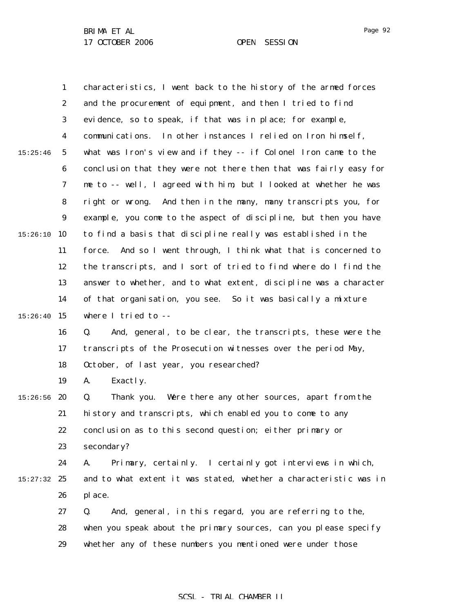1 2 3 4 5 6 7 8 9  $15:26:10$  10 11 12 13 14 15:26:40 15 16 17 18 19  $15:26:56$  20 21 22 23 24 15:27:32 25 26 27 28 29 15:25:46 characteristics, I went back to the history of the armed forces and the procurement of equipment, and then I tried to find evidence, so to speak, if that was in place; for example, communications. In other instances I relied on Iron himself, what was Iron's view and if they -- if Colonel Iron came to the conclusion that they were not there then that was fairly easy for me to -- well, I agreed with him, but I looked at whether he was right or wrong. And then in the many, many transcripts you, for example, you come to the aspect of discipline, but then you have to find a basis that discipline really was established in the force. And so I went through, I think what that is concerned to the transcripts, and I sort of tried to find where do I find the answer to whether, and to what extent, discipline was a character of that organisation, you see. So it was basically a mixture where I tried to -- Q. And, general, to be clear, the transcripts, these were the transcripts of the Prosecution witnesses over the period May, October, of last year, you researched? A. Exactly. Q. Thank you. Were there any other sources, apart from the history and transcripts, which enabled you to come to any conclusion as to this second question; either primary or secondary? A. Primary, certainly. I certainly got interviews in which, and to what extent it was stated, whether a characteristic was in place. Q. And, general, in this regard, you are referring to the, when you speak about the primary sources, can you please specify whether any of these numbers you mentioned were under those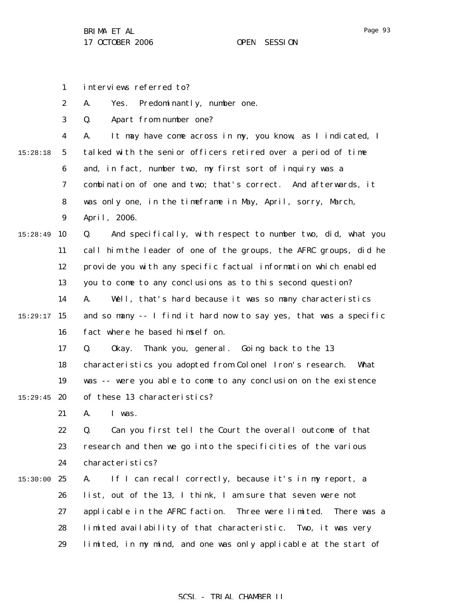interviews referred to?

1

2 3 4 5 6 7 8 9 15:28:49 10 11 12 13 14 15 15:29:17 16 17 18 19  $15:29:45$  20 21 22 23 24 15:30:00 25 26 27 28 29 15:28:18 A. Yes. Predominantly, number one. Q. Apart from number one? A. It may have come across in my, you know, as I indicated, I talked with the senior officers retired over a period of time and, in fact, number two, my first sort of inquiry was a combination of one and two; that's correct. And afterwards, it was only one, in the timeframe in May, April, sorry, March, April, 2006. Q. And specifically, with respect to number two, did, what you call him the leader of one of the groups, the AFRC groups, did he provide you with any specific factual information which enabled you to come to any conclusions as to this second question? A. Well, that's hard because it was so many characteristics and so many -- I find it hard now to say yes, that was a specific fact where he based himself on. Q. Okay. Thank you, general. Going back to the 13 characteristics you adopted from Colonel Iron's research. What was -- were you able to come to any conclusion on the existence of these 13 characteristics? A. I was. Q. Can you first tell the Court the overall outcome of that research and then we go into the specificities of the various characteristics? A. If I can recall correctly, because it's in my report, a list, out of the 13, I think, I am sure that seven were not applicable in the AFRC faction. Three were limited. There was a limited availability of that characteristic. Two, it was very limited, in my mind, and one was only applicable at the start of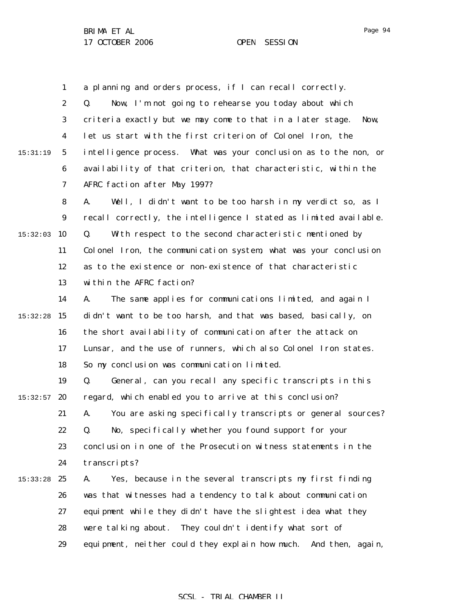1 2 3 4 5 6 7 8 9  $15:32:03$  10 15:31:19 a planning and orders process, if I can recall correctly. Q. Now, I'm not going to rehearse you today about which criteria exactly but we may come to that in a later stage. Now, let us start with the first criterion of Colonel Iron, the intelligence process. What was your conclusion as to the non, or availability of that criterion, that characteristic, within the AFRC faction after May 1997? A. Well, I didn't want to be too harsh in my verdict so, as I recall correctly, the intelligence I stated as limited available. Q. With respect to the second characteristic mentioned by

11 12 13 Colonel Iron, the communication system, what was your conclusion as to the existence or non-existence of that characteristic within the AFRC faction?

14 15 15:32:28 16 17 18 A. The same applies for communications limited, and again I didn't want to be too harsh, and that was based, basically, on the short availability of communication after the attack on Lunsar, and the use of runners, which also Colonel Iron states. So my conclusion was communication limited.

19  $15:32:57$  20 21 22 Q. General, can you recall any specific transcripts in this regard, which enabled you to arrive at this conclusion? A. You are asking specifically transcripts or general sources? Q. No, specifically whether you found support for your

23 24 conclusion in one of the Prosecution witness statements in the transcripts?

15:33:28 25 26 27 28 29 A. Yes, because in the several transcripts my first finding was that witnesses had a tendency to talk about communication equipment while they didn't have the slightest idea what they were talking about. They couldn't identify what sort of equipment, neither could they explain how much. And then, again,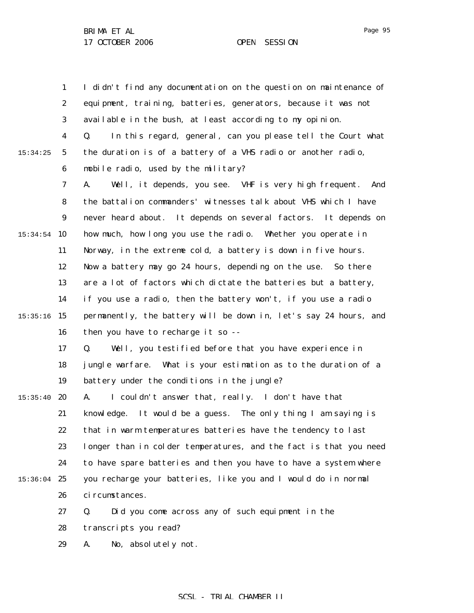1 2 3 4 5 6 7 8 9  $15:34:54$  10 11 12 13 14 15:35:16 15 16 17 18 19  $15:35:40$  20 21 22 23 24  $15:36:04$  25 26 27 28 15:34:25 I didn't find any documentation on the question on maintenance of equipment, training, batteries, generators, because it was not available in the bush, at least according to my opinion. Q. In this regard, general, can you please tell the Court what the duration is of a battery of a VHS radio or another radio, mobile radio, used by the military? A. Well, it depends, you see. VHF is very high frequent. And the battalion commanders' witnesses talk about VHS which I have never heard about. It depends on several factors. It depends on how much, how long you use the radio. Whether you operate in Norway, in the extreme cold, a battery is down in five hours. Now a battery may go 24 hours, depending on the use. So there are a lot of factors which dictate the batteries but a battery, if you use a radio, then the battery won't, if you use a radio permanently, the battery will be down in, let's say 24 hours, and then you have to recharge it so -- Q. Well, you testified before that you have experience in jungle warfare. What is your estimation as to the duration of a battery under the conditions in the jungle? A. I couldn't answer that, really. I don't have that knowledge. It would be a guess. The only thing I am saying is that in warm temperatures batteries have the tendency to last longer than in colder temperatures, and the fact is that you need to have spare batteries and then you have to have a system where you recharge your batteries, like you and I would do in normal circumstances. Q. Did you come across any of such equipment in the transcripts you read?

> 29 A. No, absolutely not.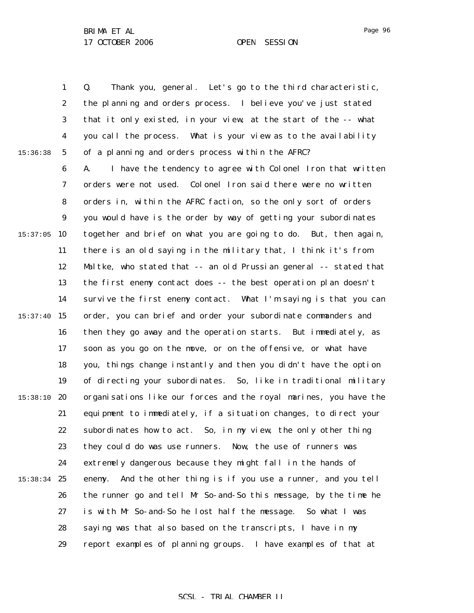Page 96

1 2 3 4 5 15:36:38 Q. Thank you, general. Let's go to the third characteristic, the planning and orders process. I believe you've just stated that it only existed, in your view, at the start of the -- what you call the process. What is your view as to the availability of a planning and orders process within the AFRC?

6 7 8 9  $15:37:05$  10 11 12 13 14 15:37:40 15 16 17 18 19 15:38:10 20 21 22 23 24 15:38:34 25 26 27 28 29 A. I have the tendency to agree with Colonel Iron that written orders were not used. Colonel Iron said there were no written orders in, within the AFRC faction, so the only sort of orders you would have is the order by way of getting your subordinates together and brief on what you are going to do. But, then again, there is an old saying in the military that, I think it's from Maltke, who stated that -- an old Prussian general -- stated that the first enemy contact does -- the best operation plan doesn't survive the first enemy contact. What I'm saying is that you can order, you can brief and order your subordinate commanders and then they go away and the operation starts. But immediately, as soon as you go on the move, or on the offensive, or what have you, things change instantly and then you didn't have the option of directing your subordinates. So, like in traditional military organisations like our forces and the royal marines, you have the equipment to immediately, if a situation changes, to direct your subordinates how to act. So, in my view, the only other thing they could do was use runners. Now, the use of runners was extremely dangerous because they might fall in the hands of enemy. And the other thing is if you use a runner, and you tell the runner go and tell Mr So-and-So this message, by the time he is with Mr So-and-So he lost half the message. So what I was saying was that also based on the transcripts, I have in my report examples of planning groups. I have examples of that at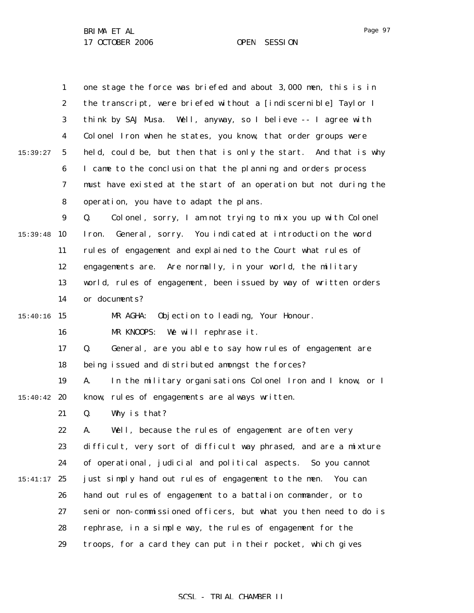|          | $\mathbf{1}$     | one stage the force was briefed and about 3,000 men, this is in   |
|----------|------------------|-------------------------------------------------------------------|
|          | $\boldsymbol{2}$ | the transcript, were briefed without a [indiscernible] Taylor I   |
|          | 3                | think by SAJ Musa. Well, anyway, so I believe -- I agree with     |
|          | $\bf{4}$         | Colonel Iron when he states, you know, that order groups were     |
| 15:39:27 | $5\phantom{.0}$  | held, could be, but then that is only the start. And that is why  |
|          | 6                | I came to the conclusion that the planning and orders process     |
|          | 7                | must have existed at the start of an operation but not during the |
|          | 8                | operation, you have to adapt the plans.                           |
|          | 9                | Q.<br>Colonel, sorry, I am not trying to mix you up with Colonel  |
| 15:39:48 | 10               | Iron. General, sorry. You indicated at introduction the word      |
|          | 11               | rules of engagement and explained to the Court what rules of      |
|          | 12               | engagements are. Are normally, in your world, the military        |
|          | 13               | world, rules of engagement, been issued by way of written orders  |
|          | 14               | or documents?                                                     |
| 15:40:16 | 15               | Objection to leading, Your Honour.<br>MR AGHA:                    |
|          | 16               | MR KNOOPS:<br>We will rephrase it.                                |
|          | 17               | General, are you able to say how rules of engagement are<br>Q.    |
|          | 18               | being issued and distributed amongst the forces?                  |
|          | 19               | In the military organisations Colonel Iron and I know, or I<br>A. |
| 15:40:42 | 20               | know, rules of engagements are always written.                    |
|          | 21               | Q.<br>Why is that?                                                |
|          | 22               | Well, because the rules of engagement are often very<br>А.        |
|          | 23               | difficult, very sort of difficult way phrased, and are a mixture  |
|          | 24               | of operational, judicial and political aspects. So you cannot     |
| 15:41:17 | 25               | just simply hand out rules of engagement to the men. You can      |
|          | 26               | hand out rules of engagement to a battalion commander, or to      |
|          | 27               | senior non-commissioned officers, but what you then need to do is |
|          | 28               | rephrase, in a simple way, the rules of engagement for the        |
|          | 29               | troops, for a card they can put in their pocket, which gives      |

Page 97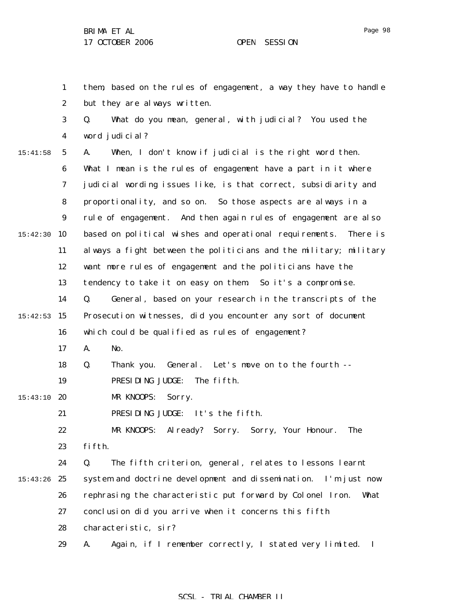Page 98

1 2 3 4 5 6 7 8 9 15:42:30 10 11 12 13 14 15 15:42:53 16 17 18 19 15:43:10 20 21 22 23 24 15:43:26 25 26 27 28 29 15:41:58 them, based on the rules of engagement, a way they have to handle but they are always written. Q. What do you mean, general, with judicial? You used the word judicial? A. When, I don't know if judicial is the right word then. What I mean is the rules of engagement have a part in it where judicial wording issues like, is that correct, subsidiarity and proportionality, and so on. So those aspects are always in a rule of engagement. And then again rules of engagement are also based on political wishes and operational requirements. There is always a fight between the politicians and the military; military want more rules of engagement and the politicians have the tendency to take it on easy on them. So it's a compromise. Q. General, based on your research in the transcripts of the Prosecution witnesses, did you encounter any sort of document which could be qualified as rules of engagement? A. No. Q. Thank you. General. Let's move on to the fourth -- PRESIDING JUDGE: The fifth. MR KNOOPS: Sorry. PRESIDING JUDGE: It's the fifth. MR KNOOPS: Already? Sorry. Sorry, Your Honour. The fifth. Q. The fifth criterion, general, relates to lessons learnt system and doctrine development and dissemination. I'm just now rephrasing the characteristic put forward by Colonel Iron. What conclusion did you arrive when it concerns this fifth characteristic, sir? A. Again, if I remember correctly, I stated very limited. I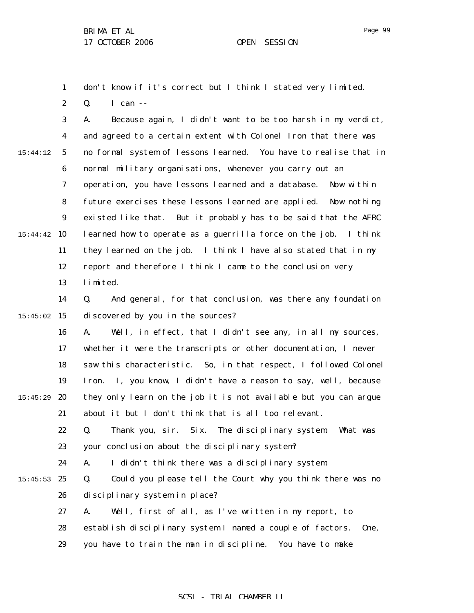1 2 don't know if it's correct but I think I stated very limited. Q. I can --

3 4 5 6 7 8 9 15:44:42 10 11 12 13 15:44:12 A. Because again, I didn't want to be too harsh in my verdict, and agreed to a certain extent with Colonel Iron that there was no formal system of lessons learned. You have to realise that in normal military organisations, whenever you carry out an operation, you have lessons learned and a database. Now within future exercises these lessons learned are applied. Now nothing existed like that. But it probably has to be said that the AFRC learned how to operate as a guerrilla force on the job. I think they learned on the job. I think I have also stated that in my report and therefore I think I came to the conclusion very limited.

14 15 15:45:02 Q. And general, for that conclusion, was there any foundation discovered by you in the sources?

16 17 18 19 15:45:29 **20** 21 A. Well, in effect, that I didn't see any, in all my sources, whether it were the transcripts or other documentation, I never saw this characteristic. So, in that respect, I followed Colonel Iron. I, you know, I didn't have a reason to say, well, because they only learn on the job it is not available but you can argue about it but I don't think that is all too relevant.

22 23 Q. Thank you, sir. Six. The disciplinary system. What was your conclusion about the disciplinary system?

24 A. I didn't think there was a disciplinary system.

 $15:45:53$  25 26 Q. Could you please tell the Court why you think there was no disciplinary system in place?

> 27 A. Well, first of all, as I've written in my report, to

28 establish disciplinary system I named a couple of factors. One,

29 you have to train the man in discipline. You have to make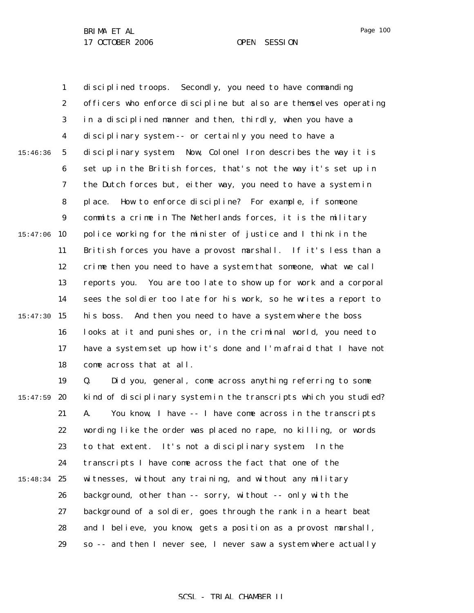1 2 3 4 5 6 7 8 9  $15:47:06$  10 11 12 13 14 15:47:30 15 16 17 18 19 15:46:36 disciplined troops. Secondly, you need to have commanding officers who enforce discipline but also are themselves operating in a disciplined manner and then, thirdly, when you have a disciplinary system -- or certainly you need to have a disciplinary system. Now, Colonel Iron describes the way it is set up in the British forces, that's not the way it's set up in the Dutch forces but, either way, you need to have a system in place. How to enforce discipline? For example, if someone commits a crime in The Netherlands forces, it is the military police working for the minister of justice and I think in the British forces you have a provost marshall. If it's less than a crime then you need to have a system that someone, what we call reports you. You are too late to show up for work and a corporal sees the soldier too late for his work, so he writes a report to his boss. And then you need to have a system where the boss looks at it and punishes or, in the criminal world, you need to have a system set up how it's done and I'm afraid that I have not come across that at all.

15:47:59 **20** 21 22 23 24 15:48:34 25 26 27 28 29 Q. Did you, general, come across anything referring to some kind of disciplinary system in the transcripts which you studied? A. You know, I have -- I have come across in the transcripts wording like the order was placed no rape, no killing, or words to that extent. It's not a disciplinary system. In the transcripts I have come across the fact that one of the witnesses, without any training, and without any military background, other than -- sorry, without -- only with the background of a soldier, goes through the rank in a heart beat and I believe, you know, gets a position as a provost marshall, so -- and then I never see, I never saw a system where actually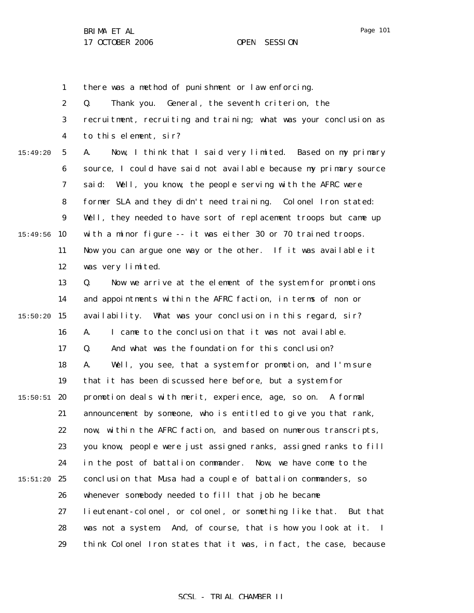1 2 3 4 5 6 7 8 9  $15:49:56$  10 11 12 13 14 15 15:50:20 16 17 15:49:20 there was a method of punishment or law enforcing. Q. Thank you. General, the seventh criterion, the recruitment, recruiting and training; what was your conclusion as to this element, sir? A. Now, I think that I said very limited. Based on my primary source, I could have said not available because my primary source said: Well, you know, the people serving with the AFRC were former SLA and they didn't need training. Colonel Iron stated: Well, they needed to have sort of replacement troops but came up with a minor figure -- it was either 30 or 70 trained troops. Now you can argue one way or the other. If it was available it was very limited. Q. Now we arrive at the element of the system for promotions and appointments within the AFRC faction, in terms of non or availability. What was your conclusion in this regard, sir? A. I came to the conclusion that it was not available. Q. And what was the foundation for this conclusion?

18 19  $15:50:51$  20 21 22 23 24  $15:51:20$  25 26 27 28 29 A. Well, you see, that a system for promotion, and I'm sure that it has been discussed here before, but a system for promotion deals with merit, experience, age, so on. A formal announcement by someone, who is entitled to give you that rank, now, within the AFRC faction, and based on numerous transcripts, you know, people were just assigned ranks, assigned ranks to fill in the post of battalion commander. Now, we have come to the conclusion that Musa had a couple of battalion commanders, so whenever somebody needed to fill that job he became lieutenant-colonel, or colonel, or something like that. But that was not a system. And, of course, that is how you look at it. I think Colonel Iron states that it was, in fact, the case, because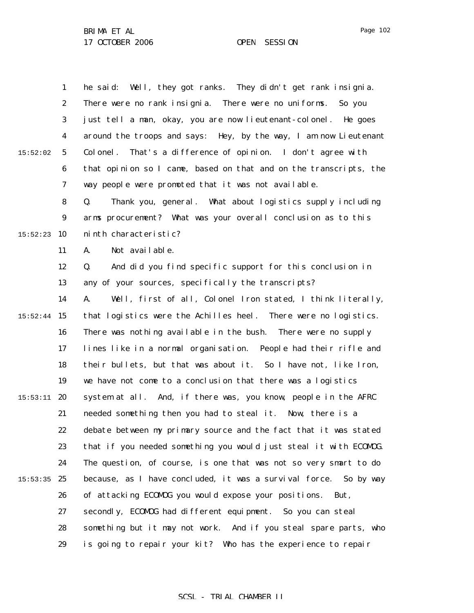1 2 3 4 5 6 7 15:52:02 he said: Well, they got ranks. They didn't get rank insignia. There were no rank insignia. There were no uniforms. So you just tell a man, okay, you are now lieutenant-colonel. He goes around the troops and says: Hey, by the way, I am now Lieutenant Colonel. That's a difference of opinion. I don't agree with that opinion so I came, based on that and on the transcripts, the way people were promoted that it was not available.

8 9  $15:52:23$  10 Q. Thank you, general. What about logistics supply including arms procurement? What was your overall conclusion as to this ninth characteristic?

> 11 A. Not available.

12 13 Q. And did you find specific support for this conclusion in any of your sources, specifically the transcripts?

14  $15:52:44$  15 16 17 18 19  $15:53:11$  20 21 22 23 24  $15:53:35$  25 26 27 28 29 A. Well, first of all, Colonel Iron stated, I think literally, that logistics were the Achilles heel. There were no logistics. There was nothing available in the bush. There were no supply lines like in a normal organisation. People had their rifle and their bullets, but that was about it. So I have not, like Iron, we have not come to a conclusion that there was a logistics system at all. And, if there was, you know, people in the AFRC needed something then you had to steal it. Now, there is a debate between my primary source and the fact that it was stated that if you needed something you would just steal it with ECOMOG. The question, of course, is one that was not so very smart to do because, as I have concluded, it was a survival force. So by way of attacking ECOMOG you would expose your positions. But, secondly, ECOMOG had different equipment. So you can steal something but it may not work. And if you steal spare parts, who is going to repair your kit? Who has the experience to repair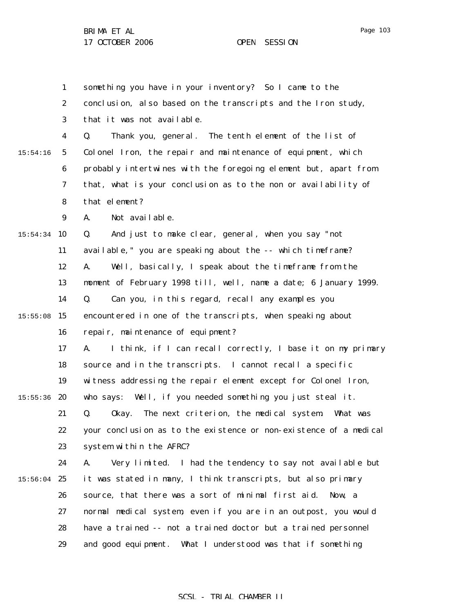1 2 3 4 5 6 7 8 9 15:54:34 10 11 12 13 14  $15:55:08$  15 16 17 18 19  $15:55:36$  20 21 22 23 24  $15:56:04$  25 26 27 28 29 15:54:16 something you have in your inventory? So I came to the conclusion, also based on the transcripts and the Iron study, that it was not available. Q. Thank you, general. The tenth element of the list of Colonel Iron, the repair and maintenance of equipment, which probably intertwines with the foregoing element but, apart from that, what is your conclusion as to the non or availability of that element? A. Not available. Q. And just to make clear, general, when you say "not available," you are speaking about the -- which timeframe? A. Well, basically, I speak about the timeframe from the moment of February 1998 till, well, name a date; 6 January 1999. Q. Can you, in this regard, recall any examples you encountered in one of the transcripts, when speaking about repair, maintenance of equipment? A. I think, if I can recall correctly, I base it on my primary source and in the transcripts. I cannot recall a specific witness addressing the repair element except for Colonel Iron, who says: Well, if you needed something you just steal it. Q. Okay. The next criterion, the medical system. What was your conclusion as to the existence or non-existence of a medical system within the AFRC? A. Very limited. I had the tendency to say not available but it was stated in many, I think transcripts, but also primary source, that there was a sort of minimal first aid. Now, a normal medical system, even if you are in an outpost, you would have a trained -- not a trained doctor but a trained personnel and good equipment. What I understood was that if something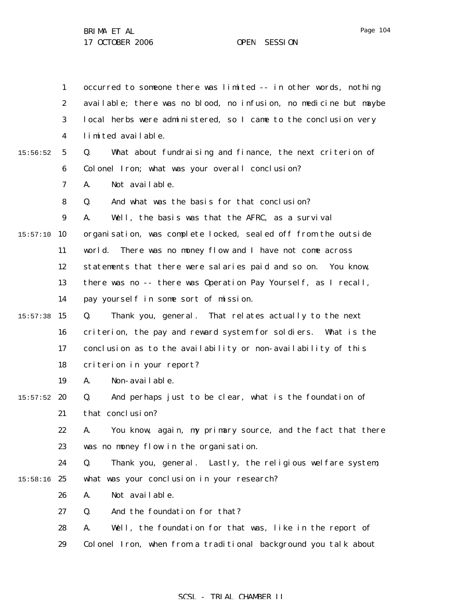1 2 3 4 5 6 7 8 9  $15:57:10$  10 11 12 13 14  $15:57:38$  15 16 17 18 19  $15:57:52$  20 21 22 23 24  $15:58:16$  25 26 27 28 29 15:56:52 occurred to someone there was limited -- in other words, nothing available; there was no blood, no infusion, no medicine but maybe local herbs were administered, so I came to the conclusion very limited available. Q. What about fundraising and finance, the next criterion of Colonel Iron; what was your overall conclusion? A. Not available. Q. And what was the basis for that conclusion? A. Well, the basis was that the AFRC, as a survival organisation, was complete locked, sealed off from the outside world. There was no money flow and I have not come across statements that there were salaries paid and so on. You know, there was no -- there was Operation Pay Yourself, as I recall, pay yourself in some sort of mission. Q. Thank you, general. That relates actually to the next criterion, the pay and reward system for soldiers. What is the conclusion as to the availability or non-availability of this criterion in your report? A. Non-available. Q. And perhaps just to be clear, what is the foundation of that conclusion? A. You know, again, my primary source, and the fact that there was no money flow in the organisation. Q. Thank you, general. Lastly, the religious welfare system; what was your conclusion in your research? A. Not available. Q. And the foundation for that? A. Well, the foundation for that was, like in the report of Colonel Iron, when from a traditional background you talk about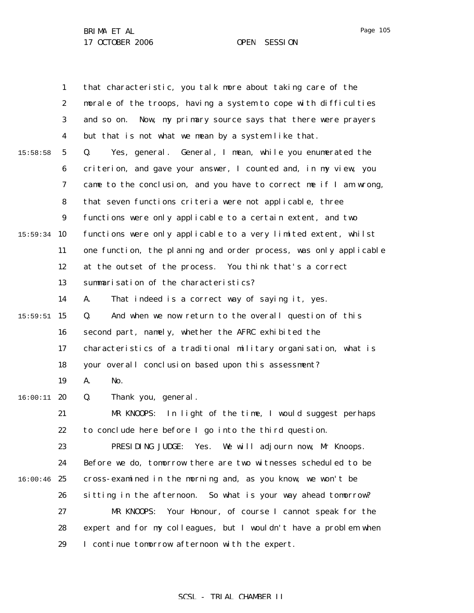1 2 3 4 5 6 7 8 9  $15:59:34$  10 11 12 13 14 15 15:59:51 16 17 18 19  $16:00:11$  20 21 22 23 24  $16:00:46$  25 26 27 28 29 15:58:58 that characteristic, you talk more about taking care of the morale of the troops, having a system to cope with difficulties and so on. Now, my primary source says that there were prayers but that is not what we mean by a system like that. Q. Yes, general. General, I mean, while you enumerated the criterion, and gave your answer, I counted and, in my view, you came to the conclusion, and you have to correct me if I am wrong, that seven functions criteria were not applicable, three functions were only applicable to a certain extent, and two functions were only applicable to a very limited extent, whilst one function, the planning and order process, was only applicable at the outset of the process. You think that's a correct summarisation of the characteristics? A. That indeed is a correct way of saying it, yes. Q. And when we now return to the overall question of this second part, namely, whether the AFRC exhibited the characteristics of a traditional military organisation, what is your overall conclusion based upon this assessment? A. No. Q. Thank you, general. MR KNOOPS: In light of the time, I would suggest perhaps to conclude here before I go into the third question. PRESIDING JUDGE: Yes. We will adjourn now, Mr Knoops. Before we do, tomorrow there are two witnesses scheduled to be cross-examined in the morning and, as you know, we won't be sitting in the afternoon. So what is your way ahead tomorrow? MR KNOOPS: Your Honour, of course I cannot speak for the expert and for my colleagues, but I wouldn't have a problem when I continue tomorrow afternoon with the expert.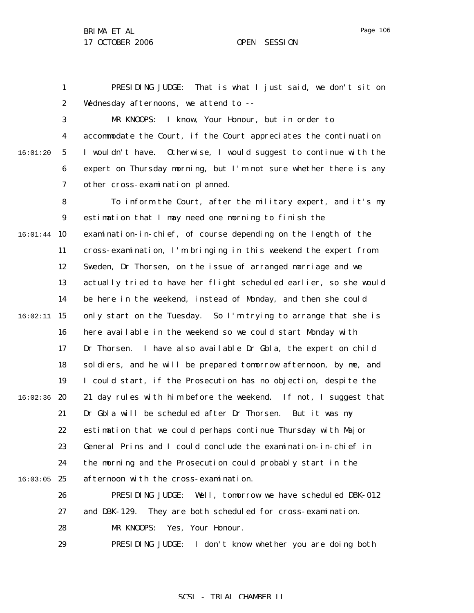1 2 PRESIDING JUDGE: That is what I just said, we don't sit on Wednesday afternoons, we attend to --

3 4 5 6 7 16:01:20 MR KNOOPS: I know, Your Honour, but in order to accommodate the Court, if the Court appreciates the continuation I wouldn't have. Otherwise, I would suggest to continue with the expert on Thursday morning, but I'm not sure whether there is any other cross-examination planned.

8 9 16:01:44 10 11 12 13 14 15 16:02:11 16 17 18 19  $16:02:36$  20 21 22 23 24  $16:03:05$  25 26 To inform the Court, after the military expert, and it's my estimation that I may need one morning to finish the examination-in-chief, of course depending on the length of the cross-examination, I'm bringing in this weekend the expert from Sweden, Dr Thorsen, on the issue of arranged marriage and we actually tried to have her flight scheduled earlier, so she would be here in the weekend, instead of Monday, and then she could only start on the Tuesday. So I'm trying to arrange that she is here available in the weekend so we could start Monday with Dr Thorsen. I have also available Dr Gbla, the expert on child soldiers, and he will be prepared tomorrow afternoon, by me, and I could start, if the Prosecution has no objection, despite the 21 day rules with him before the weekend. If not, I suggest that Dr Gbla will be scheduled after Dr Thorsen. But it was my estimation that we could perhaps continue Thursday with Major General Prins and I could conclude the examination-in-chief in the morning and the Prosecution could probably start in the afternoon with the cross-examination. PRESIDING JUDGE: Well, tomorrow we have scheduled DBK-012

27 28 29 and DBK-129. They are both scheduled for cross-examination. MR KNOOPS: Yes, Your Honour. PRESIDING JUDGE: I don't know whether you are doing both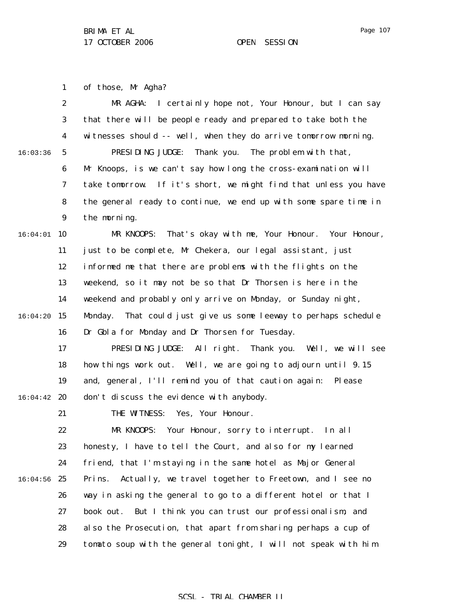1 of those, Mr Agha?

|          | $\boldsymbol{2}$ | MR AGHA:<br>I certainly hope not, Your Honour, but I can say        |
|----------|------------------|---------------------------------------------------------------------|
|          | 3                | that there will be people ready and prepared to take both the       |
|          | 4                | witnesses should -- well, when they do arrive tomorrow morning.     |
| 16:03:36 | $\sqrt{5}$       | PRESIDING JUDGE:<br>Thank you. The problem with that,               |
|          | 6                | Mr Knoops, is we can't say how long the cross-examination will      |
|          | 7                | If it's short, we might find that unless you have<br>take tomorrow. |
|          | 8                | the general ready to continue, we end up with some spare time in    |
|          | $\boldsymbol{9}$ | the morning.                                                        |
| 16:04:01 | 10               | MR KNOOPS:<br>That's okay with me, Your Honour. Your Honour,        |
|          | 11               | just to be complete, Mr Chekera, our legal assistant, just          |
|          | 12               | informed me that there are problems with the flights on the         |
|          | 13               | weekend, so it may not be so that Dr Thorsen is here in the         |
|          | 14               | weekend and probably only arrive on Monday, or Sunday night,        |
| 16:04:20 | 15               | That could just give us some leeway to perhaps schedule<br>Monday.  |
|          | 16               | Dr Gbla for Monday and Dr Thorsen for Tuesday.                      |
|          | 17               | All right. Thank you. Well, we will see<br>PRESIDING JUDGE:         |
|          | 18               | how things work out. Well, we are going to adjourn until 9.15       |
|          | 19               | and, general, I'll remind you of that caution again: Please         |
| 16:04:42 | 20               | don't discuss the evidence with anybody.                            |
|          | 21               | THE WITNESS:<br>Yes, Your Honour.                                   |
|          | 22               | MR KNOOPS:<br>Your Honour, sorry to interrupt.<br>In all            |
|          | 23               | honesty, I have to tell the Court, and also for my learned          |
|          | 24               | friend, that I'm staying in the same hotel as Major General         |
| 16:04:56 | 25               | Prins.<br>Actually, we travel together to Freetown, and I see no    |
|          | 26               | way in asking the general to go to a different hotel or that I      |
|          | 27               | book out. But I think you can trust our professionalism, and        |
|          | 28               | also the Prosecution, that apart from sharing perhaps a cup of      |
|          | 29               | tomato soup with the general tonight, I will not speak with him     |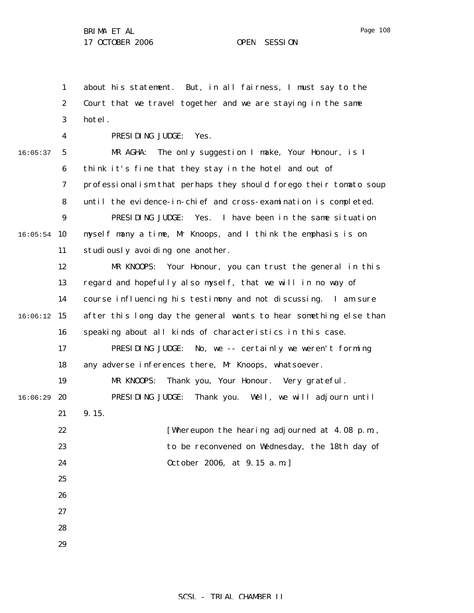Page 108

1 2 3 4 5 6 7 8 9  $16:05:54$  10 11 12 13 14 16:06:12 15 16 17 18 19 20 21 22 23 24 25 26 27 28 29 16:05:37 16:06:29 about his statement. But, in all fairness, I must say to the Court that we travel together and we are staying in the same hotel. PRESIDING JUDGE: Yes. MR AGHA: The only suggestion I make, Your Honour, is I think it's fine that they stay in the hotel and out of professionalism that perhaps they should forego their tomato soup until the evidence-in-chief and cross-examination is completed. PRESIDING JUDGE: Yes. I have been in the same situation myself many a time, Mr Knoops, and I think the emphasis is on studiously avoiding one another. MR KNOOPS: Your Honour, you can trust the general in this regard and hopefully also myself, that we will in no way of course influencing his testimony and not discussing. I am sure after this long day the general wants to hear something else than speaking about all kinds of characteristics in this case. PRESIDING JUDGE: No, we -- certainly we weren't forming any adverse inferences there, Mr Knoops, whatsoever. MR KNOOPS: Thank you, Your Honour. Very grateful. PRESIDING JUDGE: Thank you. Well, we will adjourn until 9.15. [Whereupon the hearing adjourned at 4.08 p.m., to be reconvened on Wednesday, the 18th day of October 2006, at 9.15 a.m.]